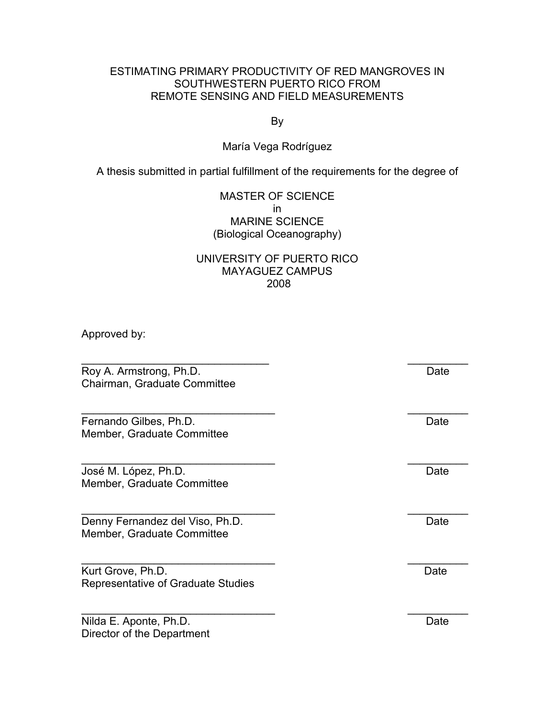## ESTIMATING PRIMARY PRODUCTIVITY OF RED MANGROVES IN SOUTHWESTERN PUERTO RICO FROM REMOTE SENSING AND FIELD MEASUREMENTS

By

## María Vega Rodríguez

A thesis submitted in partial fulfillment of the requirements for the degree of

## MASTER OF SCIENCE in MARINE SCIENCE (Biological Oceanography)

## UNIVERSITY OF PUERTO RICO MAYAGUEZ CAMPUS 2008

\_\_\_\_\_\_\_\_\_\_\_\_\_\_\_\_\_\_\_\_\_\_\_\_\_\_\_\_\_\_\_ \_\_\_\_\_\_\_\_\_\_

\_\_\_\_\_\_\_\_\_\_\_\_\_\_\_\_\_\_\_\_\_\_\_\_\_\_\_\_\_\_\_\_ \_\_\_\_\_\_\_\_\_\_

\_\_\_\_\_\_\_\_\_\_\_\_\_\_\_\_\_\_\_\_\_\_\_\_\_\_\_\_\_\_\_\_ \_\_\_\_\_\_\_\_\_\_

Approved by:

Roy A. Armstrong, Ph.D. Date Chairman, Graduate Committee

Fernando Gilbes, Ph.D. Date Member, Graduate Committee

José M. López, Ph.D. Date Member, Graduate Committee

Denny Fernandez del Viso, Ph.D. Date Member, Graduate Committee

Kurt Grove, Ph.D. Date Representative of Graduate Studies

Nilda E. Aponte, Ph.D. Date Director of the Department

\_\_\_\_\_\_\_\_\_\_\_\_\_\_\_\_\_\_\_\_\_\_\_\_\_\_\_\_\_\_\_\_ \_\_\_\_\_\_\_\_\_\_

\_\_\_\_\_\_\_\_\_\_\_\_\_\_\_\_\_\_\_\_\_\_\_\_\_\_\_\_\_\_\_\_ \_\_\_\_\_\_\_\_\_\_

\_\_\_\_\_\_\_\_\_\_\_\_\_\_\_\_\_\_\_\_\_\_\_\_\_\_\_\_\_\_\_\_ \_\_\_\_\_\_\_\_\_\_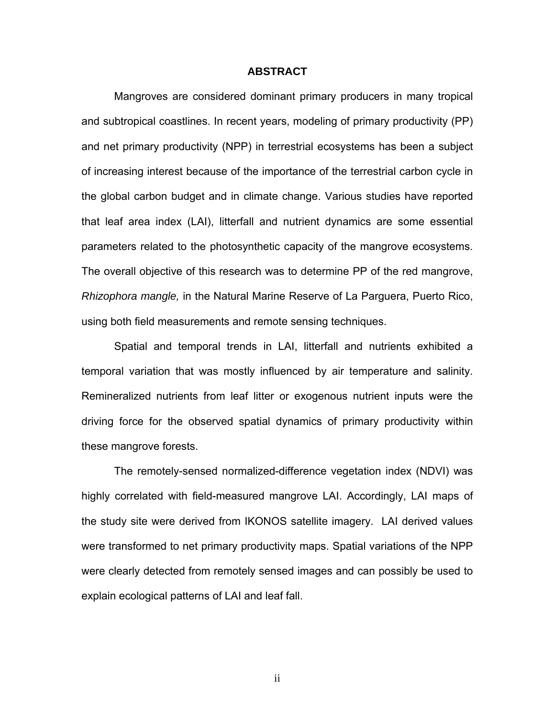## **ABSTRACT**

Mangroves are considered dominant primary producers in many tropical and subtropical coastlines. In recent years, modeling of primary productivity (PP) and net primary productivity (NPP) in terrestrial ecosystems has been a subject of increasing interest because of the importance of the terrestrial carbon cycle in the global carbon budget and in climate change. Various studies have reported that leaf area index (LAI), litterfall and nutrient dynamics are some essential parameters related to the photosynthetic capacity of the mangrove ecosystems. The overall objective of this research was to determine PP of the red mangrove, *Rhizophora mangle,* in the Natural Marine Reserve of La Parguera, Puerto Rico, using both field measurements and remote sensing techniques.

Spatial and temporal trends in LAI, litterfall and nutrients exhibited a temporal variation that was mostly influenced by air temperature and salinity. Remineralized nutrients from leaf litter or exogenous nutrient inputs were the driving force for the observed spatial dynamics of primary productivity within these mangrove forests.

The remotely-sensed normalized-difference vegetation index (NDVI) was highly correlated with field-measured mangrove LAI. Accordingly, LAI maps of the study site were derived from IKONOS satellite imagery. LAI derived values were transformed to net primary productivity maps. Spatial variations of the NPP were clearly detected from remotely sensed images and can possibly be used to explain ecological patterns of LAI and leaf fall.

ii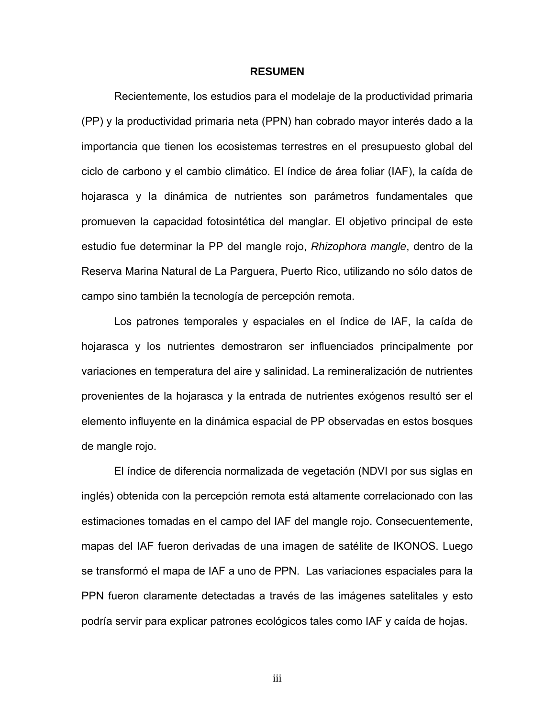#### **RESUMEN**

Recientemente, los estudios para el modelaje de la productividad primaria (PP) y la productividad primaria neta (PPN) han cobrado mayor interés dado a la importancia que tienen los ecosistemas terrestres en el presupuesto global del ciclo de carbono y el cambio climático. El índice de área foliar (IAF), la caída de hojarasca y la dinámica de nutrientes son parámetros fundamentales que promueven la capacidad fotosintética del manglar. El objetivo principal de este estudio fue determinar la PP del mangle rojo, *Rhizophora mangle*, dentro de la Reserva Marina Natural de La Parguera, Puerto Rico, utilizando no sólo datos de campo sino también la tecnología de percepción remota.

 Los patrones temporales y espaciales en el índice de IAF, la caída de hojarasca y los nutrientes demostraron ser influenciados principalmente por variaciones en temperatura del aire y salinidad. La remineralización de nutrientes provenientes de la hojarasca y la entrada de nutrientes exógenos resultó ser el elemento influyente en la dinámica espacial de PP observadas en estos bosques de mangle rojo.

El índice de diferencia normalizada de vegetación (NDVI por sus siglas en inglés) obtenida con la percepción remota está altamente correlacionado con las estimaciones tomadas en el campo del IAF del mangle rojo. Consecuentemente, mapas del IAF fueron derivadas de una imagen de satélite de IKONOS. Luego se transformó el mapa de IAF a uno de PPN. Las variaciones espaciales para la PPN fueron claramente detectadas a través de las imágenes satelitales y esto podría servir para explicar patrones ecológicos tales como IAF y caída de hojas.

iii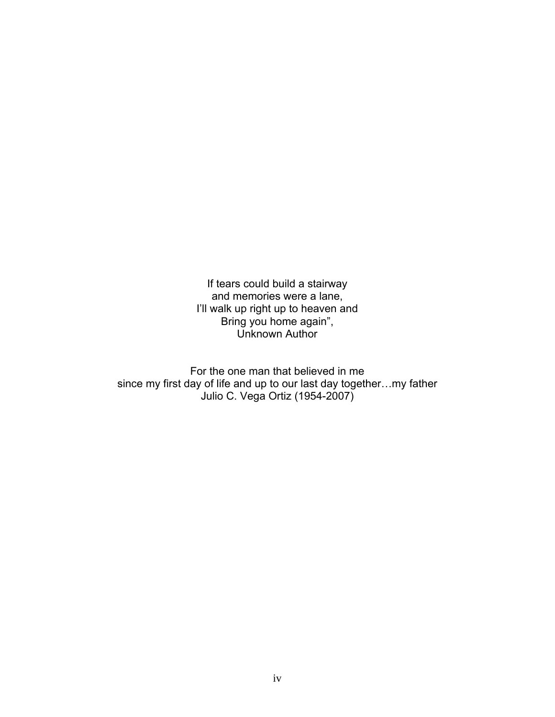If tears could build a stairway and memories were a lane, I'll walk up right up to heaven and Bring you home again", Unknown Author

For the one man that believed in me since my first day of life and up to our last day together…my father Julio C. Vega Ortiz (1954-2007)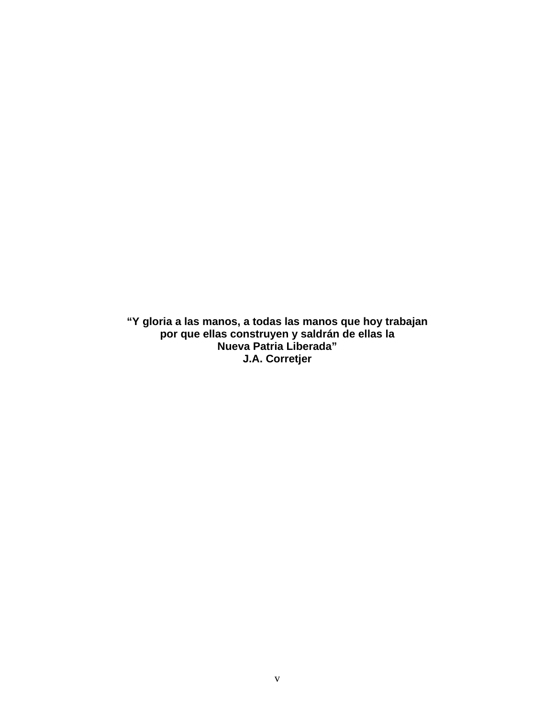**"Y gloria a las manos, a todas las manos que hoy trabajan por que ellas construyen y saldrán de ellas la Nueva Patria Liberada" J.A. Corretjer**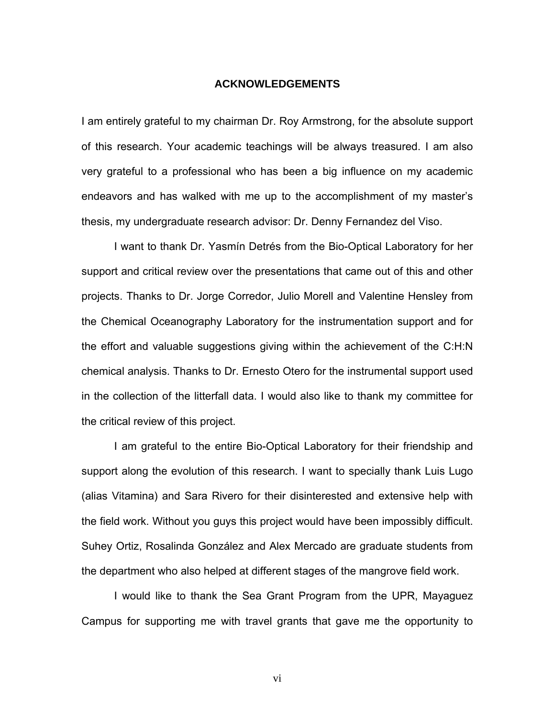#### **ACKNOWLEDGEMENTS**

I am entirely grateful to my chairman Dr. Roy Armstrong, for the absolute support of this research. Your academic teachings will be always treasured. I am also very grateful to a professional who has been a big influence on my academic endeavors and has walked with me up to the accomplishment of my master's thesis, my undergraduate research advisor: Dr. Denny Fernandez del Viso.

I want to thank Dr. Yasmín Detrés from the Bio-Optical Laboratory for her support and critical review over the presentations that came out of this and other projects. Thanks to Dr. Jorge Corredor, Julio Morell and Valentine Hensley from the Chemical Oceanography Laboratory for the instrumentation support and for the effort and valuable suggestions giving within the achievement of the C:H:N chemical analysis. Thanks to Dr. Ernesto Otero for the instrumental support used in the collection of the litterfall data. I would also like to thank my committee for the critical review of this project.

I am grateful to the entire Bio-Optical Laboratory for their friendship and support along the evolution of this research. I want to specially thank Luis Lugo (alias Vitamina) and Sara Rivero for their disinterested and extensive help with the field work. Without you guys this project would have been impossibly difficult. Suhey Ortiz, Rosalinda González and Alex Mercado are graduate students from the department who also helped at different stages of the mangrove field work.

I would like to thank the Sea Grant Program from the UPR, Mayaguez Campus for supporting me with travel grants that gave me the opportunity to

vi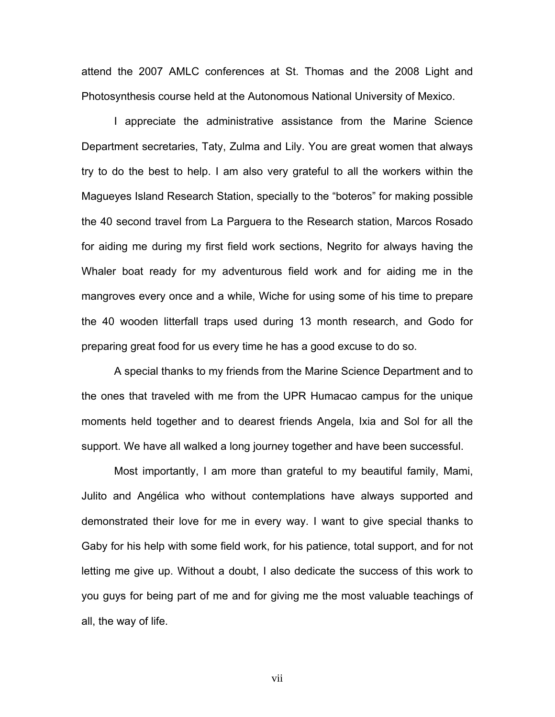attend the 2007 AMLC conferences at St. Thomas and the 2008 Light and Photosynthesis course held at the Autonomous National University of Mexico.

I appreciate the administrative assistance from the Marine Science Department secretaries, Taty, Zulma and Lily. You are great women that always try to do the best to help. I am also very grateful to all the workers within the Magueyes Island Research Station, specially to the "boteros" for making possible the 40 second travel from La Parguera to the Research station, Marcos Rosado for aiding me during my first field work sections, Negrito for always having the Whaler boat ready for my adventurous field work and for aiding me in the mangroves every once and a while, Wiche for using some of his time to prepare the 40 wooden litterfall traps used during 13 month research, and Godo for preparing great food for us every time he has a good excuse to do so.

A special thanks to my friends from the Marine Science Department and to the ones that traveled with me from the UPR Humacao campus for the unique moments held together and to dearest friends Angela, Ixia and Sol for all the support. We have all walked a long journey together and have been successful.

Most importantly, I am more than grateful to my beautiful family, Mami, Julito and Angélica who without contemplations have always supported and demonstrated their love for me in every way. I want to give special thanks to Gaby for his help with some field work, for his patience, total support, and for not letting me give up. Without a doubt, I also dedicate the success of this work to you guys for being part of me and for giving me the most valuable teachings of all, the way of life.

vii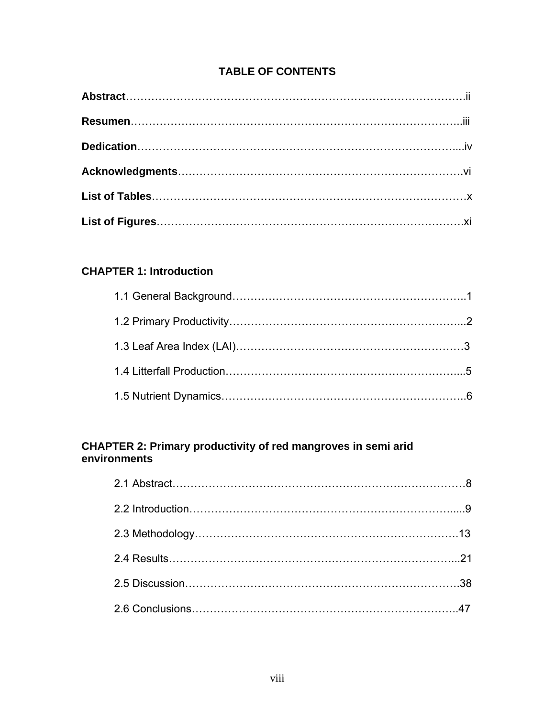# **TABLE OF CONTENTS**

# **CHAPTER 1: Introduction**

# **CHAPTER 2: Primary productivity of red mangroves in semi arid environments**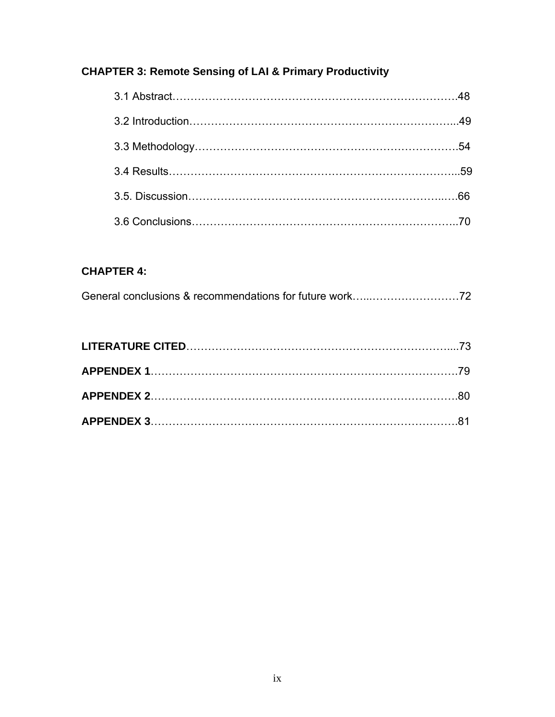# **CHAPTER 3: Remote Sensing of LAI & Primary Productivity**

|  | .59 |
|--|-----|
|  |     |
|  |     |

# **CHAPTER 4:**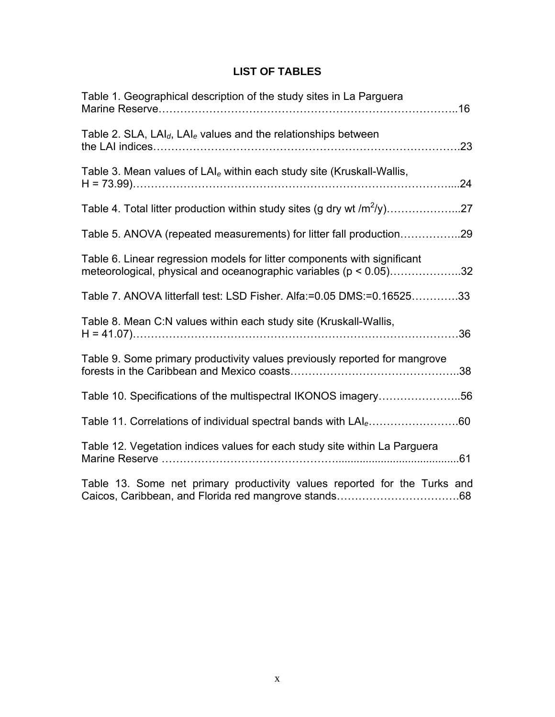# **LIST OF TABLES**

| Table 1. Geographical description of the study sites in La Parguera                                                                           |
|-----------------------------------------------------------------------------------------------------------------------------------------------|
| Table 2. SLA, $LAI_d$ , $LAI_e$ values and the relationships between                                                                          |
| Table 3. Mean values of $LAI_e$ within each study site (Kruskall-Wallis,                                                                      |
|                                                                                                                                               |
| Table 5. ANOVA (repeated measurements) for litter fall production29                                                                           |
| Table 6. Linear regression models for litter components with significant<br>meteorological, physical and oceanographic variables (p < 0.05)32 |
| Table 7. ANOVA litterfall test: LSD Fisher. Alfa:=0.05 DMS:=0.1652533                                                                         |
| Table 8. Mean C:N values within each study site (Kruskall-Wallis,                                                                             |
| Table 9. Some primary productivity values previously reported for mangrove                                                                    |
| Table 10. Specifications of the multispectral IKONOS imagery56                                                                                |
| Table 11. Correlations of individual spectral bands with LAI <sub>e</sub> 60                                                                  |
| Table 12. Vegetation indices values for each study site within La Parguera                                                                    |
| Table 13. Some net primary productivity values reported for the Turks and                                                                     |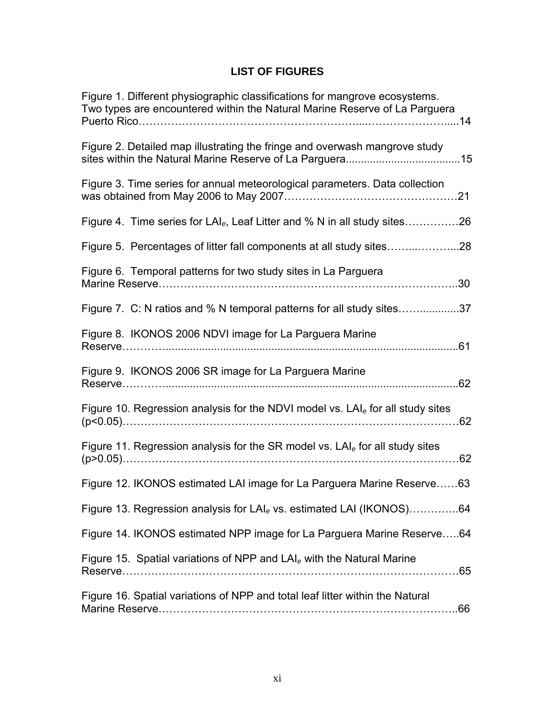# **LIST OF FIGURES**

| Figure 1. Different physiographic classifications for mangrove ecosystems.<br>Two types are encountered within the Natural Marine Reserve of La Parguera |
|----------------------------------------------------------------------------------------------------------------------------------------------------------|
| Figure 2. Detailed map illustrating the fringe and overwash mangrove study                                                                               |
| Figure 3. Time series for annual meteorological parameters. Data collection                                                                              |
| Figure 4. Time series for LAI <sub>e</sub> , Leaf Litter and % N in all study sites26                                                                    |
|                                                                                                                                                          |
| Figure 6. Temporal patterns for two study sites in La Parguera                                                                                           |
| Figure 7. C: N ratios and % N temporal patterns for all study sites37                                                                                    |
| Figure 8. IKONOS 2006 NDVI image for La Parguera Marine                                                                                                  |
| Figure 9. IKONOS 2006 SR image for La Parguera Marine                                                                                                    |
| Figure 10. Regression analysis for the NDVI model vs. $LAIe$ for all study sites                                                                         |
| Figure 11. Regression analysis for the SR model vs. $LAIe$ for all study sites                                                                           |
| Figure 12. IKONOS estimated LAI image for La Parguera Marine Reserve 63                                                                                  |
| Figure 13. Regression analysis for LAI <sub>e</sub> vs. estimated LAI (IKONOS)64                                                                         |
| Figure 14. IKONOS estimated NPP image for La Parguera Marine Reserve64                                                                                   |
| Figure 15. Spatial variations of NPP and $LAIe$ with the Natural Marine                                                                                  |
| Figure 16. Spatial variations of NPP and total leaf litter within the Natural                                                                            |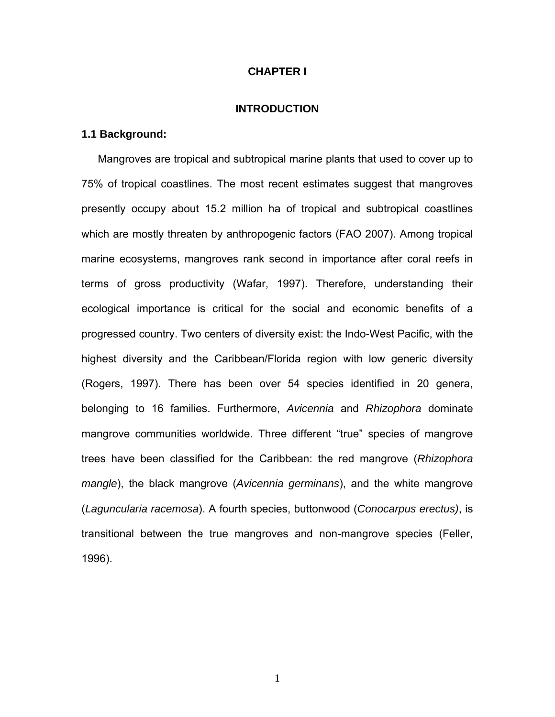## **CHAPTER I**

#### **INTRODUCTION**

## **1.1 Background:**

Mangroves are tropical and subtropical marine plants that used to cover up to 75% of tropical coastlines. The most recent estimates suggest that mangroves presently occupy about 15.2 million ha of tropical and subtropical coastlines which are mostly threaten by anthropogenic factors (FAO 2007). Among tropical marine ecosystems, mangroves rank second in importance after coral reefs in terms of gross productivity (Wafar, 1997). Therefore, understanding their ecological importance is critical for the social and economic benefits of a progressed country. Two centers of diversity exist: the Indo-West Pacific, with the highest diversity and the Caribbean/Florida region with low generic diversity (Rogers, 1997). There has been over 54 species identified in 20 genera, belonging to 16 families. Furthermore, *Avicennia* and *Rhizophora* dominate mangrove communities worldwide. Three different "true" species of mangrove trees have been classified for the Caribbean: the red mangrove (*Rhizophora mangle*), the black mangrove (*Avicennia germinans*), and the white mangrove (*Laguncularia racemosa*). A fourth species, buttonwood (*Conocarpus erectus)*, is transitional between the true mangroves and non-mangrove species (Feller, 1996).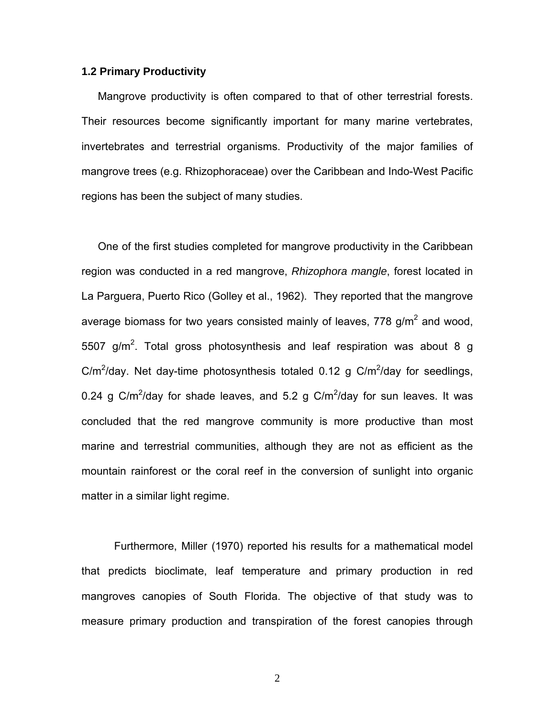## **1.2 Primary Productivity**

Mangrove productivity is often compared to that of other terrestrial forests. Their resources become significantly important for many marine vertebrates, invertebrates and terrestrial organisms. Productivity of the major families of mangrove trees (e.g. Rhizophoraceae) over the Caribbean and Indo-West Pacific regions has been the subject of many studies.

One of the first studies completed for mangrove productivity in the Caribbean region was conducted in a red mangrove, *Rhizophora mangle*, forest located in La Parguera, Puerto Rico (Golley et al., 1962). They reported that the mangrove average biomass for two years consisted mainly of leaves, 778 g/m<sup>2</sup> and wood, 5507 g/m<sup>2</sup>. Total gross photosynthesis and leaf respiration was about 8 g C/m<sup>2</sup>/day. Net day-time photosynthesis totaled 0.12 g C/m<sup>2</sup>/day for seedlings, 0.24 g C/m<sup>2</sup>/day for shade leaves, and 5.2 g C/m<sup>2</sup>/day for sun leaves. It was concluded that the red mangrove community is more productive than most marine and terrestrial communities, although they are not as efficient as the mountain rainforest or the coral reef in the conversion of sunlight into organic matter in a similar light regime.

Furthermore, Miller (1970) reported his results for a mathematical model that predicts bioclimate, leaf temperature and primary production in red mangroves canopies of South Florida. The objective of that study was to measure primary production and transpiration of the forest canopies through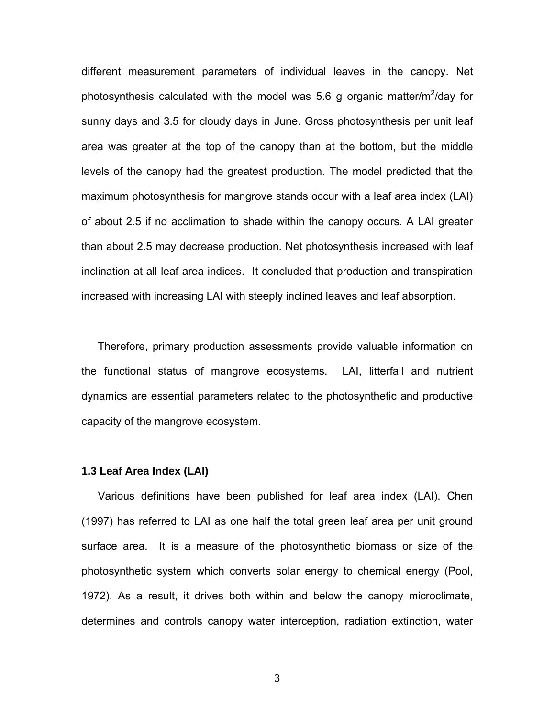different measurement parameters of individual leaves in the canopy. Net photosynthesis calculated with the model was 5.6 g organic matter/m<sup>2</sup>/day for sunny days and 3.5 for cloudy days in June. Gross photosynthesis per unit leaf area was greater at the top of the canopy than at the bottom, but the middle levels of the canopy had the greatest production. The model predicted that the maximum photosynthesis for mangrove stands occur with a leaf area index (LAI) of about 2.5 if no acclimation to shade within the canopy occurs. A LAI greater than about 2.5 may decrease production. Net photosynthesis increased with leaf inclination at all leaf area indices. It concluded that production and transpiration increased with increasing LAI with steeply inclined leaves and leaf absorption.

Therefore, primary production assessments provide valuable information on the functional status of mangrove ecosystems. LAI, litterfall and nutrient dynamics are essential parameters related to the photosynthetic and productive capacity of the mangrove ecosystem.

#### **1.3 Leaf Area Index (LAI)**

Various definitions have been published for leaf area index (LAI). Chen (1997) has referred to LAI as one half the total green leaf area per unit ground surface area. It is a measure of the photosynthetic biomass or size of the photosynthetic system which converts solar energy to chemical energy (Pool, 1972). As a result, it drives both within and below the canopy microclimate, determines and controls canopy water interception, radiation extinction, water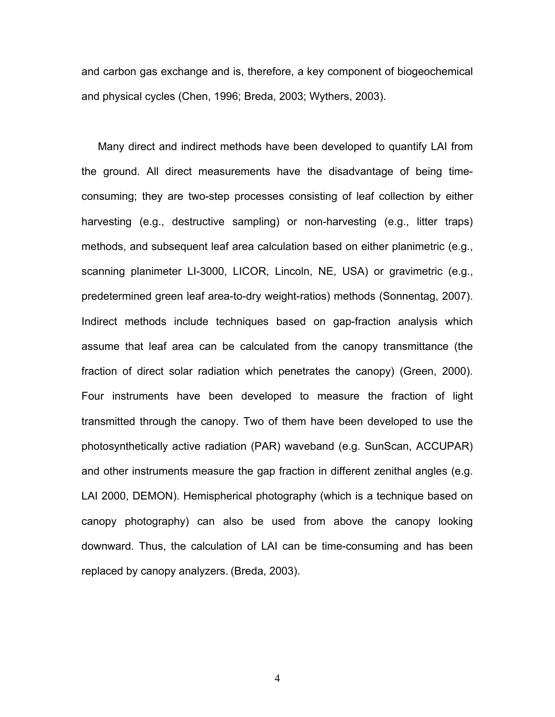and carbon gas exchange and is, therefore, a key component of biogeochemical and physical cycles (Chen, 1996; Breda, 2003; Wythers, 2003).

Many direct and indirect methods have been developed to quantify LAI from the ground. All direct measurements have the disadvantage of being timeconsuming; they are two-step processes consisting of leaf collection by either harvesting (e.g., destructive sampling) or non-harvesting (e.g., litter traps) methods, and subsequent leaf area calculation based on either planimetric (e.g., scanning planimeter LI-3000, LICOR, Lincoln, NE, USA) or gravimetric (e.g., predetermined green leaf area-to-dry weight-ratios) methods (Sonnentag, 2007). Indirect methods include techniques based on gap-fraction analysis which assume that leaf area can be calculated from the canopy transmittance (the fraction of direct solar radiation which penetrates the canopy) (Green, 2000). Four instruments have been developed to measure the fraction of light transmitted through the canopy. Two of them have been developed to use the photosynthetically active radiation (PAR) waveband (e.g. SunScan, ACCUPAR) and other instruments measure the gap fraction in different zenithal angles (e.g. LAI 2000, DEMON). Hemispherical photography (which is a technique based on canopy photography) can also be used from above the canopy looking downward. Thus, the calculation of LAI can be time-consuming and has been replaced by canopy analyzers. (Breda, 2003).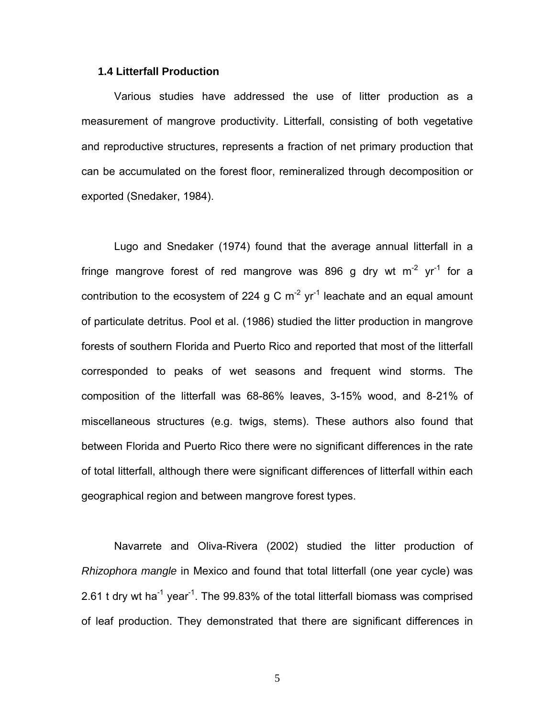## **1.4 Litterfall Production**

Various studies have addressed the use of litter production as a measurement of mangrove productivity. Litterfall, consisting of both vegetative and reproductive structures, represents a fraction of net primary production that can be accumulated on the forest floor, remineralized through decomposition or exported (Snedaker, 1984).

Lugo and Snedaker (1974) found that the average annual litterfall in a fringe mangrove forest of red mangrove was 896 g dry wt  $m<sup>-2</sup>$  yr<sup>-1</sup> for a contribution to the ecosystem of 224 g C  $m^{-2}$  yr<sup>-1</sup> leachate and an equal amount of particulate detritus. Pool et al. (1986) studied the litter production in mangrove forests of southern Florida and Puerto Rico and reported that most of the litterfall corresponded to peaks of wet seasons and frequent wind storms. The composition of the litterfall was 68-86% leaves, 3-15% wood, and 8-21% of miscellaneous structures (e.g. twigs, stems). These authors also found that between Florida and Puerto Rico there were no significant differences in the rate of total litterfall, although there were significant differences of litterfall within each geographical region and between mangrove forest types.

Navarrete and Oliva-Rivera (2002) studied the litter production of *Rhizophora mangle* in Mexico and found that total litterfall (one year cycle) was 2.61 t dry wt ha<sup>-1</sup> year<sup>-1</sup>. The 99.83% of the total litterfall biomass was comprised of leaf production. They demonstrated that there are significant differences in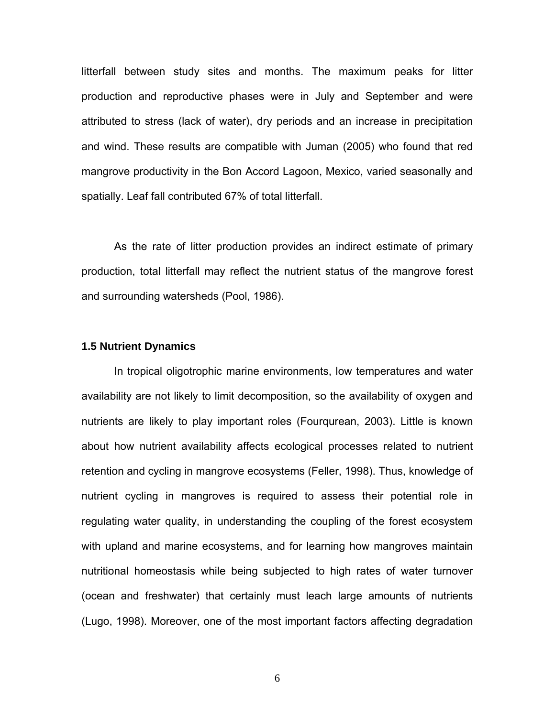litterfall between study sites and months. The maximum peaks for litter production and reproductive phases were in July and September and were attributed to stress (lack of water), dry periods and an increase in precipitation and wind. These results are compatible with Juman (2005) who found that red mangrove productivity in the Bon Accord Lagoon, Mexico, varied seasonally and spatially. Leaf fall contributed 67% of total litterfall.

As the rate of litter production provides an indirect estimate of primary production, total litterfall may reflect the nutrient status of the mangrove forest and surrounding watersheds (Pool, 1986).

### **1.5 Nutrient Dynamics**

In tropical oligotrophic marine environments, low temperatures and water availability are not likely to limit decomposition, so the availability of oxygen and nutrients are likely to play important roles (Fourqurean, 2003). Little is known about how nutrient availability affects ecological processes related to nutrient retention and cycling in mangrove ecosystems (Feller, 1998). Thus, knowledge of nutrient cycling in mangroves is required to assess their potential role in regulating water quality, in understanding the coupling of the forest ecosystem with upland and marine ecosystems, and for learning how mangroves maintain nutritional homeostasis while being subjected to high rates of water turnover (ocean and freshwater) that certainly must leach large amounts of nutrients (Lugo, 1998). Moreover, one of the most important factors affecting degradation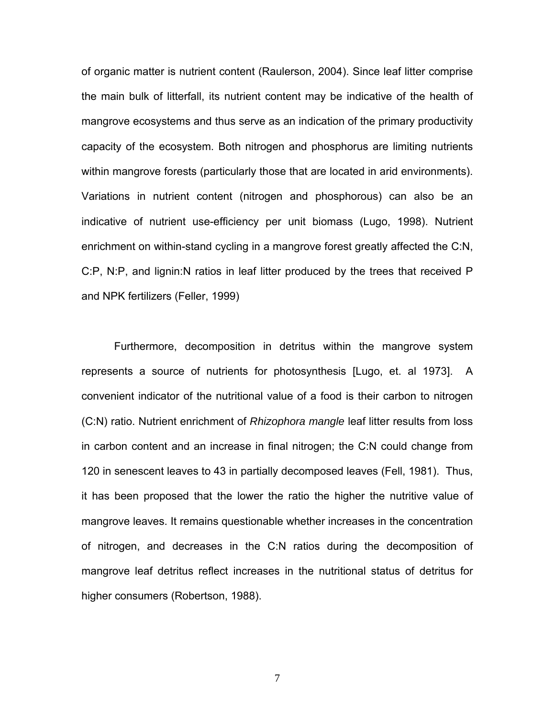of organic matter is nutrient content (Raulerson, 2004). Since leaf litter comprise the main bulk of litterfall, its nutrient content may be indicative of the health of mangrove ecosystems and thus serve as an indication of the primary productivity capacity of the ecosystem. Both nitrogen and phosphorus are limiting nutrients within mangrove forests (particularly those that are located in arid environments). Variations in nutrient content (nitrogen and phosphorous) can also be an indicative of nutrient use-efficiency per unit biomass (Lugo, 1998). Nutrient enrichment on within-stand cycling in a mangrove forest greatly affected the C:N, C:P, N:P, and lignin:N ratios in leaf litter produced by the trees that received P and NPK fertilizers (Feller, 1999)

Furthermore, decomposition in detritus within the mangrove system represents a source of nutrients for photosynthesis [Lugo, et. al 1973]. A convenient indicator of the nutritional value of a food is their carbon to nitrogen (C:N) ratio. Nutrient enrichment of *Rhizophora mangle* leaf litter results from loss in carbon content and an increase in final nitrogen; the C:N could change from 120 in senescent leaves to 43 in partially decomposed leaves (Fell, 1981). Thus, it has been proposed that the lower the ratio the higher the nutritive value of mangrove leaves. It remains questionable whether increases in the concentration of nitrogen, and decreases in the C:N ratios during the decomposition of mangrove leaf detritus reflect increases in the nutritional status of detritus for higher consumers (Robertson, 1988).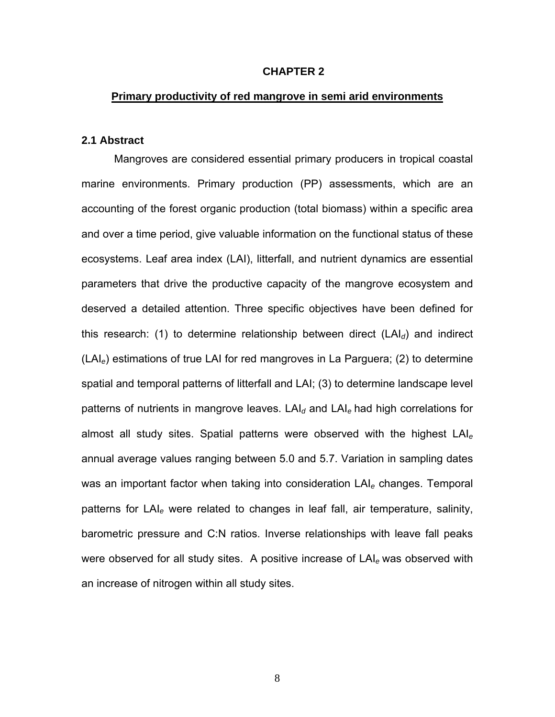### **CHAPTER 2**

## **Primary productivity of red mangrove in semi arid environments**

## **2.1 Abstract**

Mangroves are considered essential primary producers in tropical coastal marine environments. Primary production (PP) assessments, which are an accounting of the forest organic production (total biomass) within a specific area and over a time period, give valuable information on the functional status of these ecosystems. Leaf area index (LAI), litterfall, and nutrient dynamics are essential parameters that drive the productive capacity of the mangrove ecosystem and deserved a detailed attention. Three specific objectives have been defined for this research: (1) to determine relationship between direct (LAI*d*) and indirect (LAI*e*) estimations of true LAI for red mangroves in La Parguera; (2) to determine spatial and temporal patterns of litterfall and LAI; (3) to determine landscape level patterns of nutrients in mangrove leaves. LAI<sub>d</sub> and LAI<sub>e</sub> had high correlations for almost all study sites. Spatial patterns were observed with the highest LAI*<sup>e</sup>* annual average values ranging between 5.0 and 5.7. Variation in sampling dates was an important factor when taking into consideration LAI*e* changes. Temporal patterns for LAI*e* were related to changes in leaf fall, air temperature, salinity, barometric pressure and C:N ratios. Inverse relationships with leave fall peaks were observed for all study sites. A positive increase of LAI*e* was observed with an increase of nitrogen within all study sites.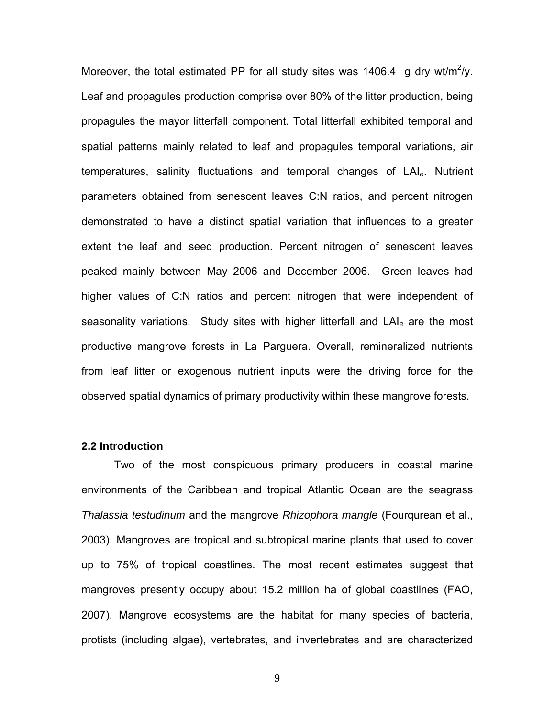Moreover, the total estimated PP for all study sites was 1406.4 g dry wt/m<sup>2</sup>/y. Leaf and propagules production comprise over 80% of the litter production, being propagules the mayor litterfall component. Total litterfall exhibited temporal and spatial patterns mainly related to leaf and propagules temporal variations, air temperatures, salinity fluctuations and temporal changes of LAI*e*. Nutrient parameters obtained from senescent leaves C:N ratios, and percent nitrogen demonstrated to have a distinct spatial variation that influences to a greater extent the leaf and seed production. Percent nitrogen of senescent leaves peaked mainly between May 2006 and December 2006. Green leaves had higher values of C:N ratios and percent nitrogen that were independent of seasonality variations. Study sites with higher litterfall and LAI*e* are the most productive mangrove forests in La Parguera. Overall, remineralized nutrients from leaf litter or exogenous nutrient inputs were the driving force for the observed spatial dynamics of primary productivity within these mangrove forests.

### **2.2 Introduction**

Two of the most conspicuous primary producers in coastal marine environments of the Caribbean and tropical Atlantic Ocean are the seagrass *Thalassia testudinum* and the mangrove *Rhizophora mangle* (Fourqurean et al., 2003). Mangroves are tropical and subtropical marine plants that used to cover up to 75% of tropical coastlines. The most recent estimates suggest that mangroves presently occupy about 15.2 million ha of global coastlines (FAO, 2007). Mangrove ecosystems are the habitat for many species of bacteria, protists (including algae), vertebrates, and invertebrates and are characterized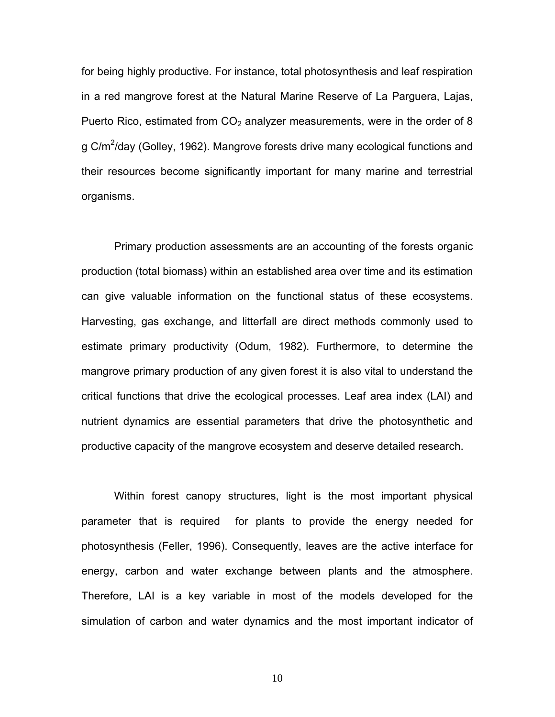for being highly productive. For instance, total photosynthesis and leaf respiration in a red mangrove forest at the Natural Marine Reserve of La Parguera, Lajas, Puerto Rico, estimated from  $CO<sub>2</sub>$  analyzer measurements, were in the order of 8 g C/m<sup>2</sup>/day (Golley, 1962). Mangrove forests drive many ecological functions and their resources become significantly important for many marine and terrestrial organisms.

Primary production assessments are an accounting of the forests organic production (total biomass) within an established area over time and its estimation can give valuable information on the functional status of these ecosystems. Harvesting, gas exchange, and litterfall are direct methods commonly used to estimate primary productivity (Odum, 1982). Furthermore, to determine the mangrove primary production of any given forest it is also vital to understand the critical functions that drive the ecological processes. Leaf area index (LAI) and nutrient dynamics are essential parameters that drive the photosynthetic and productive capacity of the mangrove ecosystem and deserve detailed research.

Within forest canopy structures, light is the most important physical parameter that is required for plants to provide the energy needed for photosynthesis (Feller, 1996). Consequently, leaves are the active interface for energy, carbon and water exchange between plants and the atmosphere. Therefore, LAI is a key variable in most of the models developed for the simulation of carbon and water dynamics and the most important indicator of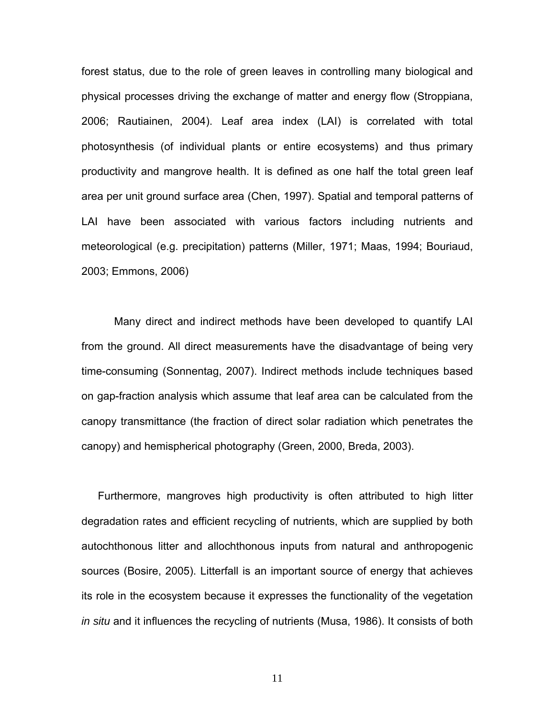forest status, due to the role of green leaves in controlling many biological and physical processes driving the exchange of matter and energy flow (Stroppiana, 2006; Rautiainen, 2004). Leaf area index (LAI) is correlated with total photosynthesis (of individual plants or entire ecosystems) and thus primary productivity and mangrove health. It is defined as one half the total green leaf area per unit ground surface area (Chen, 1997). Spatial and temporal patterns of LAI have been associated with various factors including nutrients and meteorological (e.g. precipitation) patterns (Miller, 1971; Maas, 1994; Bouriaud, 2003; Emmons, 2006)

Many direct and indirect methods have been developed to quantify LAI from the ground. All direct measurements have the disadvantage of being very time-consuming (Sonnentag, 2007). Indirect methods include techniques based on gap-fraction analysis which assume that leaf area can be calculated from the canopy transmittance (the fraction of direct solar radiation which penetrates the canopy) and hemispherical photography (Green, 2000, Breda, 2003).

Furthermore, mangroves high productivity is often attributed to high litter degradation rates and efficient recycling of nutrients, which are supplied by both autochthonous litter and allochthonous inputs from natural and anthropogenic sources (Bosire, 2005). Litterfall is an important source of energy that achieves its role in the ecosystem because it expresses the functionality of the vegetation *in situ* and it influences the recycling of nutrients (Musa, 1986). It consists of both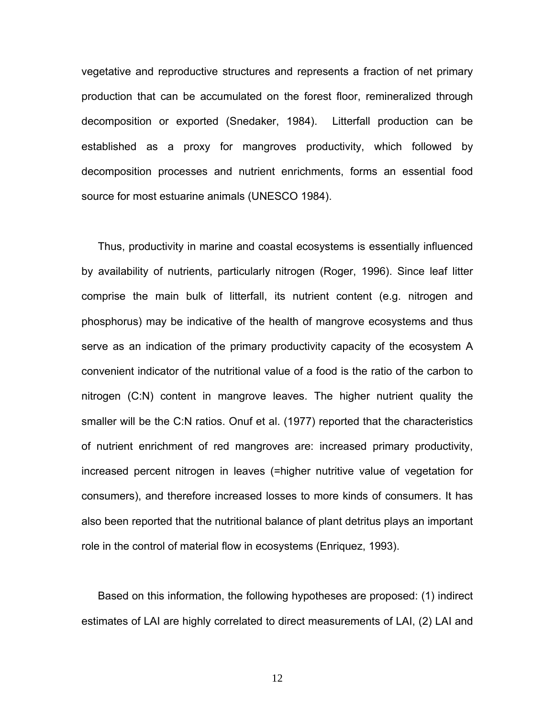vegetative and reproductive structures and represents a fraction of net primary production that can be accumulated on the forest floor, remineralized through decomposition or exported (Snedaker, 1984). Litterfall production can be established as a proxy for mangroves productivity, which followed by decomposition processes and nutrient enrichments, forms an essential food source for most estuarine animals (UNESCO 1984).

Thus, productivity in marine and coastal ecosystems is essentially influenced by availability of nutrients, particularly nitrogen (Roger, 1996). Since leaf litter comprise the main bulk of litterfall, its nutrient content (e.g. nitrogen and phosphorus) may be indicative of the health of mangrove ecosystems and thus serve as an indication of the primary productivity capacity of the ecosystem A convenient indicator of the nutritional value of a food is the ratio of the carbon to nitrogen (C:N) content in mangrove leaves. The higher nutrient quality the smaller will be the C:N ratios. Onuf et al. (1977) reported that the characteristics of nutrient enrichment of red mangroves are: increased primary productivity, increased percent nitrogen in leaves (=higher nutritive value of vegetation for consumers), and therefore increased losses to more kinds of consumers. It has also been reported that the nutritional balance of plant detritus plays an important role in the control of material flow in ecosystems (Enriquez, 1993).

Based on this information, the following hypotheses are proposed: (1) indirect estimates of LAI are highly correlated to direct measurements of LAI, (2) LAI and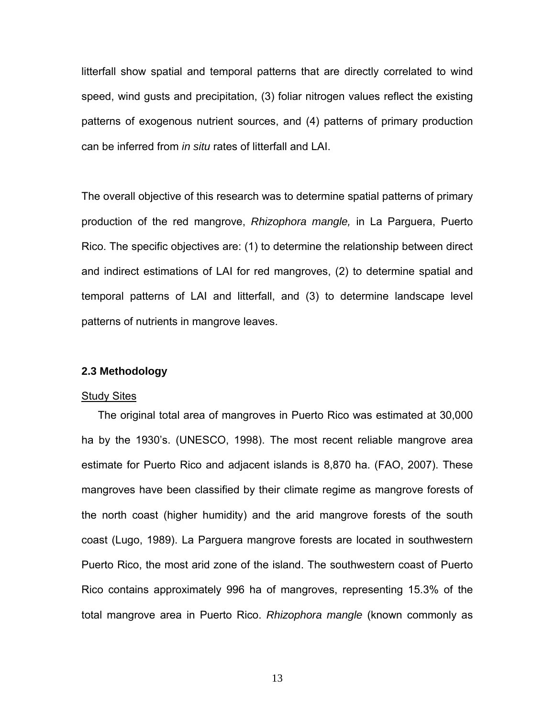litterfall show spatial and temporal patterns that are directly correlated to wind speed, wind gusts and precipitation, (3) foliar nitrogen values reflect the existing patterns of exogenous nutrient sources, and (4) patterns of primary production can be inferred from *in situ* rates of litterfall and LAI.

The overall objective of this research was to determine spatial patterns of primary production of the red mangrove, *Rhizophora mangle,* in La Parguera, Puerto Rico. The specific objectives are: (1) to determine the relationship between direct and indirect estimations of LAI for red mangroves, (2) to determine spatial and temporal patterns of LAI and litterfall, and (3) to determine landscape level patterns of nutrients in mangrove leaves.

### **2.3 Methodology**

#### **Study Sites**

The original total area of mangroves in Puerto Rico was estimated at 30,000 ha by the 1930's. (UNESCO, 1998). The most recent reliable mangrove area estimate for Puerto Rico and adjacent islands is 8,870 ha. (FAO, 2007). These mangroves have been classified by their climate regime as mangrove forests of the north coast (higher humidity) and the arid mangrove forests of the south coast (Lugo, 1989). La Parguera mangrove forests are located in southwestern Puerto Rico, the most arid zone of the island. The southwestern coast of Puerto Rico contains approximately 996 ha of mangroves, representing 15.3% of the total mangrove area in Puerto Rico. *Rhizophora mangle* (known commonly as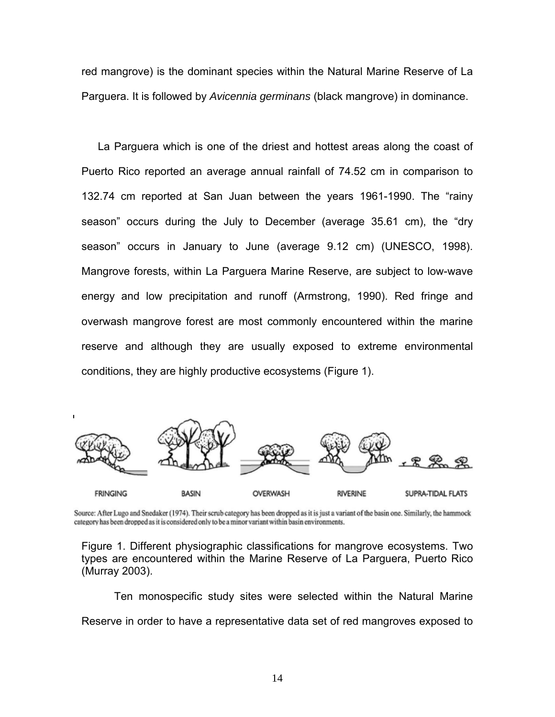red mangrove) is the dominant species within the Natural Marine Reserve of La Parguera. It is followed by *Avicennia germinans* (black mangrove) in dominance.

La Parguera which is one of the driest and hottest areas along the coast of Puerto Rico reported an average annual rainfall of 74.52 cm in comparison to 132.74 cm reported at San Juan between the years 1961-1990. The "rainy season" occurs during the July to December (average 35.61 cm), the "dry season" occurs in January to June (average 9.12 cm) (UNESCO, 1998). Mangrove forests, within La Parguera Marine Reserve, are subject to low-wave energy and low precipitation and runoff (Armstrong, 1990). Red fringe and overwash mangrove forest are most commonly encountered within the marine reserve and although they are usually exposed to extreme environmental conditions, they are highly productive ecosystems (Figure 1).



Source: After Lugo and Snedaker (1974). Their scrub category has been dropped as it is just a variant of the basin one. Similarly, the hammock category has been dropped as it is considered only to be a minor variant within basin environments.

Figure 1. Different physiographic classifications for mangrove ecosystems. Two types are encountered within the Marine Reserve of La Parguera, Puerto Rico (Murray 2003).

 Ten monospecific study sites were selected within the Natural Marine Reserve in order to have a representative data set of red mangroves exposed to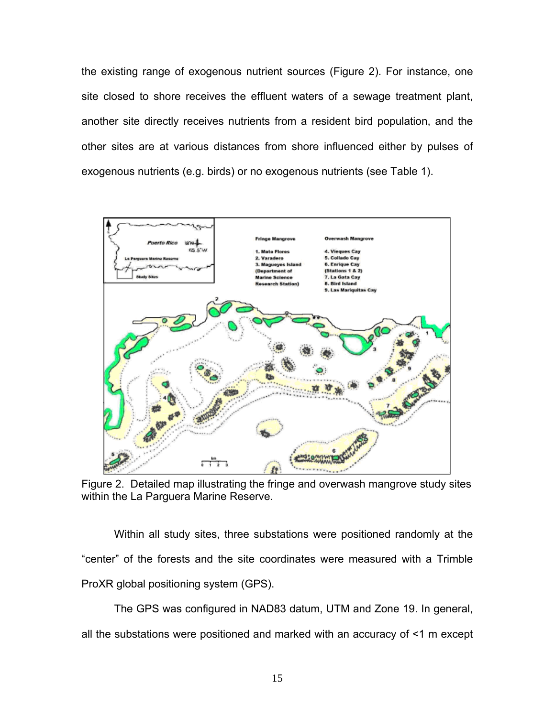the existing range of exogenous nutrient sources (Figure 2). For instance, one site closed to shore receives the effluent waters of a sewage treatment plant, another site directly receives nutrients from a resident bird population, and the other sites are at various distances from shore influenced either by pulses of exogenous nutrients (e.g. birds) or no exogenous nutrients (see Table 1).



Figure 2. Detailed map illustrating the fringe and overwash mangrove study sites within the La Parguera Marine Reserve.

Within all study sites, three substations were positioned randomly at the "center" of the forests and the site coordinates were measured with a Trimble ProXR global positioning system (GPS).

The GPS was configured in NAD83 datum, UTM and Zone 19. In general, all the substations were positioned and marked with an accuracy of <1 m except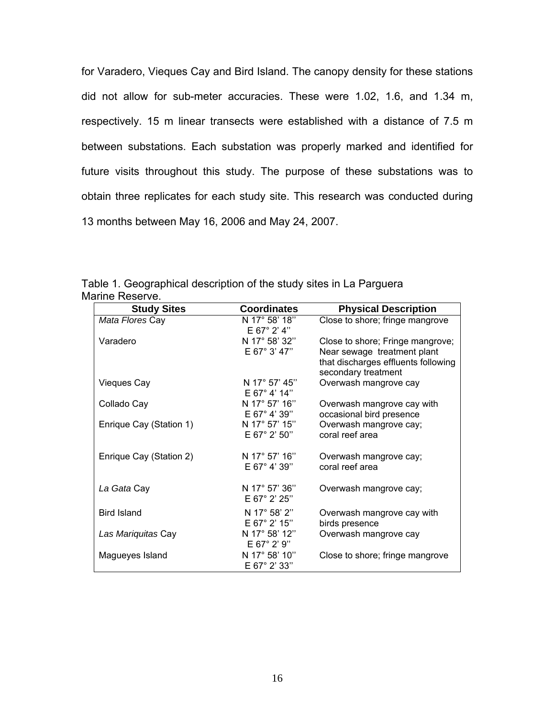for Varadero, Vieques Cay and Bird Island. The canopy density for these stations did not allow for sub-meter accuracies. These were 1.02, 1.6, and 1.34 m, respectively. 15 m linear transects were established with a distance of 7.5 m between substations. Each substation was properly marked and identified for future visits throughout this study. The purpose of these substations was to obtain three replicates for each study site. This research was conducted during 13 months between May 16, 2006 and May 24, 2007.

| <b>Study Sites</b>      | <b>Coordinates</b>                      | <b>Physical Description</b>                                                                                                   |
|-------------------------|-----------------------------------------|-------------------------------------------------------------------------------------------------------------------------------|
| Mata Flores Cay         | N 17° 58' 18"<br>$E 67^{\circ} 2' 4''$  | Close to shore; fringe mangrove                                                                                               |
| Varadero                | N 17° 58' 32"<br>E 67° 3' 47"           | Close to shore; Fringe mangrove;<br>Near sewage treatment plant<br>that discharges effluents following<br>secondary treatment |
| <b>Vieques Cay</b>      | N 17° 57' 45"<br>$E 67^{\circ} 4' 14''$ | Overwash mangrove cay                                                                                                         |
| Collado Cay             | N 17° 57' 16"<br>E 67° 4' 39"           | Overwash mangrove cay with<br>occasional bird presence                                                                        |
| Enrique Cay (Station 1) | N 17° 57' 15"<br>$E 67^{\circ} 2' 50''$ | Overwash mangrove cay;<br>coral reef area                                                                                     |
| Enrique Cay (Station 2) | N 17° 57' 16"<br>$E 67^{\circ} 4' 39''$ | Overwash mangrove cay;<br>coral reef area                                                                                     |
| La Gata Cay             | N 17° 57' 36"<br>$E 67^{\circ} 2' 25''$ | Overwash mangrove cay;                                                                                                        |
| <b>Bird Island</b>      | N 17° 58' 2"<br>E 67° 2' 15"            | Overwash mangrove cay with<br>birds presence                                                                                  |
| Las Mariquitas Cay      | N 17° 58' 12"<br>E 67° 2' 9"            | Overwash mangrove cay                                                                                                         |
| Magueyes Island         | N 17° 58' 10"<br>E 67° 2' 33"           | Close to shore; fringe mangrove                                                                                               |

Table 1. Geographical description of the study sites in La Parguera Marine Reserve.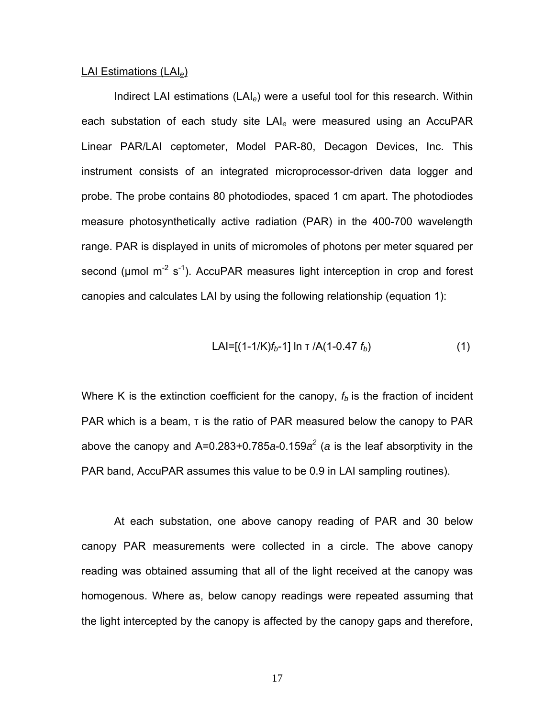### LAI Estimations (LAI*e*)

Indirect LAI estimations (LAI*e*) were a useful tool for this research. Within each substation of each study site LAI*e* were measured using an AccuPAR Linear PAR/LAI ceptometer, Model PAR-80, Decagon Devices, Inc. This instrument consists of an integrated microprocessor-driven data logger and probe. The probe contains 80 photodiodes, spaced 1 cm apart. The photodiodes measure photosynthetically active radiation (PAR) in the 400-700 wavelength range. PAR is displayed in units of micromoles of photons per meter squared per second ( $\mu$ mol m<sup>-2</sup> s<sup>-1</sup>). AccuPAR measures light interception in crop and forest canopies and calculates LAI by using the following relationship (equation 1):

$$
LAI=[(1-1/K)f_b-1] \ln \tau /A(1-0.47 f_b) \tag{1}
$$

Where K is the extinction coefficient for the canopy,  $f<sub>b</sub>$  is the fraction of incident PAR which is a beam, τ is the ratio of PAR measured below the canopy to PAR above the canopy and A=0.283+0.785*a*-0.159*a2* (*a* is the leaf absorptivity in the PAR band, AccuPAR assumes this value to be 0.9 in LAI sampling routines).

At each substation, one above canopy reading of PAR and 30 below canopy PAR measurements were collected in a circle. The above canopy reading was obtained assuming that all of the light received at the canopy was homogenous. Where as, below canopy readings were repeated assuming that the light intercepted by the canopy is affected by the canopy gaps and therefore,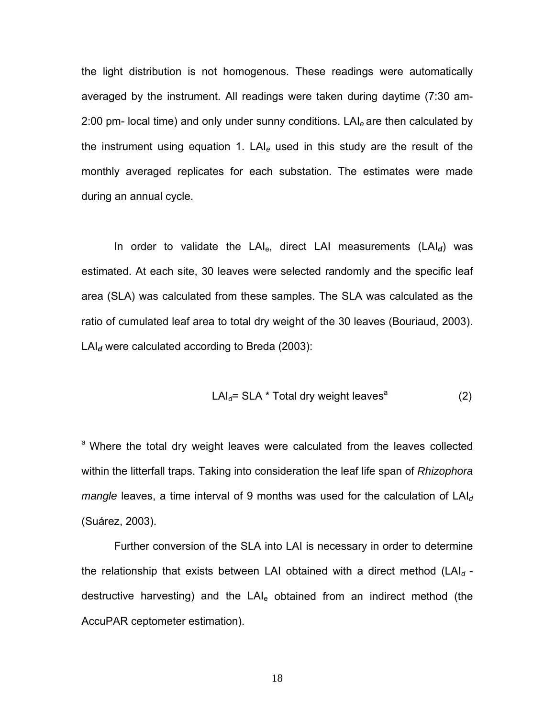the light distribution is not homogenous. These readings were automatically averaged by the instrument. All readings were taken during daytime (7:30 am-2:00 pm- local time) and only under sunny conditions. LAI*e* are then calculated by the instrument using equation 1. LAI*e* used in this study are the result of the monthly averaged replicates for each substation. The estimates were made during an annual cycle.

In order to validate the LAI<sub>e</sub>, direct LAI measurements (LAI<sub>d</sub>) was estimated. At each site, 30 leaves were selected randomly and the specific leaf area (SLA) was calculated from these samples. The SLA was calculated as the ratio of cumulated leaf area to total dry weight of the 30 leaves (Bouriaud, 2003). LAI*d* were calculated according to Breda (2003):

$$
LAId= SLA * Total dry weight leavesa \t(2)
$$

a Where the total dry weight leaves were calculated from the leaves collected within the litterfall traps. Taking into consideration the leaf life span of *Rhizophora mangle* leaves, a time interval of 9 months was used for the calculation of LAI<sub>d</sub> (Suárez, 2003).

Further conversion of the SLA into LAI is necessary in order to determine the relationship that exists between LAI obtained with a direct method (LAI*d*  destructive harvesting) and the  $LAI<sub>e</sub>$  obtained from an indirect method (the AccuPAR ceptometer estimation).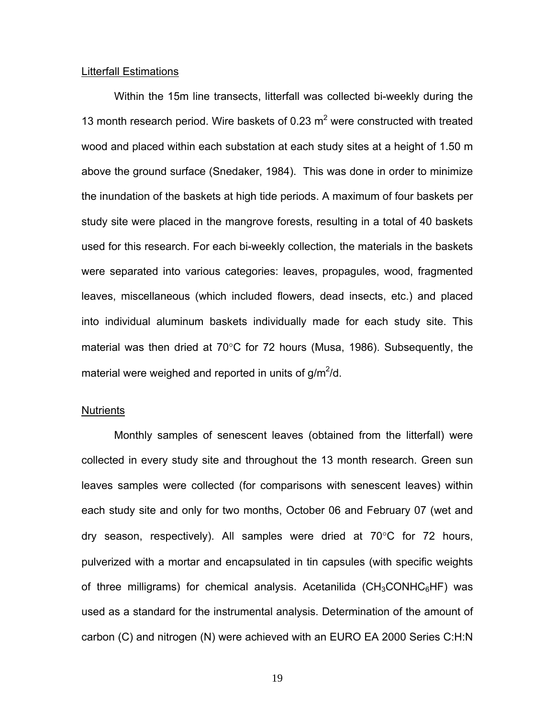#### Litterfall Estimations

Within the 15m line transects, litterfall was collected bi-weekly during the 13 month research period. Wire baskets of 0.23  $m^2$  were constructed with treated wood and placed within each substation at each study sites at a height of 1.50 m above the ground surface (Snedaker, 1984). This was done in order to minimize the inundation of the baskets at high tide periods. A maximum of four baskets per study site were placed in the mangrove forests, resulting in a total of 40 baskets used for this research. For each bi-weekly collection, the materials in the baskets were separated into various categories: leaves, propagules, wood, fragmented leaves, miscellaneous (which included flowers, dead insects, etc.) and placed into individual aluminum baskets individually made for each study site. This material was then dried at 70°C for 72 hours (Musa, 1986). Subsequently, the material were weighed and reported in units of  $g/m^2/d$ .

### **Nutrients**

Monthly samples of senescent leaves (obtained from the litterfall) were collected in every study site and throughout the 13 month research. Green sun leaves samples were collected (for comparisons with senescent leaves) within each study site and only for two months, October 06 and February 07 (wet and dry season, respectively). All samples were dried at 70°C for 72 hours, pulverized with a mortar and encapsulated in tin capsules (with specific weights of three milligrams) for chemical analysis. Acetanilida ( $CH<sub>3</sub>CONHC<sub>6</sub>HF$ ) was used as a standard for the instrumental analysis. Determination of the amount of carbon (C) and nitrogen (N) were achieved with an EURO EA 2000 Series C:H:N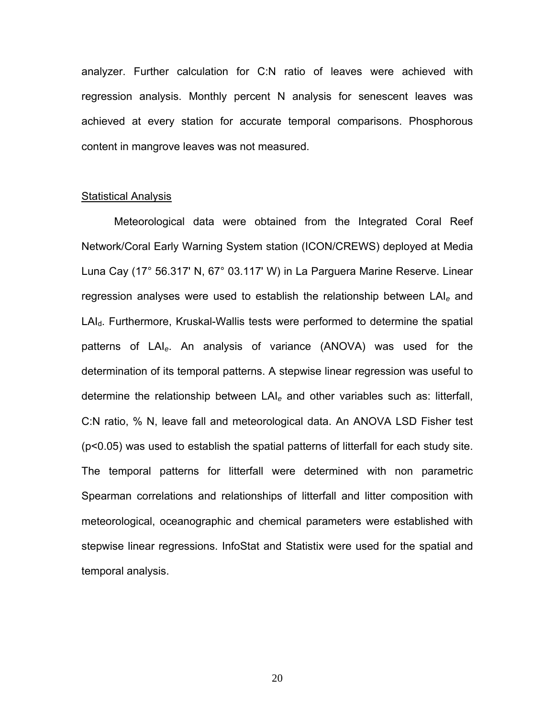analyzer. Further calculation for C:N ratio of leaves were achieved with regression analysis. Monthly percent N analysis for senescent leaves was achieved at every station for accurate temporal comparisons. Phosphorous content in mangrove leaves was not measured.

#### **Statistical Analysis**

Meteorological data were obtained from the Integrated Coral Reef Network/Coral Early Warning System station (ICON/CREWS) deployed at Media Luna Cay (17° 56.317' N, 67° 03.117' W) in La Parguera Marine Reserve. Linear regression analyses were used to establish the relationship between LAI*e* and LAI<sub>d</sub>. Furthermore, Kruskal-Wallis tests were performed to determine the spatial patterns of LAI*e*. An analysis of variance (ANOVA) was used for the determination of its temporal patterns. A stepwise linear regression was useful to determine the relationship between LAI*e* and other variables such as: litterfall, C:N ratio, % N, leave fall and meteorological data. An ANOVA LSD Fisher test (p<0.05) was used to establish the spatial patterns of litterfall for each study site. The temporal patterns for litterfall were determined with non parametric Spearman correlations and relationships of litterfall and litter composition with meteorological, oceanographic and chemical parameters were established with stepwise linear regressions. InfoStat and Statistix were used for the spatial and temporal analysis.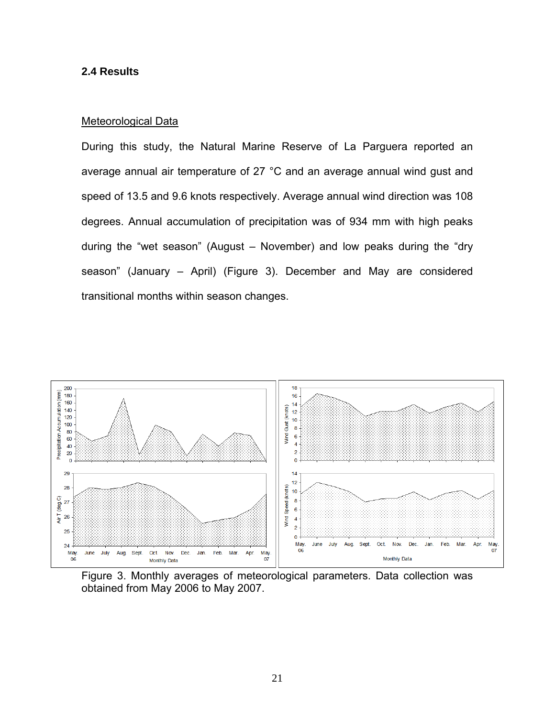## **2.4 Results**

## Meteorological Data

During this study, the Natural Marine Reserve of La Parguera reported an average annual air temperature of 27 °C and an average annual wind gust and speed of 13.5 and 9.6 knots respectively. Average annual wind direction was 108 degrees. Annual accumulation of precipitation was of 934 mm with high peaks during the "wet season" (August – November) and low peaks during the "dry season" (January – April) (Figure 3). December and May are considered transitional months within season changes.



Figure 3. Monthly averages of meteorological parameters. Data collection was obtained from May 2006 to May 2007.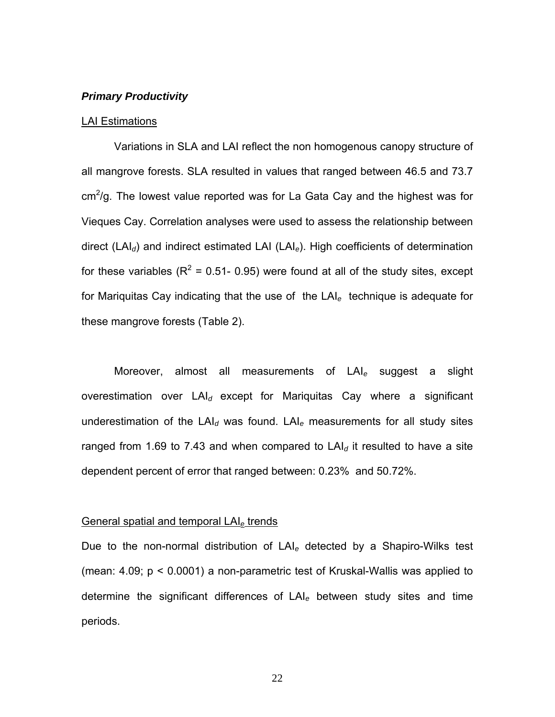## *Primary Productivity*

#### LAI Estimations

Variations in SLA and LAI reflect the non homogenous canopy structure of all mangrove forests. SLA resulted in values that ranged between 46.5 and 73.7  $cm<sup>2</sup>/g$ . The lowest value reported was for La Gata Cay and the highest was for Vieques Cay. Correlation analyses were used to assess the relationship between direct (LAI*d*) and indirect estimated LAI (LAI*e*). High coefficients of determination for these variables ( $R^2$  = 0.51- 0.95) were found at all of the study sites, except for Mariquitas Cay indicating that the use of the LAI*e* technique is adequate for these mangrove forests (Table 2).

Moreover, almost all measurements of LAI*e* suggest a slight overestimation over LAI*d* except for Mariquitas Cay where a significant underestimation of the LAI*d* was found. LAI*e* measurements for all study sites ranged from 1.69 to 7.43 and when compared to  $LA<sub>d</sub>$  it resulted to have a site dependent percent of error that ranged between: 0.23% and 50.72%.

#### General spatial and temporal LAI*e* trends

Due to the non-normal distribution of LAI*e* detected by a Shapiro-Wilks test (mean: 4.09; p < 0.0001) a non-parametric test of Kruskal-Wallis was applied to determine the significant differences of LAI*e* between study sites and time periods.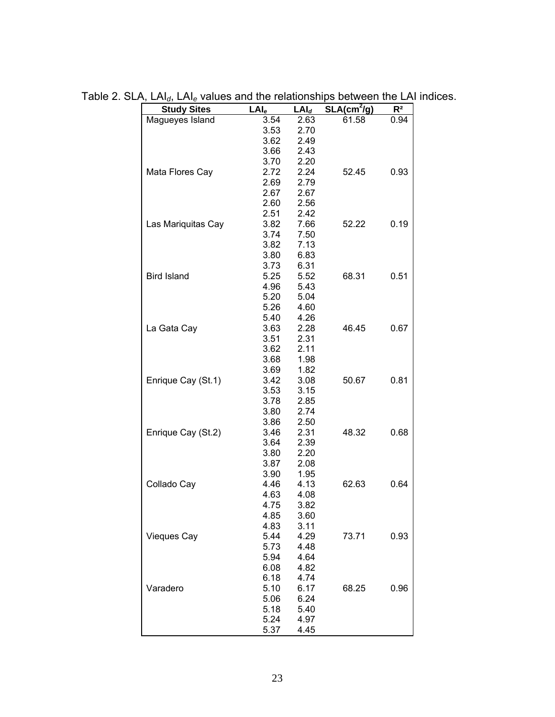| <b>Study Sites</b> | $LAI_e$ | $LAI_d$ | $SLA(cm^2/g)$ | R <sup>2</sup> |
|--------------------|---------|---------|---------------|----------------|
| Magueyes Island    | 3.54    | 2.63    | 61.58         | 0.94           |
|                    | 3.53    | 2.70    |               |                |
|                    | 3.62    | 2.49    |               |                |
|                    | 3.66    | 2.43    |               |                |
|                    | 3.70    | 2.20    |               |                |
| Mata Flores Cay    | 2.72    | 2.24    | 52.45         | 0.93           |
|                    | 2.69    | 2.79    |               |                |
|                    | 2.67    | 2.67    |               |                |
|                    | 2.60    | 2.56    |               |                |
|                    | 2.51    | 2.42    |               |                |
| Las Mariquitas Cay | 3.82    | 7.66    | 52.22         | 0.19           |
|                    | 3.74    | 7.50    |               |                |
|                    | 3.82    | 7.13    |               |                |
|                    | 3.80    | 6.83    |               |                |
|                    | 3.73    | 6.31    |               |                |
| <b>Bird Island</b> | 5.25    | 5.52    | 68.31         | 0.51           |
|                    | 4.96    | 5.43    |               |                |
|                    | 5.20    | 5.04    |               |                |
|                    | 5.26    | 4.60    |               |                |
|                    | 5.40    | 4.26    |               |                |
|                    | 3.63    |         | 46.45         |                |
| La Gata Cay        |         | 2.28    |               | 0.67           |
|                    | 3.51    | 2.31    |               |                |
|                    | 3.62    | 2.11    |               |                |
|                    | 3.68    | 1.98    |               |                |
|                    | 3.69    | 1.82    |               |                |
| Enrique Cay (St.1) | 3.42    | 3.08    | 50.67         | 0.81           |
|                    | 3.53    | 3.15    |               |                |
|                    | 3.78    | 2.85    |               |                |
|                    | 3.80    | 2.74    |               |                |
|                    | 3.86    | 2.50    |               |                |
| Enrique Cay (St.2) | 3.46    | 2.31    | 48.32         | 0.68           |
|                    | 3.64    | 2.39    |               |                |
|                    | 3.80    | 2.20    |               |                |
|                    | 3.87    | 2.08    |               |                |
|                    | 3.90    | 1.95    |               |                |
| Collado Cay        | 4.46    | 4.13    | 62.63         | 0.64           |
|                    | 4.63    | 4.08    |               |                |
|                    | 4.75    | 3.82    |               |                |
|                    | 4.85    | 3.60    |               |                |
|                    | 4.83    | 3.11    |               |                |
| <b>Vieques Cay</b> | 5.44    | 4.29    | 73.71         | 0.93           |
|                    | 5.73    | 4.48    |               |                |
|                    | 5.94    | 4.64    |               |                |
|                    | 6.08    | 4.82    |               |                |
|                    | 6.18    | 4.74    |               |                |
| Varadero           | 5.10    | 6.17    | 68.25         | 0.96           |
|                    | 5.06    | 6.24    |               |                |
|                    | 5.18    | 5.40    |               |                |
|                    | 5.24    | 4.97    |               |                |
|                    | 5.37    | 4.45    |               |                |
|                    |         |         |               |                |

Table 2. SLA, LAI*d*, LAI*e* values and the relationships between the LAI indices.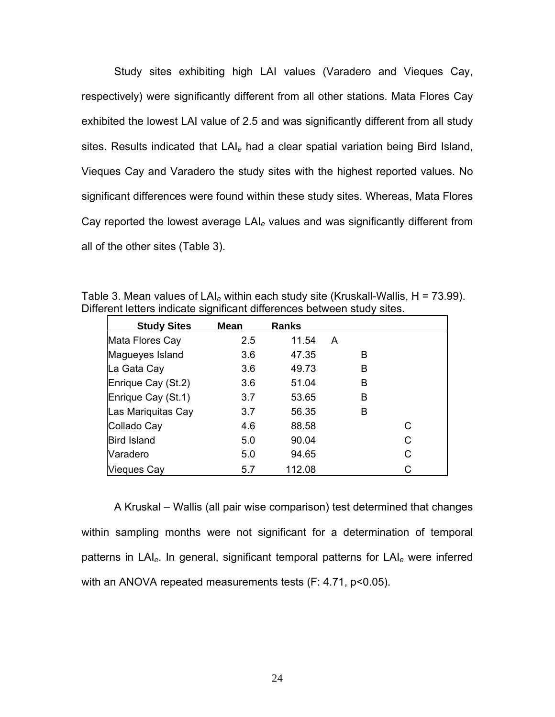Study sites exhibiting high LAI values (Varadero and Vieques Cay, respectively) were significantly different from all other stations. Mata Flores Cay exhibited the lowest LAI value of 2.5 and was significantly different from all study sites. Results indicated that LAI*e* had a clear spatial variation being Bird Island, Vieques Cay and Varadero the study sites with the highest reported values. No significant differences were found within these study sites. Whereas, Mata Flores Cay reported the lowest average LAI*e* values and was significantly different from all of the other sites (Table 3).

| erent letters indicate significant differences between study sites. |               |              |   |   |  |
|---------------------------------------------------------------------|---------------|--------------|---|---|--|
| <b>Study Sites</b>                                                  | <b>Mean</b>   | <b>Ranks</b> |   |   |  |
| Mata Flores Cay                                                     | $2.5^{\circ}$ | 11.54        | A |   |  |
| Magueyes Island                                                     | 3.6           | 47.35        | в |   |  |
| La Gata Cay                                                         | 3.6           | 49.73        | в |   |  |
| Enrique Cay (St.2)                                                  | 3.6           | 51.04        | B |   |  |
| Enrique Cay (St.1)                                                  | 3.7           | 53.65        | B |   |  |
| Las Mariquitas Cay                                                  | 3.7           | 56.35        | в |   |  |
| Collado Cay                                                         | 4.6           | 88.58        |   | С |  |
| <b>Bird Island</b>                                                  | 5.0           | 90.04        |   | C |  |
| Varadero                                                            | 5.0           | 94.65        |   | C |  |
| Vieques Cay                                                         | 5.7           | 112.08       |   | С |  |

Table 3. Mean values of LAI*e* within each study site (Kruskall-Wallis, H = 73.99). Different letters indicate significant differences between study sites.

A Kruskal – Wallis (all pair wise comparison) test determined that changes within sampling months were not significant for a determination of temporal patterns in LAI*e*. In general, significant temporal patterns for LAI*e* were inferred with an ANOVA repeated measurements tests (F: 4.71, p<0.05).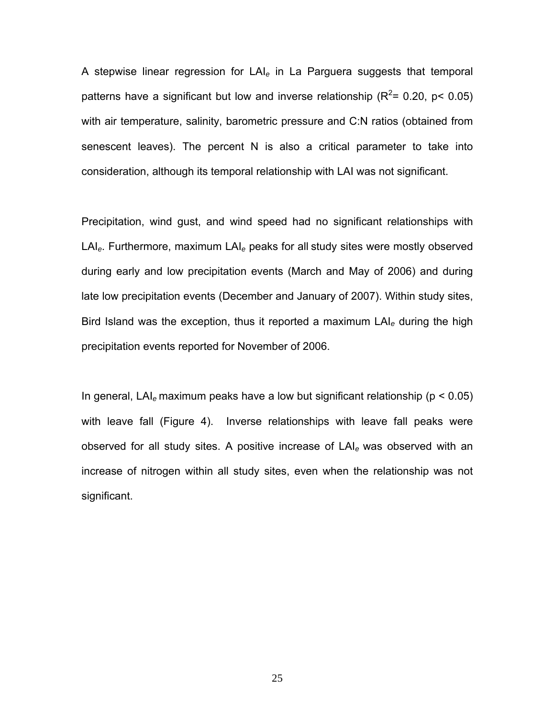A stepwise linear regression for LAI*e* in La Parguera suggests that temporal patterns have a significant but low and inverse relationship ( $R^2$ = 0.20, p< 0.05) with air temperature, salinity, barometric pressure and C:N ratios (obtained from senescent leaves). The percent N is also a critical parameter to take into consideration, although its temporal relationship with LAI was not significant.

Precipitation, wind gust, and wind speed had no significant relationships with LAI*e*. Furthermore, maximum LAI*e* peaks for all study sites were mostly observed during early and low precipitation events (March and May of 2006) and during late low precipitation events (December and January of 2007). Within study sites, Bird Island was the exception, thus it reported a maximum LAI*e* during the high precipitation events reported for November of 2006.

In general, LAI*e* maximum peaks have a low but significant relationship (p < 0.05) with leave fall (Figure 4). Inverse relationships with leave fall peaks were observed for all study sites. A positive increase of LAI*e* was observed with an increase of nitrogen within all study sites, even when the relationship was not significant.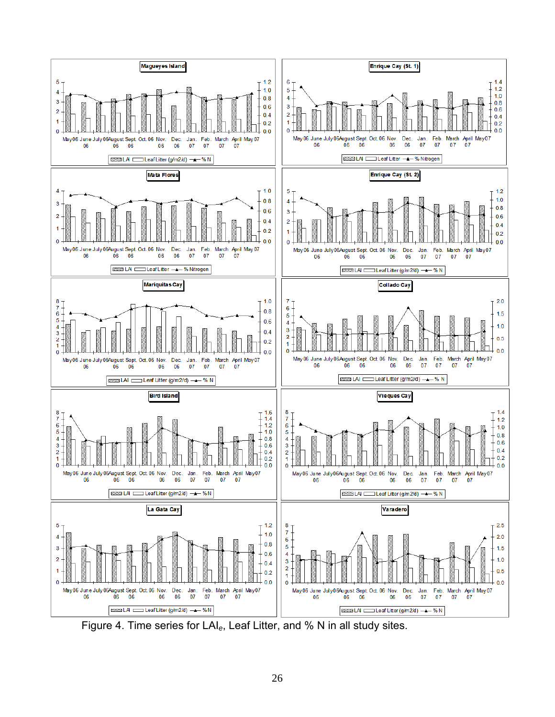

Figure 4. Time series for LAI*e*, Leaf Litter, and % N in all study sites.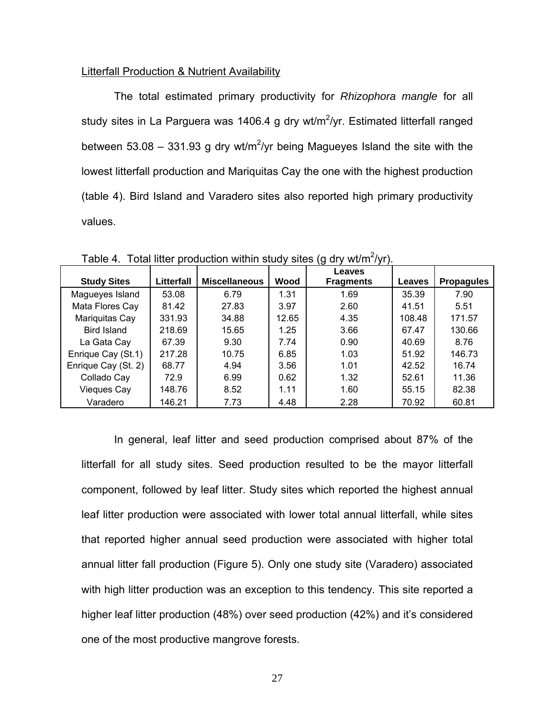#### Litterfall Production & Nutrient Availability

The total estimated primary productivity for *Rhizophora mangle* for all study sites in La Parguera was 1406.4 g dry wt/m<sup>2</sup>/yr. Estimated litterfall ranged between 53.08 – 331.93 g dry wt/m<sup>2</sup>/yr being Magueyes Island the site with the lowest litterfall production and Mariquitas Cay the one with the highest production (table 4). Bird Island and Varadero sites also reported high primary productivity values.

| <b>Study Sites</b>  | Litterfall | <b>Miscellaneous</b> | Wood  | Leaves<br><b>Fragments</b> | <b>Leaves</b> | <b>Propagules</b> |
|---------------------|------------|----------------------|-------|----------------------------|---------------|-------------------|
| Magueyes Island     | 53.08      | 6.79                 | 1.31  | 1.69                       | 35.39         | 7.90              |
| Mata Flores Cay     | 81.42      | 27.83                | 3.97  | 2.60                       | 41.51         | 5.51              |
| Mariquitas Cay      | 331.93     | 34.88                | 12.65 | 4.35                       | 108.48        | 171.57            |
| <b>Bird Island</b>  | 218.69     | 15.65                | 1.25  | 3.66                       | 67.47         | 130.66            |
| La Gata Cay         | 67.39      | 9.30                 | 7.74  | 0.90                       | 40.69         | 8.76              |
| Enrique Cay (St.1)  | 217.28     | 10.75                | 6.85  | 1.03                       | 51.92         | 146.73            |
| Enrique Cay (St. 2) | 68.77      | 4.94                 | 3.56  | 1.01                       | 42.52         | 16.74             |
| Collado Cay         | 72.9       | 6.99                 | 0.62  | 1.32                       | 52.61         | 11.36             |
| <b>Vieques Cay</b>  | 148.76     | 8.52                 | 1.11  | 1.60                       | 55.15         | 82.38             |
| Varadero            | 146.21     | 7.73                 | 4.48  | 2.28                       | 70.92         | 60.81             |

Table 4. Total litter production within study sites (g dry wt/m<sup>2</sup>/yr).

In general, leaf litter and seed production comprised about 87% of the litterfall for all study sites. Seed production resulted to be the mayor litterfall component, followed by leaf litter. Study sites which reported the highest annual leaf litter production were associated with lower total annual litterfall, while sites that reported higher annual seed production were associated with higher total annual litter fall production (Figure 5). Only one study site (Varadero) associated with high litter production was an exception to this tendency. This site reported a higher leaf litter production (48%) over seed production (42%) and it's considered one of the most productive mangrove forests.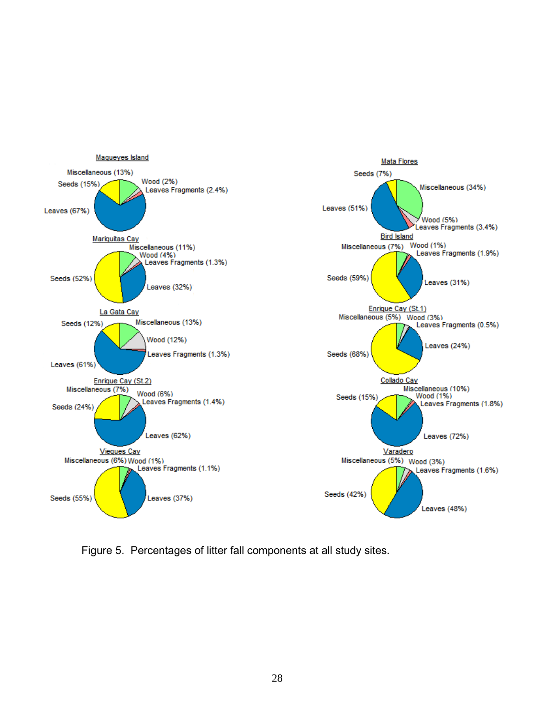

Figure 5. Percentages of litter fall components at all study sites.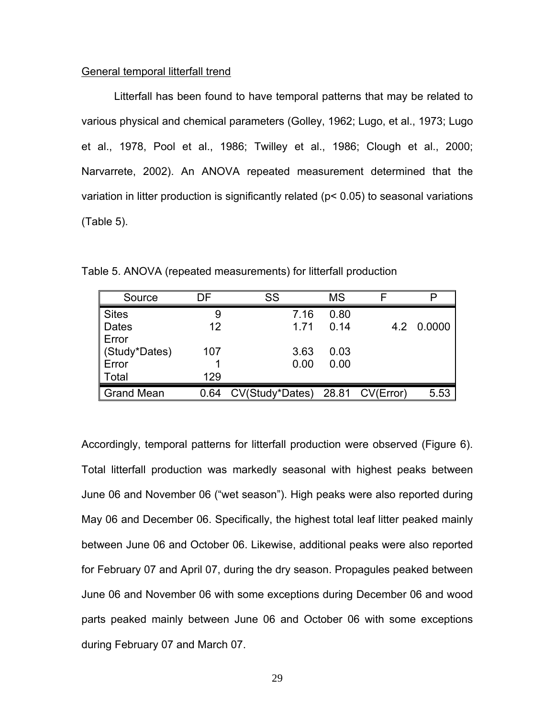#### General temporal litterfall trend

Litterfall has been found to have temporal patterns that may be related to various physical and chemical parameters (Golley, 1962; Lugo, et al., 1973; Lugo et al., 1978, Pool et al., 1986; Twilley et al., 1986; Clough et al., 2000; Narvarrete, 2002). An ANOVA repeated measurement determined that the variation in litter production is significantly related (p< 0.05) to seasonal variations (Table 5).

| Source            | DF   | SS                              | ΜS   |            |
|-------------------|------|---------------------------------|------|------------|
| <b>Sites</b>      |      | 7.16                            | 0.80 |            |
| <b>Dates</b>      | 12   | 1.71                            | 0.14 | 4.2 0.0000 |
| Error             |      |                                 |      |            |
| Study*Dates)      | 107  | 3.63                            | 0.03 |            |
| Error             |      | 0.00                            | 0.00 |            |
| Total             | 129  |                                 |      |            |
| <b>Grand Mean</b> | 0.64 | CV(Study*Dates) 28.81 CV(Error) |      | 5.53       |

Table 5. ANOVA (repeated measurements) for litterfall production

Accordingly, temporal patterns for litterfall production were observed (Figure 6). Total litterfall production was markedly seasonal with highest peaks between June 06 and November 06 ("wet season"). High peaks were also reported during May 06 and December 06. Specifically, the highest total leaf litter peaked mainly between June 06 and October 06. Likewise, additional peaks were also reported for February 07 and April 07, during the dry season. Propagules peaked between June 06 and November 06 with some exceptions during December 06 and wood parts peaked mainly between June 06 and October 06 with some exceptions during February 07 and March 07.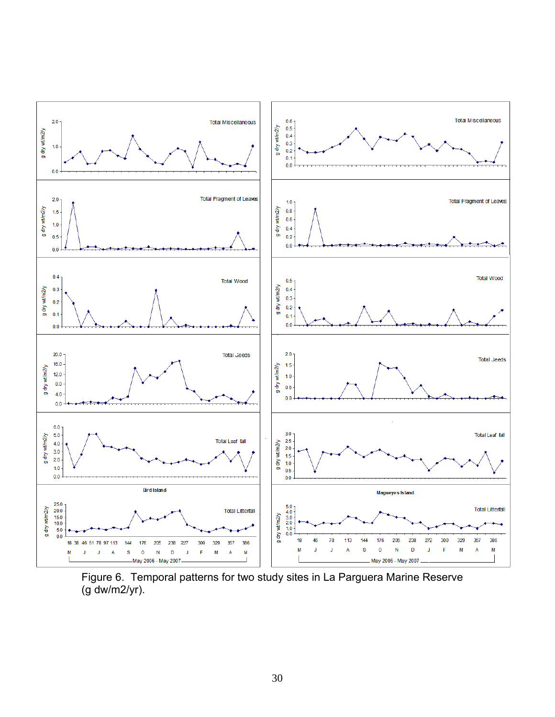

Figure 6. Temporal patterns for two study sites in La Parguera Marine Reserve (g dw/m2/yr).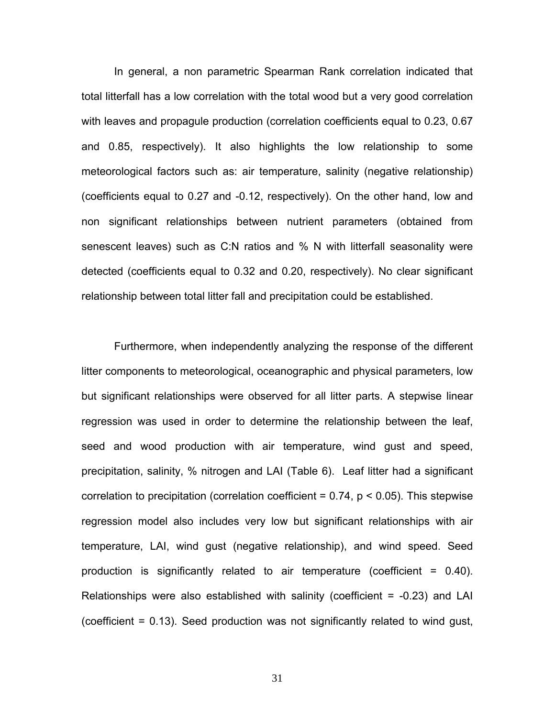In general, a non parametric Spearman Rank correlation indicated that total litterfall has a low correlation with the total wood but a very good correlation with leaves and propagule production (correlation coefficients equal to 0.23, 0.67 and 0.85, respectively). It also highlights the low relationship to some meteorological factors such as: air temperature, salinity (negative relationship) (coefficients equal to 0.27 and -0.12, respectively). On the other hand, low and non significant relationships between nutrient parameters (obtained from senescent leaves) such as C:N ratios and % N with litterfall seasonality were detected (coefficients equal to 0.32 and 0.20, respectively). No clear significant relationship between total litter fall and precipitation could be established.

Furthermore, when independently analyzing the response of the different litter components to meteorological, oceanographic and physical parameters, low but significant relationships were observed for all litter parts. A stepwise linear regression was used in order to determine the relationship between the leaf, seed and wood production with air temperature, wind gust and speed, precipitation, salinity, % nitrogen and LAI (Table 6). Leaf litter had a significant correlation to precipitation (correlation coefficient =  $0.74$ ,  $p < 0.05$ ). This stepwise regression model also includes very low but significant relationships with air temperature, LAI, wind gust (negative relationship), and wind speed. Seed production is significantly related to air temperature (coefficient = 0.40). Relationships were also established with salinity (coefficient = -0.23) and LAI (coefficient = 0.13). Seed production was not significantly related to wind gust,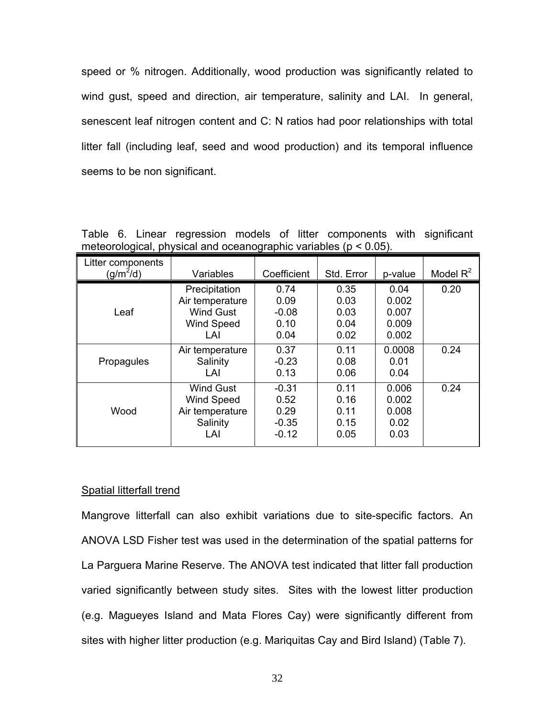speed or % nitrogen. Additionally, wood production was significantly related to wind gust, speed and direction, air temperature, salinity and LAI. In general, senescent leaf nitrogen content and C: N ratios had poor relationships with total litter fall (including leaf, seed and wood production) and its temporal influence seems to be non significant.

| Litter components |                   |             |            |         |             |
|-------------------|-------------------|-------------|------------|---------|-------------|
| $(g/m^2/d)$       | Variables         | Coefficient | Std. Error | p-value | Model $R^2$ |
|                   | Precipitation     | 0.74        | 0.35       | 0.04    | 0.20        |
|                   | Air temperature   | 0.09        | 0.03       | 0.002   |             |
| Leaf              | <b>Wind Gust</b>  | $-0.08$     | 0.03       | 0.007   |             |
|                   | <b>Wind Speed</b> | 0.10        | 0.04       | 0.009   |             |
|                   | LAI               | 0.04        | 0.02       | 0.002   |             |
|                   | Air temperature   | 0.37        | 0.11       | 0.0008  | 0.24        |
| Propagules        | Salinity          | $-0.23$     | 0.08       | 0.01    |             |
|                   | LAI               | 0.13        | 0.06       | 0.04    |             |
|                   | Wind Gust         | $-0.31$     | 0.11       | 0.006   | 0.24        |
|                   | <b>Wind Speed</b> | 0.52        | 0.16       | 0.002   |             |
| Wood              | Air temperature   | 0.29        | 0.11       | 0.008   |             |
|                   | Salinity          | $-0.35$     | 0.15       | 0.02    |             |
|                   | LAI               | $-0.12$     | 0.05       | 0.03    |             |

Table 6. Linear regression models of litter components with significant meteorological, physical and oceanographic variables (p < 0.05).

### Spatial litterfall trend

Mangrove litterfall can also exhibit variations due to site-specific factors. An ANOVA LSD Fisher test was used in the determination of the spatial patterns for La Parguera Marine Reserve. The ANOVA test indicated that litter fall production varied significantly between study sites. Sites with the lowest litter production (e.g. Magueyes Island and Mata Flores Cay) were significantly different from sites with higher litter production (e.g. Mariquitas Cay and Bird Island) (Table 7).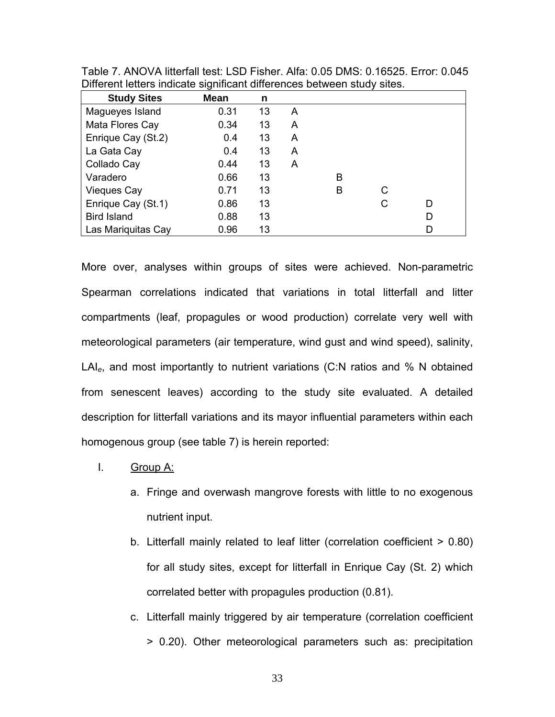| <b>Study Sites</b> | Mean | n  |   |   |   |   |
|--------------------|------|----|---|---|---|---|
| Magueyes Island    | 0.31 | 13 | A |   |   |   |
| Mata Flores Cay    | 0.34 | 13 | A |   |   |   |
| Enrique Cay (St.2) | 0.4  | 13 | A |   |   |   |
| La Gata Cay        | 0.4  | 13 | A |   |   |   |
| Collado Cay        | 0.44 | 13 | A |   |   |   |
| Varadero           | 0.66 | 13 |   | в |   |   |
| <b>Vieques Cay</b> | 0.71 | 13 |   | B | C |   |
| Enrique Cay (St.1) | 0.86 | 13 |   |   | C | D |
| <b>Bird Island</b> | 0.88 | 13 |   |   |   | D |
| Las Mariquitas Cay | 0.96 | 13 |   |   |   | D |

Table 7. ANOVA litterfall test: LSD Fisher. Alfa: 0.05 DMS: 0.16525. Error: 0.045 Different letters indicate significant differences between study sites.

More over, analyses within groups of sites were achieved. Non-parametric Spearman correlations indicated that variations in total litterfall and litter compartments (leaf, propagules or wood production) correlate very well with meteorological parameters (air temperature, wind gust and wind speed), salinity, LAI*e*, and most importantly to nutrient variations (C:N ratios and % N obtained from senescent leaves) according to the study site evaluated. A detailed description for litterfall variations and its mayor influential parameters within each homogenous group (see table 7) is herein reported:

- I. Group A:
	- a. Fringe and overwash mangrove forests with little to no exogenous nutrient input.
	- b. Litterfall mainly related to leaf litter (correlation coefficient > 0.80) for all study sites, except for litterfall in Enrique Cay (St. 2) which correlated better with propagules production (0.81).
	- c. Litterfall mainly triggered by air temperature (correlation coefficient > 0.20). Other meteorological parameters such as: precipitation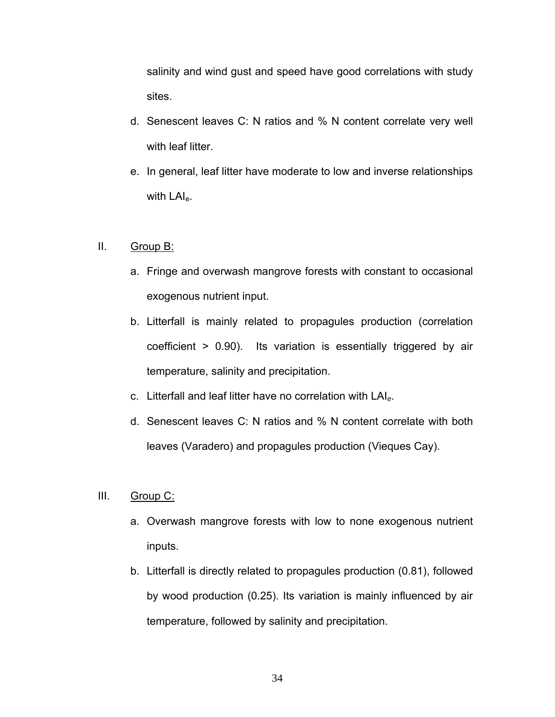salinity and wind gust and speed have good correlations with study sites.

- d. Senescent leaves C: N ratios and % N content correlate very well with leaf litter.
- e. In general, leaf litter have moderate to low and inverse relationships with LAI<sub>e</sub>.

## II. Group B:

- a. Fringe and overwash mangrove forests with constant to occasional exogenous nutrient input.
- b. Litterfall is mainly related to propagules production (correlation coefficient > 0.90). Its variation is essentially triggered by air temperature, salinity and precipitation.
- c. Litterfall and leaf litter have no correlation with LAI*e*.
- d. Senescent leaves C: N ratios and % N content correlate with both leaves (Varadero) and propagules production (Vieques Cay).

# III. Group C:

- a. Overwash mangrove forests with low to none exogenous nutrient inputs.
- b. Litterfall is directly related to propagules production (0.81), followed by wood production (0.25). Its variation is mainly influenced by air temperature, followed by salinity and precipitation.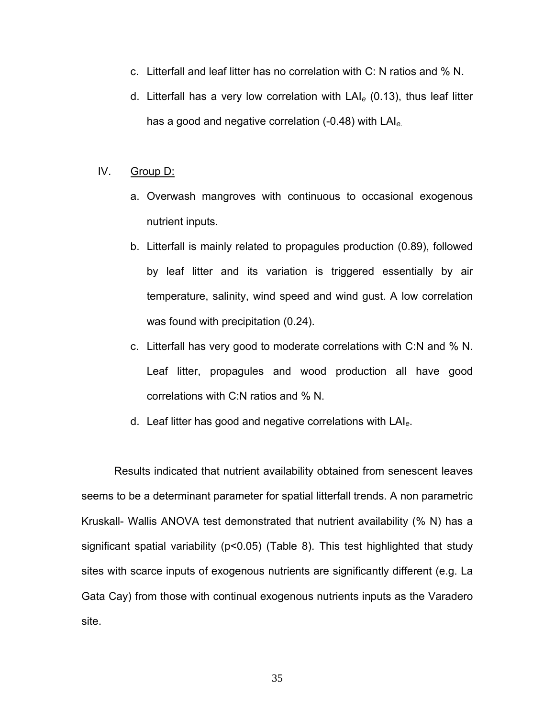- c. Litterfall and leaf litter has no correlation with C: N ratios and % N.
- d. Litterfall has a very low correlation with LAI*e* (0.13), thus leaf litter has a good and negative correlation (-0.48) with LAI*e.*

## IV. Group D:

- a. Overwash mangroves with continuous to occasional exogenous nutrient inputs.
- b. Litterfall is mainly related to propagules production (0.89), followed by leaf litter and its variation is triggered essentially by air temperature, salinity, wind speed and wind gust. A low correlation was found with precipitation (0.24).
- c. Litterfall has very good to moderate correlations with C:N and % N. Leaf litter, propagules and wood production all have good correlations with C:N ratios and % N.
- d. Leaf litter has good and negative correlations with LAI*e*.

Results indicated that nutrient availability obtained from senescent leaves seems to be a determinant parameter for spatial litterfall trends. A non parametric Kruskall- Wallis ANOVA test demonstrated that nutrient availability (% N) has a significant spatial variability (p<0.05) (Table 8). This test highlighted that study sites with scarce inputs of exogenous nutrients are significantly different (e.g. La Gata Cay) from those with continual exogenous nutrients inputs as the Varadero site.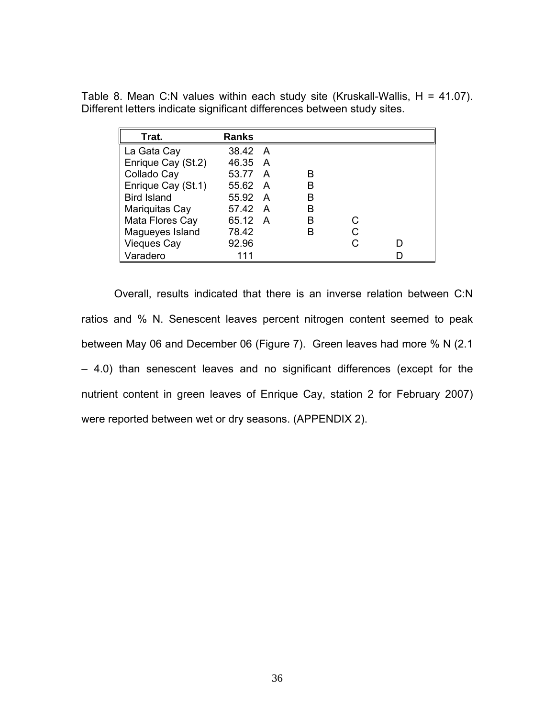| Trat.              | <b>Ranks</b> |   |  |
|--------------------|--------------|---|--|
| La Gata Cay        | 38.42 A      |   |  |
| Enrique Cay (St.2) | 46.35 A      |   |  |
| Collado Cay        | 53.77 A      | в |  |
| Enrique Cay (St.1) | 55.62 A      | в |  |
| <b>Bird Island</b> | 55.92 A      | в |  |
| Mariquitas Cay     | 57.42 A      | в |  |
| Mata Flores Cay    | 65.12 A      | в |  |
| Magueyes Island    | 78.42        | B |  |
| <b>Vieques Cay</b> | 92.96        |   |  |
| Varadero           | 111          |   |  |

Table 8. Mean C:N values within each study site (Kruskall-Wallis, H = 41.07). Different letters indicate significant differences between study sites.

Overall, results indicated that there is an inverse relation between C:N ratios and % N. Senescent leaves percent nitrogen content seemed to peak between May 06 and December 06 (Figure 7). Green leaves had more % N (2.1 – 4.0) than senescent leaves and no significant differences (except for the nutrient content in green leaves of Enrique Cay, station 2 for February 2007) were reported between wet or dry seasons. (APPENDIX 2).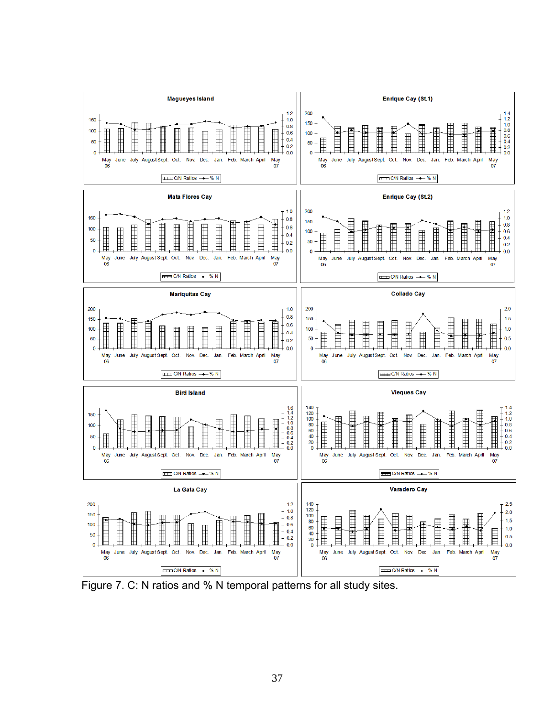

Figure 7. C: N ratios and % N temporal patterns for all study sites.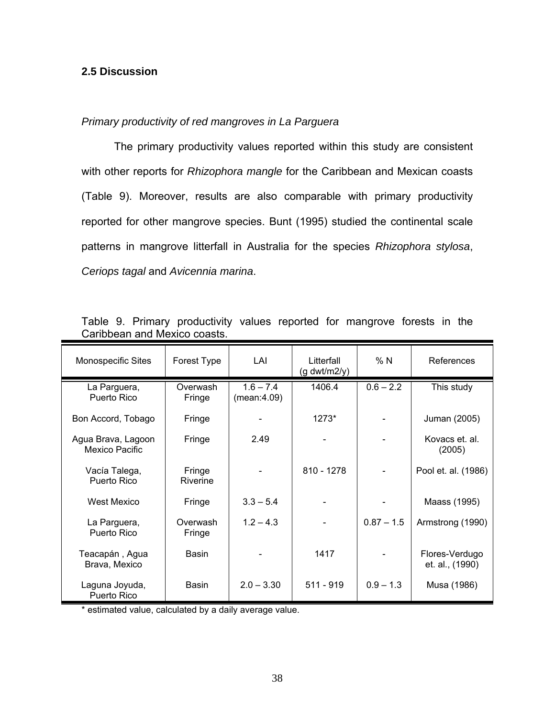## **2.5 Discussion**

## *Primary productivity of red mangroves in La Parguera*

The primary productivity values reported within this study are consistent with other reports for *Rhizophora mangle* for the Caribbean and Mexican coasts (Table 9). Moreover, results are also comparable with primary productivity reported for other mangrove species. Bunt (1995) studied the continental scale patterns in mangrove litterfall in Australia for the species *Rhizophora stylosa*, *Ceriops tagal* and *Avicennia marina*.

| <b>Monospecific Sites</b>            | Forest Type        | LAI                        | Litterfall<br>$(g \frac{dwt}{m2/y})$ | %N           | References                        |
|--------------------------------------|--------------------|----------------------------|--------------------------------------|--------------|-----------------------------------|
| La Parguera,<br>Puerto Rico          | Overwash<br>Fringe | $1.6 - 7.4$<br>(mean:4.09) | 1406.4                               | $0.6 - 2.2$  | This study                        |
| Bon Accord, Tobago                   | Fringe             |                            | 1273*                                |              | Juman (2005)                      |
| Agua Brava, Lagoon<br>Mexico Pacific | Fringe             | 2.49                       |                                      |              | Kovacs et. al.<br>(2005)          |
| Vacía Talega,<br>Puerto Rico         | Fringe<br>Riverine |                            | $810 - 1278$                         |              | Pool et. al. (1986)               |
| <b>West Mexico</b>                   | Fringe             | $3.3 - 5.4$                |                                      |              | Maass (1995)                      |
| La Parguera,<br>Puerto Rico          | Overwash<br>Fringe | $1.2 - 4.3$                |                                      | $0.87 - 1.5$ | Armstrong (1990)                  |
| Teacapán, Agua<br>Brava, Mexico      | Basin              |                            | 1417                                 |              | Flores-Verdugo<br>et. al., (1990) |
| Laguna Joyuda,<br>Puerto Rico        | Basin              | $2.0 - 3.30$               | $511 - 919$                          | $0.9 - 1.3$  | Musa (1986)                       |

Table 9. Primary productivity values reported for mangrove forests in the Caribbean and Mexico coasts.

\* estimated value, calculated by a daily average value.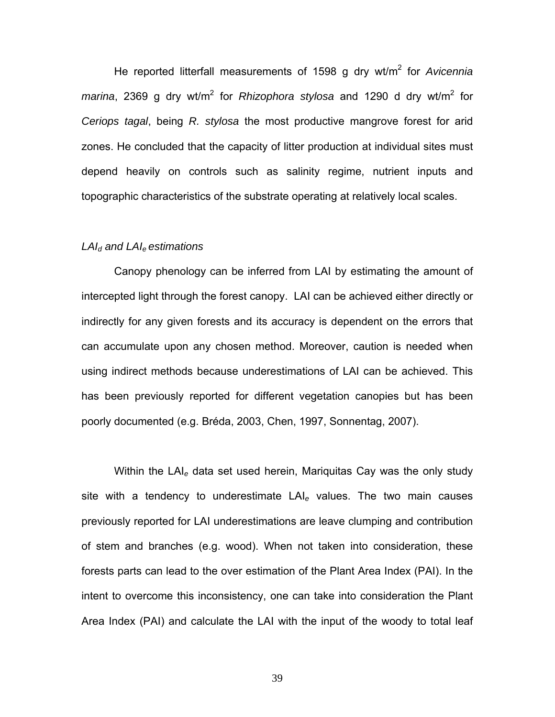He reported litterfall measurements of 1598 g dry wt/m<sup>2</sup> for *Avicennia* marina, 2369 g dry wt/m<sup>2</sup> for *Rhizophora stylosa* and 1290 d dry wt/m<sup>2</sup> for *Ceriops tagal*, being *R. stylosa* the most productive mangrove forest for arid zones. He concluded that the capacity of litter production at individual sites must depend heavily on controls such as salinity regime, nutrient inputs and topographic characteristics of the substrate operating at relatively local scales.

## *LAId and LAIe estimations*

Canopy phenology can be inferred from LAI by estimating the amount of intercepted light through the forest canopy. LAI can be achieved either directly or indirectly for any given forests and its accuracy is dependent on the errors that can accumulate upon any chosen method. Moreover, caution is needed when using indirect methods because underestimations of LAI can be achieved. This has been previously reported for different vegetation canopies but has been poorly documented (e.g. Bréda, 2003, Chen, 1997, Sonnentag, 2007).

Within the LAI*e* data set used herein, Mariquitas Cay was the only study site with a tendency to underestimate LAI*e* values. The two main causes previously reported for LAI underestimations are leave clumping and contribution of stem and branches (e.g. wood). When not taken into consideration, these forests parts can lead to the over estimation of the Plant Area Index (PAI). In the intent to overcome this inconsistency, one can take into consideration the Plant Area Index (PAI) and calculate the LAI with the input of the woody to total leaf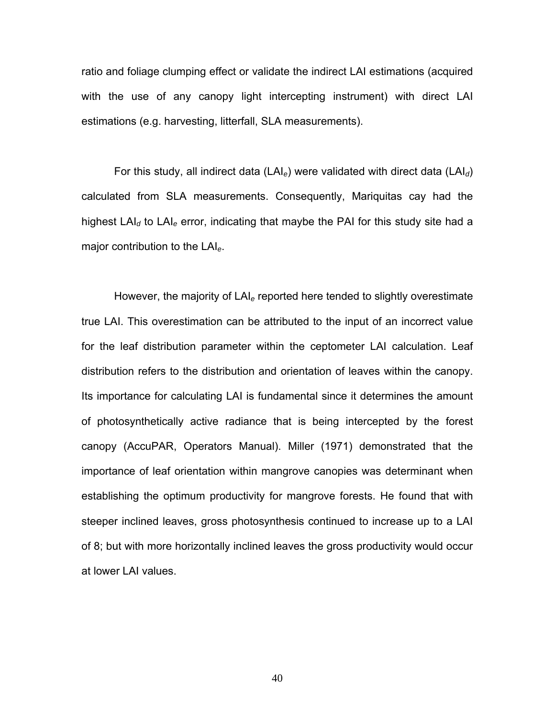ratio and foliage clumping effect or validate the indirect LAI estimations (acquired with the use of any canopy light intercepting instrument) with direct LAI estimations (e.g. harvesting, litterfall, SLA measurements).

For this study, all indirect data (LAI*e*) were validated with direct data (LAI*d*) calculated from SLA measurements. Consequently, Mariquitas cay had the highest LAI*d* to LAI*e* error, indicating that maybe the PAI for this study site had a major contribution to the LAI*e*.

However, the majority of LAI*e* reported here tended to slightly overestimate true LAI. This overestimation can be attributed to the input of an incorrect value for the leaf distribution parameter within the ceptometer LAI calculation. Leaf distribution refers to the distribution and orientation of leaves within the canopy. Its importance for calculating LAI is fundamental since it determines the amount of photosynthetically active radiance that is being intercepted by the forest canopy (AccuPAR, Operators Manual). Miller (1971) demonstrated that the importance of leaf orientation within mangrove canopies was determinant when establishing the optimum productivity for mangrove forests. He found that with steeper inclined leaves, gross photosynthesis continued to increase up to a LAI of 8; but with more horizontally inclined leaves the gross productivity would occur at lower LAI values.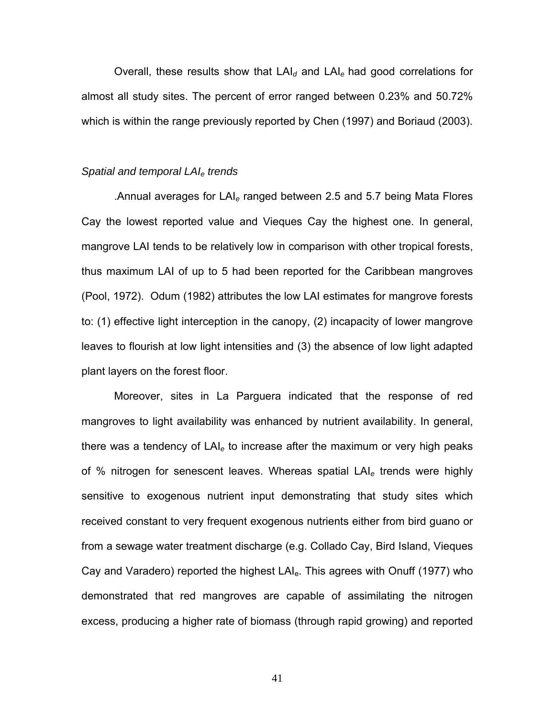Overall, these results show that LAI*d* and LAI*e* had good correlations for almost all study sites. The percent of error ranged between 0.23% and 50.72% which is within the range previously reported by Chen (1997) and Boriaud (2003).

#### *Spatial and temporal LAIe trends*

.Annual averages for LAI*e* ranged between 2.5 and 5.7 being Mata Flores Cay the lowest reported value and Vieques Cay the highest one. In general, mangrove LAI tends to be relatively low in comparison with other tropical forests, thus maximum LAI of up to 5 had been reported for the Caribbean mangroves (Pool, 1972). Odum (1982) attributes the low LAI estimates for mangrove forests to: (1) effective light interception in the canopy, (2) incapacity of lower mangrove leaves to flourish at low light intensities and (3) the absence of low light adapted plant layers on the forest floor.

Moreover, sites in La Parguera indicated that the response of red mangroves to light availability was enhanced by nutrient availability. In general, there was a tendency of LAI*e* to increase after the maximum or very high peaks of % nitrogen for senescent leaves. Whereas spatial LAI*e* trends were highly sensitive to exogenous nutrient input demonstrating that study sites which received constant to very frequent exogenous nutrients either from bird guano or from a sewage water treatment discharge (e.g. Collado Cay, Bird Island, Vieques Cay and Varadero) reported the highest  $LAI<sub>e</sub>$ . This agrees with Onuff (1977) who demonstrated that red mangroves are capable of assimilating the nitrogen excess, producing a higher rate of biomass (through rapid growing) and reported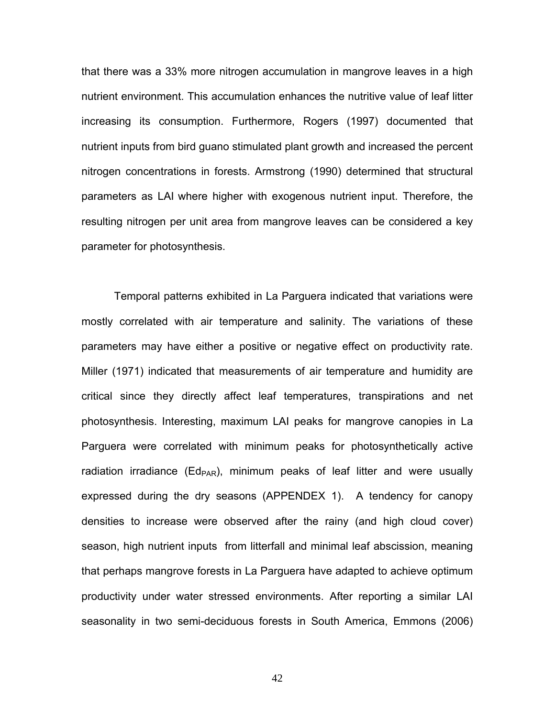that there was a 33% more nitrogen accumulation in mangrove leaves in a high nutrient environment. This accumulation enhances the nutritive value of leaf litter increasing its consumption. Furthermore, Rogers (1997) documented that nutrient inputs from bird guano stimulated plant growth and increased the percent nitrogen concentrations in forests. Armstrong (1990) determined that structural parameters as LAI where higher with exogenous nutrient input. Therefore, the resulting nitrogen per unit area from mangrove leaves can be considered a key parameter for photosynthesis.

Temporal patterns exhibited in La Parguera indicated that variations were mostly correlated with air temperature and salinity. The variations of these parameters may have either a positive or negative effect on productivity rate. Miller (1971) indicated that measurements of air temperature and humidity are critical since they directly affect leaf temperatures, transpirations and net photosynthesis. Interesting, maximum LAI peaks for mangrove canopies in La Parguera were correlated with minimum peaks for photosynthetically active radiation irradiance ( $Ed_{PAR}$ ), minimum peaks of leaf litter and were usually expressed during the dry seasons (APPENDEX 1). A tendency for canopy densities to increase were observed after the rainy (and high cloud cover) season, high nutrient inputs from litterfall and minimal leaf abscission, meaning that perhaps mangrove forests in La Parguera have adapted to achieve optimum productivity under water stressed environments. After reporting a similar LAI seasonality in two semi-deciduous forests in South America, Emmons (2006)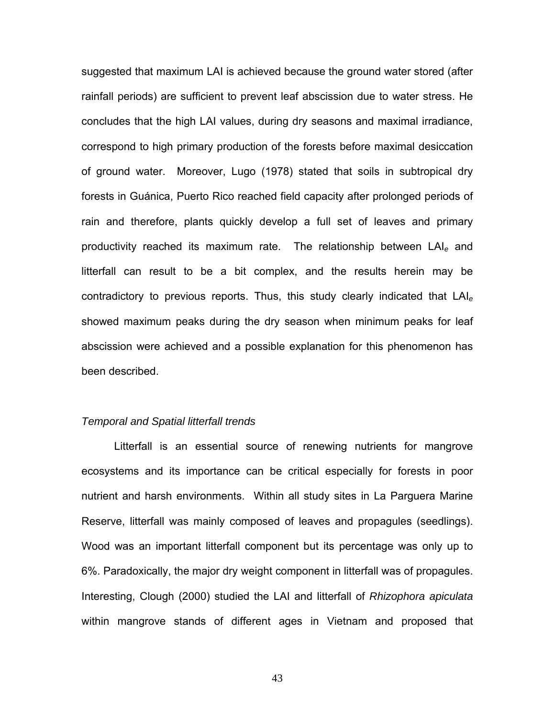suggested that maximum LAI is achieved because the ground water stored (after rainfall periods) are sufficient to prevent leaf abscission due to water stress. He concludes that the high LAI values, during dry seasons and maximal irradiance, correspond to high primary production of the forests before maximal desiccation of ground water. Moreover, Lugo (1978) stated that soils in subtropical dry forests in Guánica, Puerto Rico reached field capacity after prolonged periods of rain and therefore, plants quickly develop a full set of leaves and primary productivity reached its maximum rate. The relationship between LAI*e* and litterfall can result to be a bit complex, and the results herein may be contradictory to previous reports. Thus, this study clearly indicated that LAI*<sup>e</sup>* showed maximum peaks during the dry season when minimum peaks for leaf abscission were achieved and a possible explanation for this phenomenon has been described.

#### *Temporal and Spatial litterfall trends*

Litterfall is an essential source of renewing nutrients for mangrove ecosystems and its importance can be critical especially for forests in poor nutrient and harsh environments. Within all study sites in La Parguera Marine Reserve, litterfall was mainly composed of leaves and propagules (seedlings). Wood was an important litterfall component but its percentage was only up to 6%. Paradoxically, the major dry weight component in litterfall was of propagules. Interesting, Clough (2000) studied the LAI and litterfall of *Rhizophora apiculata* within mangrove stands of different ages in Vietnam and proposed that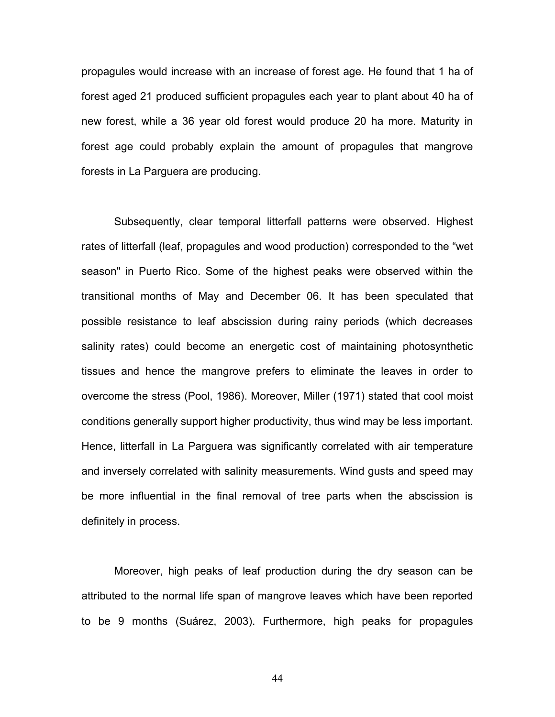propagules would increase with an increase of forest age. He found that 1 ha of forest aged 21 produced sufficient propagules each year to plant about 40 ha of new forest, while a 36 year old forest would produce 20 ha more. Maturity in forest age could probably explain the amount of propagules that mangrove forests in La Parguera are producing.

Subsequently, clear temporal litterfall patterns were observed. Highest rates of litterfall (leaf, propagules and wood production) corresponded to the "wet season" in Puerto Rico. Some of the highest peaks were observed within the transitional months of May and December 06. It has been speculated that possible resistance to leaf abscission during rainy periods (which decreases salinity rates) could become an energetic cost of maintaining photosynthetic tissues and hence the mangrove prefers to eliminate the leaves in order to overcome the stress (Pool, 1986). Moreover, Miller (1971) stated that cool moist conditions generally support higher productivity, thus wind may be less important. Hence, litterfall in La Parguera was significantly correlated with air temperature and inversely correlated with salinity measurements. Wind gusts and speed may be more influential in the final removal of tree parts when the abscission is definitely in process.

Moreover, high peaks of leaf production during the dry season can be attributed to the normal life span of mangrove leaves which have been reported to be 9 months (Suárez, 2003). Furthermore, high peaks for propagules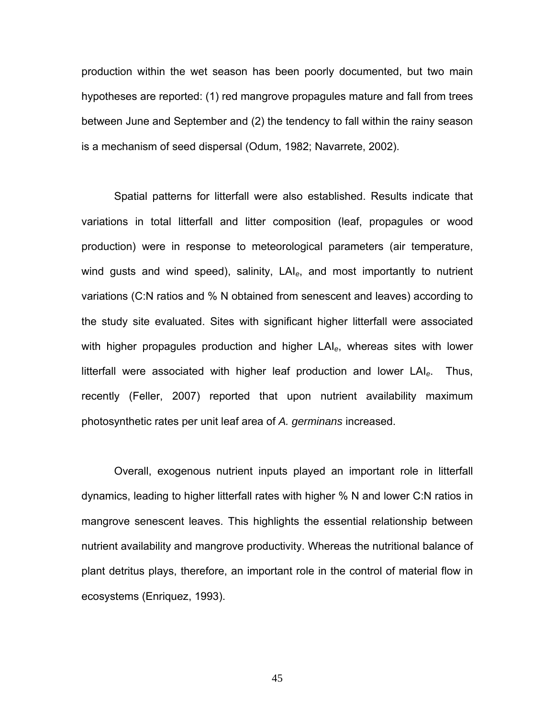production within the wet season has been poorly documented, but two main hypotheses are reported: (1) red mangrove propagules mature and fall from trees between June and September and (2) the tendency to fall within the rainy season is a mechanism of seed dispersal (Odum, 1982; Navarrete, 2002).

Spatial patterns for litterfall were also established. Results indicate that variations in total litterfall and litter composition (leaf, propagules or wood production) were in response to meteorological parameters (air temperature, wind gusts and wind speed), salinity, LAI*e*, and most importantly to nutrient variations (C:N ratios and % N obtained from senescent and leaves) according to the study site evaluated. Sites with significant higher litterfall were associated with higher propagules production and higher LAI*e*, whereas sites with lower litterfall were associated with higher leaf production and lower LAI*e*. Thus, recently (Feller, 2007) reported that upon nutrient availability maximum photosynthetic rates per unit leaf area of *A. germinans* increased.

Overall, exogenous nutrient inputs played an important role in litterfall dynamics, leading to higher litterfall rates with higher % N and lower C:N ratios in mangrove senescent leaves. This highlights the essential relationship between nutrient availability and mangrove productivity. Whereas the nutritional balance of plant detritus plays, therefore, an important role in the control of material flow in ecosystems (Enriquez, 1993).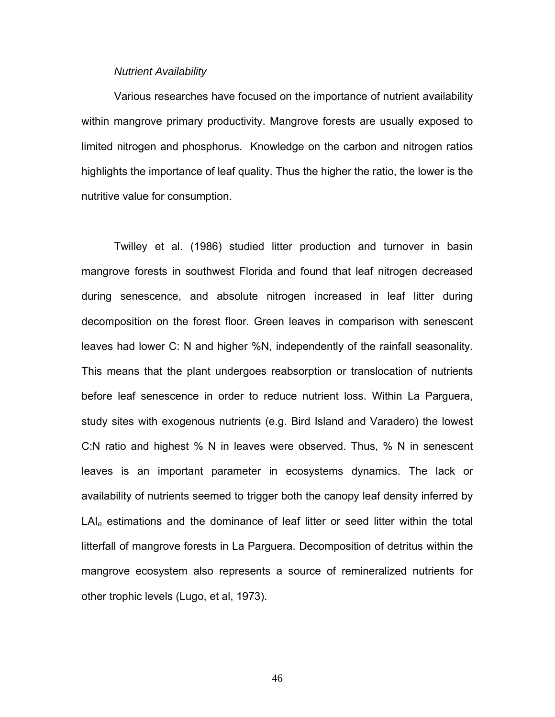### *Nutrient Availability*

Various researches have focused on the importance of nutrient availability within mangrove primary productivity. Mangrove forests are usually exposed to limited nitrogen and phosphorus. Knowledge on the carbon and nitrogen ratios highlights the importance of leaf quality. Thus the higher the ratio, the lower is the nutritive value for consumption.

Twilley et al. (1986) studied litter production and turnover in basin mangrove forests in southwest Florida and found that leaf nitrogen decreased during senescence, and absolute nitrogen increased in leaf litter during decomposition on the forest floor. Green leaves in comparison with senescent leaves had lower C: N and higher %N, independently of the rainfall seasonality. This means that the plant undergoes reabsorption or translocation of nutrients before leaf senescence in order to reduce nutrient loss. Within La Parguera, study sites with exogenous nutrients (e.g. Bird Island and Varadero) the lowest C:N ratio and highest % N in leaves were observed. Thus, % N in senescent leaves is an important parameter in ecosystems dynamics. The lack or availability of nutrients seemed to trigger both the canopy leaf density inferred by LAI*e* estimations and the dominance of leaf litter or seed litter within the total litterfall of mangrove forests in La Parguera. Decomposition of detritus within the mangrove ecosystem also represents a source of remineralized nutrients for other trophic levels (Lugo, et al, 1973).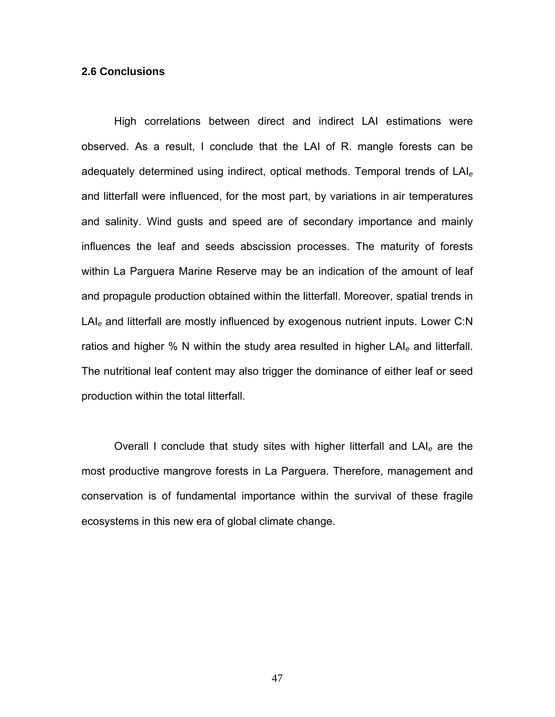## **2.6 Conclusions**

High correlations between direct and indirect LAI estimations were observed. As a result, I conclude that the LAI of R. mangle forests can be adequately determined using indirect, optical methods. Temporal trends of LAI*<sup>e</sup>* and litterfall were influenced, for the most part, by variations in air temperatures and salinity. Wind gusts and speed are of secondary importance and mainly influences the leaf and seeds abscission processes. The maturity of forests within La Parguera Marine Reserve may be an indication of the amount of leaf and propagule production obtained within the litterfall. Moreover, spatial trends in LAI*e* and litterfall are mostly influenced by exogenous nutrient inputs. Lower C:N ratios and higher % N within the study area resulted in higher LAI*e* and litterfall. The nutritional leaf content may also trigger the dominance of either leaf or seed production within the total litterfall.

Overall I conclude that study sites with higher litterfall and LAI*e* are the most productive mangrove forests in La Parguera. Therefore, management and conservation is of fundamental importance within the survival of these fragile ecosystems in this new era of global climate change.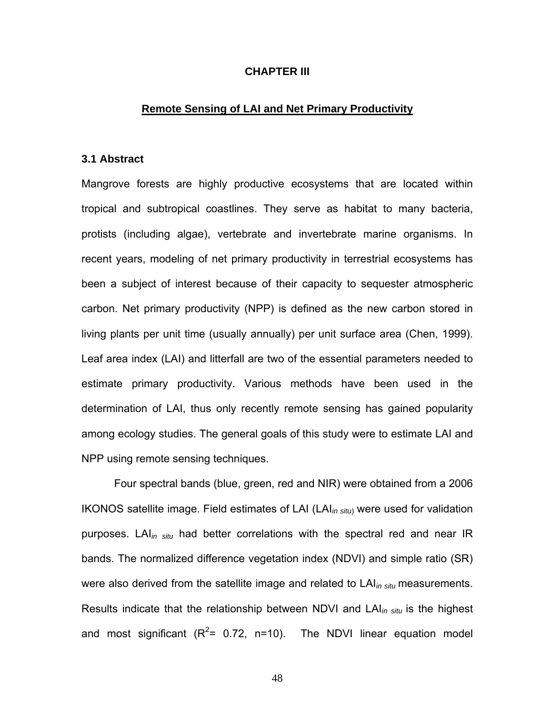## **CHAPTER III**

#### **Remote Sensing of LAI and Net Primary Productivity**

## **3.1 Abstract**

Mangrove forests are highly productive ecosystems that are located within tropical and subtropical coastlines. They serve as habitat to many bacteria, protists (including algae), vertebrate and invertebrate marine organisms. In recent years, modeling of net primary productivity in terrestrial ecosystems has been a subject of interest because of their capacity to sequester atmospheric carbon. Net primary productivity (NPP) is defined as the new carbon stored in living plants per unit time (usually annually) per unit surface area (Chen, 1999). Leaf area index (LAI) and litterfall are two of the essential parameters needed to estimate primary productivity. Various methods have been used in the determination of LAI, thus only recently remote sensing has gained popularity among ecology studies. The general goals of this study were to estimate LAI and NPP using remote sensing techniques.

Four spectral bands (blue, green, red and NIR) were obtained from a 2006 IKONOS satellite image. Field estimates of LAI (LAI*in situ*) were used for validation purposes. LAI*in situ* had better correlations with the spectral red and near IR bands. The normalized difference vegetation index (NDVI) and simple ratio (SR) were also derived from the satellite image and related to LAI*in situ* measurements. Results indicate that the relationship between NDVI and LAI*in situ* is the highest and most significant  $(R^2= 0.72, n=10)$ . The NDVI linear equation model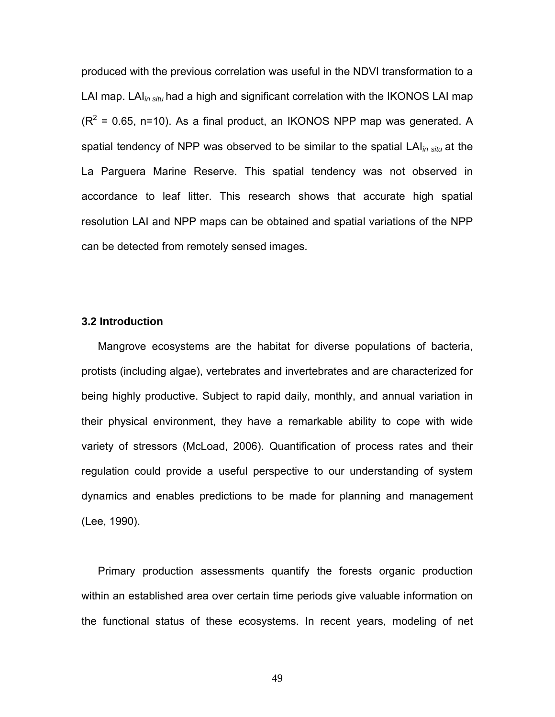produced with the previous correlation was useful in the NDVI transformation to a LAI map. LAI*in situ* had a high and significant correlation with the IKONOS LAI map  $(R^2 = 0.65, n=10)$ . As a final product, an IKONOS NPP map was generated. A spatial tendency of NPP was observed to be similar to the spatial LAI*in situ* at the La Parguera Marine Reserve. This spatial tendency was not observed in accordance to leaf litter. This research shows that accurate high spatial resolution LAI and NPP maps can be obtained and spatial variations of the NPP can be detected from remotely sensed images.

## **3.2 Introduction**

Mangrove ecosystems are the habitat for diverse populations of bacteria, protists (including algae), vertebrates and invertebrates and are characterized for being highly productive. Subject to rapid daily, monthly, and annual variation in their physical environment, they have a remarkable ability to cope with wide variety of stressors (McLoad, 2006). Quantification of process rates and their regulation could provide a useful perspective to our understanding of system dynamics and enables predictions to be made for planning and management (Lee, 1990).

Primary production assessments quantify the forests organic production within an established area over certain time periods give valuable information on the functional status of these ecosystems. In recent years, modeling of net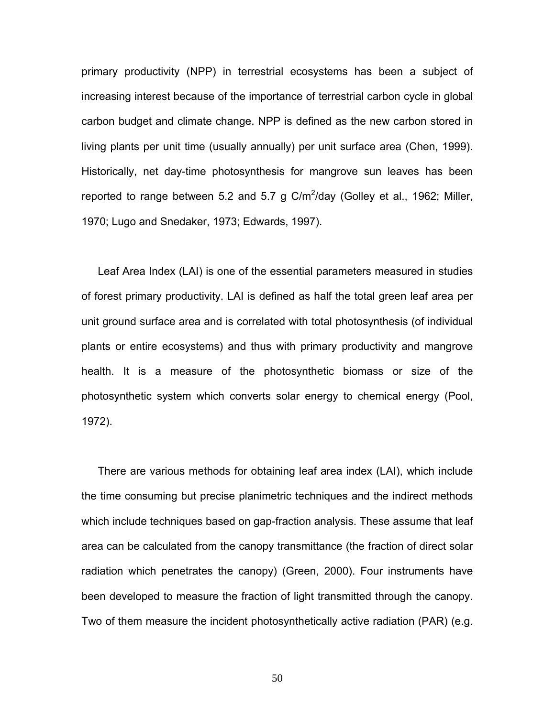primary productivity (NPP) in terrestrial ecosystems has been a subject of increasing interest because of the importance of terrestrial carbon cycle in global carbon budget and climate change. NPP is defined as the new carbon stored in living plants per unit time (usually annually) per unit surface area (Chen, 1999). Historically, net day-time photosynthesis for mangrove sun leaves has been reported to range between 5.2 and 5.7 g  $C/m^2$ /day (Golley et al., 1962; Miller, 1970; Lugo and Snedaker, 1973; Edwards, 1997).

Leaf Area Index (LAI) is one of the essential parameters measured in studies of forest primary productivity. LAI is defined as half the total green leaf area per unit ground surface area and is correlated with total photosynthesis (of individual plants or entire ecosystems) and thus with primary productivity and mangrove health. It is a measure of the photosynthetic biomass or size of the photosynthetic system which converts solar energy to chemical energy (Pool, 1972).

There are various methods for obtaining leaf area index (LAI), which include the time consuming but precise planimetric techniques and the indirect methods which include techniques based on gap-fraction analysis. These assume that leaf area can be calculated from the canopy transmittance (the fraction of direct solar radiation which penetrates the canopy) (Green, 2000). Four instruments have been developed to measure the fraction of light transmitted through the canopy. Two of them measure the incident photosynthetically active radiation (PAR) (e.g.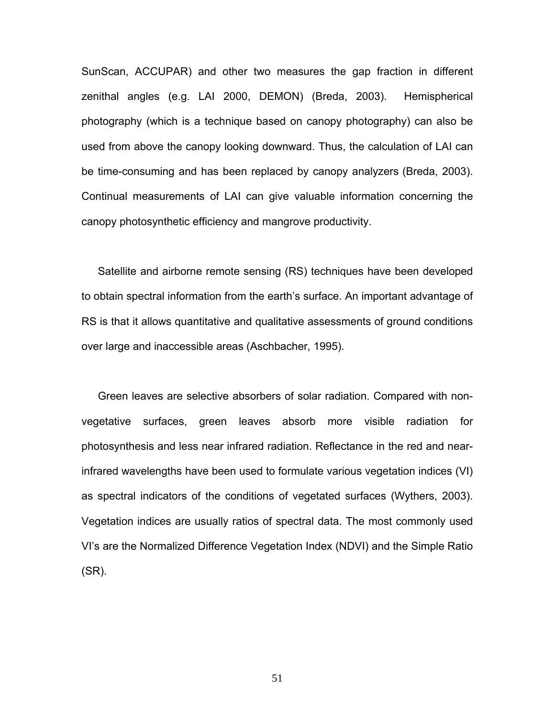SunScan, ACCUPAR) and other two measures the gap fraction in different zenithal angles (e.g. LAI 2000, DEMON) (Breda, 2003). Hemispherical photography (which is a technique based on canopy photography) can also be used from above the canopy looking downward. Thus, the calculation of LAI can be time-consuming and has been replaced by canopy analyzers (Breda, 2003). Continual measurements of LAI can give valuable information concerning the canopy photosynthetic efficiency and mangrove productivity.

Satellite and airborne remote sensing (RS) techniques have been developed to obtain spectral information from the earth's surface. An important advantage of RS is that it allows quantitative and qualitative assessments of ground conditions over large and inaccessible areas (Aschbacher, 1995).

Green leaves are selective absorbers of solar radiation. Compared with nonvegetative surfaces, green leaves absorb more visible radiation for photosynthesis and less near infrared radiation. Reflectance in the red and nearinfrared wavelengths have been used to formulate various vegetation indices (VI) as spectral indicators of the conditions of vegetated surfaces (Wythers, 2003). Vegetation indices are usually ratios of spectral data. The most commonly used VI's are the Normalized Difference Vegetation Index (NDVI) and the Simple Ratio (SR).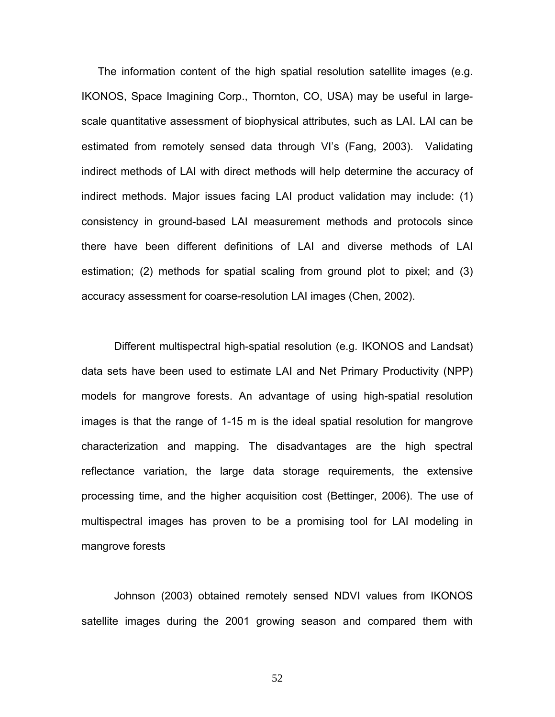The information content of the high spatial resolution satellite images (e.g. IKONOS, Space Imagining Corp., Thornton, CO, USA) may be useful in largescale quantitative assessment of biophysical attributes, such as LAI. LAI can be estimated from remotely sensed data through VI's (Fang, 2003). Validating indirect methods of LAI with direct methods will help determine the accuracy of indirect methods. Major issues facing LAI product validation may include: (1) consistency in ground-based LAI measurement methods and protocols since there have been different definitions of LAI and diverse methods of LAI estimation; (2) methods for spatial scaling from ground plot to pixel; and (3) accuracy assessment for coarse-resolution LAI images (Chen, 2002).

Different multispectral high-spatial resolution (e.g. IKONOS and Landsat) data sets have been used to estimate LAI and Net Primary Productivity (NPP) models for mangrove forests. An advantage of using high-spatial resolution images is that the range of 1-15 m is the ideal spatial resolution for mangrove characterization and mapping. The disadvantages are the high spectral reflectance variation, the large data storage requirements, the extensive processing time, and the higher acquisition cost (Bettinger, 2006). The use of multispectral images has proven to be a promising tool for LAI modeling in mangrove forests

Johnson (2003) obtained remotely sensed NDVI values from IKONOS satellite images during the 2001 growing season and compared them with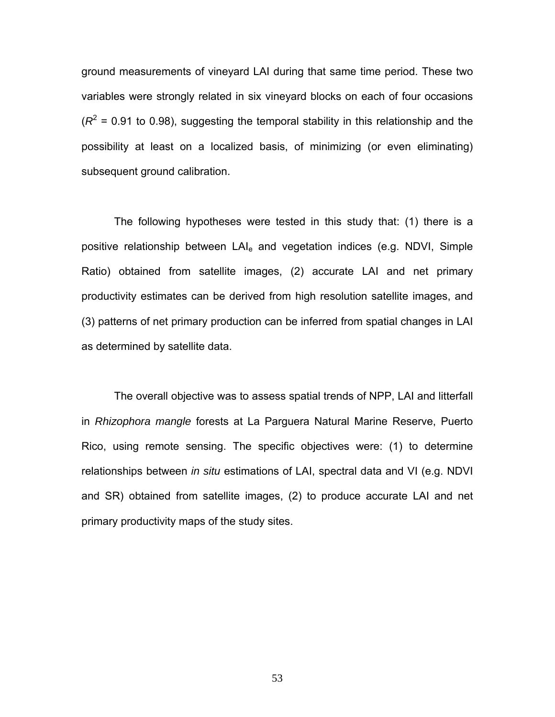ground measurements of vineyard LAI during that same time period. These two variables were strongly related in six vineyard blocks on each of four occasions  $(R^2 = 0.91$  to 0.98), suggesting the temporal stability in this relationship and the possibility at least on a localized basis, of minimizing (or even eliminating) subsequent ground calibration.

The following hypotheses were tested in this study that: (1) there is a positive relationship between LAI<sub>e</sub> and vegetation indices (e.g. NDVI, Simple Ratio) obtained from satellite images, (2) accurate LAI and net primary productivity estimates can be derived from high resolution satellite images, and (3) patterns of net primary production can be inferred from spatial changes in LAI as determined by satellite data.

The overall objective was to assess spatial trends of NPP, LAI and litterfall in *Rhizophora mangle* forests at La Parguera Natural Marine Reserve, Puerto Rico, using remote sensing. The specific objectives were: (1) to determine relationships between *in situ* estimations of LAI, spectral data and VI (e.g. NDVI and SR) obtained from satellite images, (2) to produce accurate LAI and net primary productivity maps of the study sites.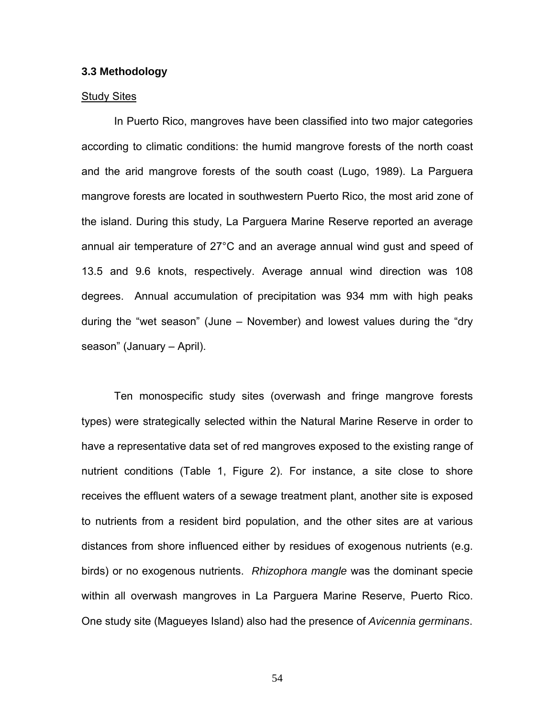#### **3.3 Methodology**

#### Study Sites

In Puerto Rico, mangroves have been classified into two major categories according to climatic conditions: the humid mangrove forests of the north coast and the arid mangrove forests of the south coast (Lugo, 1989). La Parguera mangrove forests are located in southwestern Puerto Rico, the most arid zone of the island. During this study, La Parguera Marine Reserve reported an average annual air temperature of 27°C and an average annual wind gust and speed of 13.5 and 9.6 knots, respectively. Average annual wind direction was 108 degrees. Annual accumulation of precipitation was 934 mm with high peaks during the "wet season" (June – November) and lowest values during the "dry season" (January – April).

Ten monospecific study sites (overwash and fringe mangrove forests types) were strategically selected within the Natural Marine Reserve in order to have a representative data set of red mangroves exposed to the existing range of nutrient conditions (Table 1, Figure 2). For instance, a site close to shore receives the effluent waters of a sewage treatment plant, another site is exposed to nutrients from a resident bird population, and the other sites are at various distances from shore influenced either by residues of exogenous nutrients (e.g. birds) or no exogenous nutrients. *Rhizophora mangle* was the dominant specie within all overwash mangroves in La Parguera Marine Reserve, Puerto Rico. One study site (Magueyes Island) also had the presence of *Avicennia germinans*.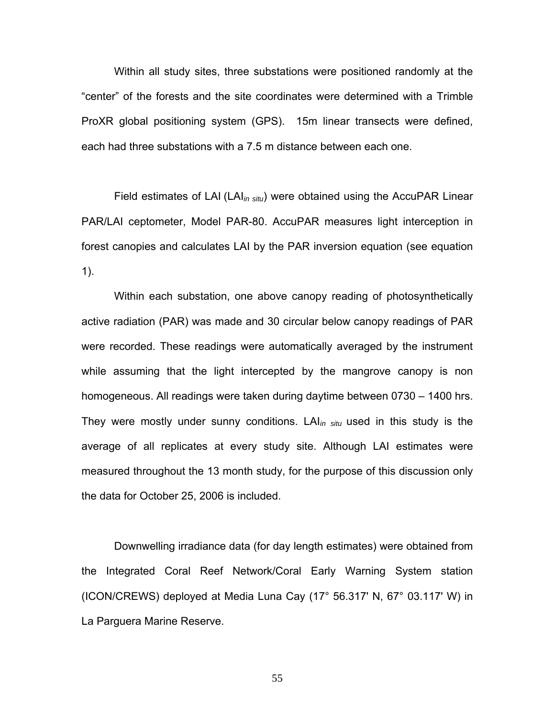Within all study sites, three substations were positioned randomly at the "center" of the forests and the site coordinates were determined with a Trimble ProXR global positioning system (GPS). 15m linear transects were defined, each had three substations with a 7.5 m distance between each one.

Field estimates of LAI (LAI*in situ*) were obtained using the AccuPAR Linear PAR/LAI ceptometer, Model PAR-80. AccuPAR measures light interception in forest canopies and calculates LAI by the PAR inversion equation (see equation 1).

Within each substation, one above canopy reading of photosynthetically active radiation (PAR) was made and 30 circular below canopy readings of PAR were recorded. These readings were automatically averaged by the instrument while assuming that the light intercepted by the mangrove canopy is non homogeneous. All readings were taken during daytime between 0730 – 1400 hrs. They were mostly under sunny conditions. LAI*in situ* used in this study is the average of all replicates at every study site. Although LAI estimates were measured throughout the 13 month study, for the purpose of this discussion only the data for October 25, 2006 is included.

Downwelling irradiance data (for day length estimates) were obtained from the Integrated Coral Reef Network/Coral Early Warning System station (ICON/CREWS) deployed at Media Luna Cay (17° 56.317' N, 67° 03.117' W) in La Parguera Marine Reserve.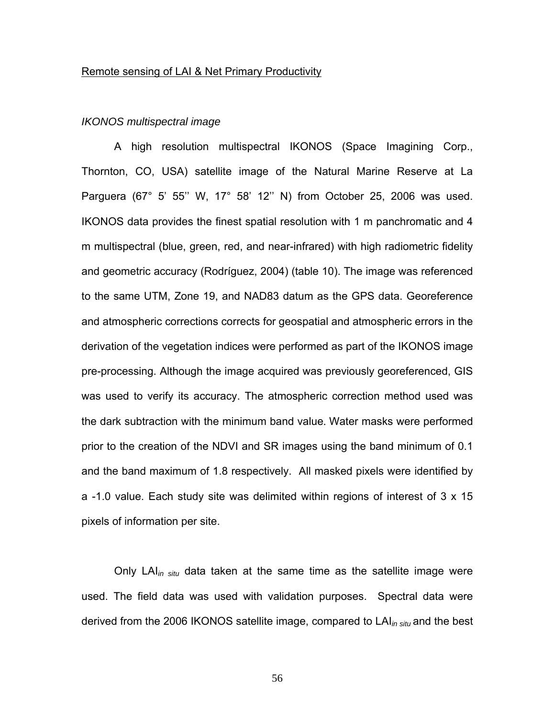#### Remote sensing of LAI & Net Primary Productivity

## *IKONOS multispectral image*

A high resolution multispectral IKONOS (Space Imagining Corp., Thornton, CO, USA) satellite image of the Natural Marine Reserve at La Parguera (67° 5' 55'' W, 17° 58' 12'' N) from October 25, 2006 was used. IKONOS data provides the finest spatial resolution with 1 m panchromatic and 4 m multispectral (blue, green, red, and near-infrared) with high radiometric fidelity and geometric accuracy (Rodríguez, 2004) (table 10). The image was referenced to the same UTM, Zone 19, and NAD83 datum as the GPS data. Georeference and atmospheric corrections corrects for geospatial and atmospheric errors in the derivation of the vegetation indices were performed as part of the IKONOS image pre-processing. Although the image acquired was previously georeferenced, GIS was used to verify its accuracy. The atmospheric correction method used was the dark subtraction with the minimum band value. Water masks were performed prior to the creation of the NDVI and SR images using the band minimum of 0.1 and the band maximum of 1.8 respectively. All masked pixels were identified by a -1.0 value. Each study site was delimited within regions of interest of 3 x 15 pixels of information per site.

Only LAI*in situ* data taken at the same time as the satellite image were used. The field data was used with validation purposes. Spectral data were derived from the 2006 IKONOS satellite image, compared to LAI*in situ* and the best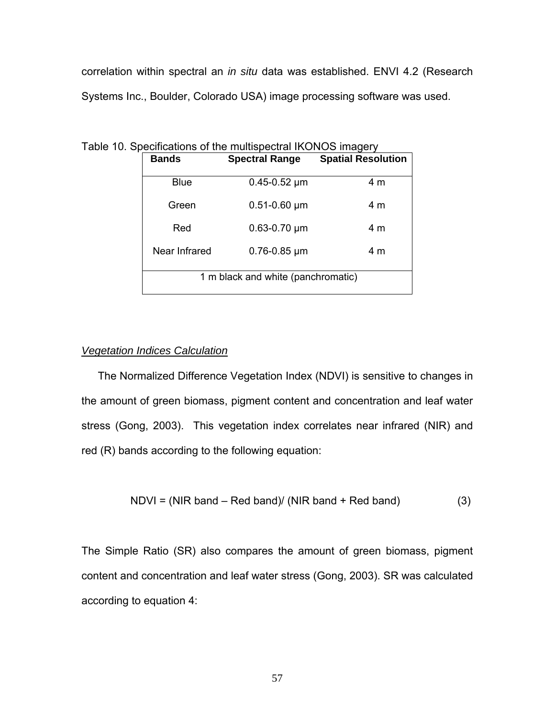correlation within spectral an *in situ* data was established. ENVI 4.2 (Research Systems Inc., Boulder, Colorado USA) image processing software was used.

| <b>Bands</b>                       | <b>Spectral Range</b> | <b>Spatial Resolution</b> |  |  |  |
|------------------------------------|-----------------------|---------------------------|--|--|--|
| Blue                               | $0.45 - 0.52 \mu m$   | 4 m                       |  |  |  |
| Green                              | $0.51 - 0.60$ µm      | 4 m                       |  |  |  |
| Red                                | $0.63 - 0.70 \mu m$   | 4 m                       |  |  |  |
| Near Infrared                      | $0.76 - 0.85 \mu m$   | 4 m                       |  |  |  |
| 1 m black and white (panchromatic) |                       |                           |  |  |  |

Table 10. Specifications of the multispectral IKONOS imagery

## *Vegetation Indices Calculation*

The Normalized Difference Vegetation Index (NDVI) is sensitive to changes in the amount of green biomass, pigment content and concentration and leaf water stress (Gong, 2003). This vegetation index correlates near infrared (NIR) and red (R) bands according to the following equation:

$$
NDVI = (NIR band - Red band)/(NIR band + Red band)
$$
 (3)

The Simple Ratio (SR) also compares the amount of green biomass, pigment content and concentration and leaf water stress (Gong, 2003). SR was calculated according to equation 4: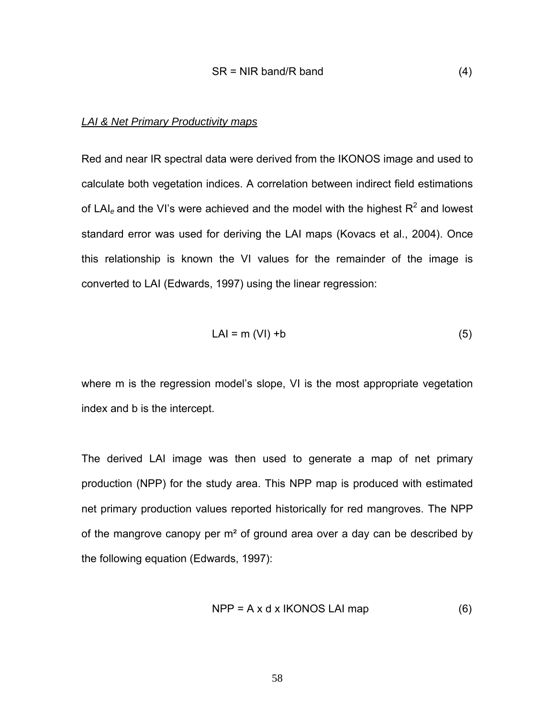## *LAI & Net Primary Productivity maps*

Red and near IR spectral data were derived from the IKONOS image and used to calculate both vegetation indices. A correlation between indirect field estimations of LAI<sub>e</sub> and the VI's were achieved and the model with the highest  $R^2$  and lowest standard error was used for deriving the LAI maps (Kovacs et al., 2004). Once this relationship is known the VI values for the remainder of the image is converted to LAI (Edwards, 1997) using the linear regression:

$$
LAI = m (VI) + b
$$
 (5)

where m is the regression model's slope, VI is the most appropriate vegetation index and b is the intercept.

The derived LAI image was then used to generate a map of net primary production (NPP) for the study area. This NPP map is produced with estimated net primary production values reported historically for red mangroves. The NPP of the mangrove canopy per m<sup>2</sup> of ground area over a day can be described by the following equation (Edwards, 1997):

$$
NPP = A \times d \times IKONOS LAI map
$$
 (6)

58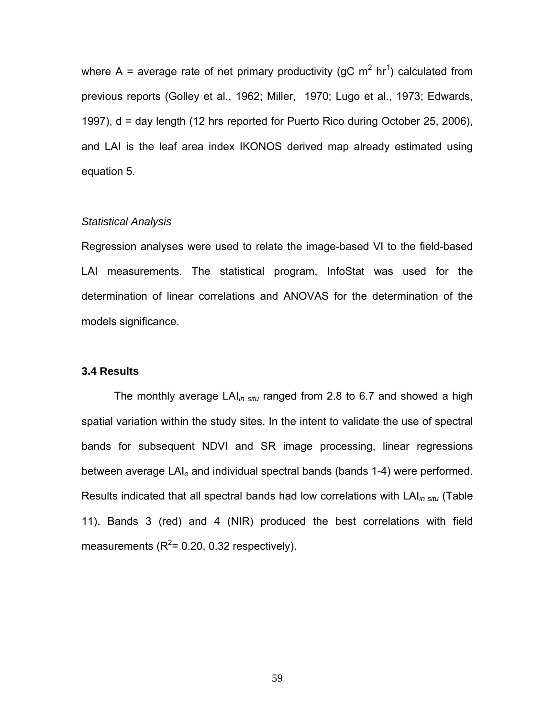where A = average rate of net primary productivity (gC m<sup>2</sup> hr<sup>1</sup>) calculated from previous reports (Golley et al., 1962; Miller, 1970; Lugo et al., 1973; Edwards, 1997), d = day length (12 hrs reported for Puerto Rico during October 25, 2006), and LAI is the leaf area index IKONOS derived map already estimated using equation 5.

## *Statistical Analysis*

Regression analyses were used to relate the image-based VI to the field-based LAI measurements. The statistical program, InfoStat was used for the determination of linear correlations and ANOVAS for the determination of the models significance.

#### **3.4 Results**

The monthly average LAI*in situ* ranged from 2.8 to 6.7 and showed a high spatial variation within the study sites. In the intent to validate the use of spectral bands for subsequent NDVI and SR image processing, linear regressions between average LAI*e* and individual spectral bands (bands 1-4) were performed. Results indicated that all spectral bands had low correlations with LAI*in situ* (Table 11). Bands 3 (red) and 4 (NIR) produced the best correlations with field measurements ( $R^2$ = 0.20, 0.32 respectively).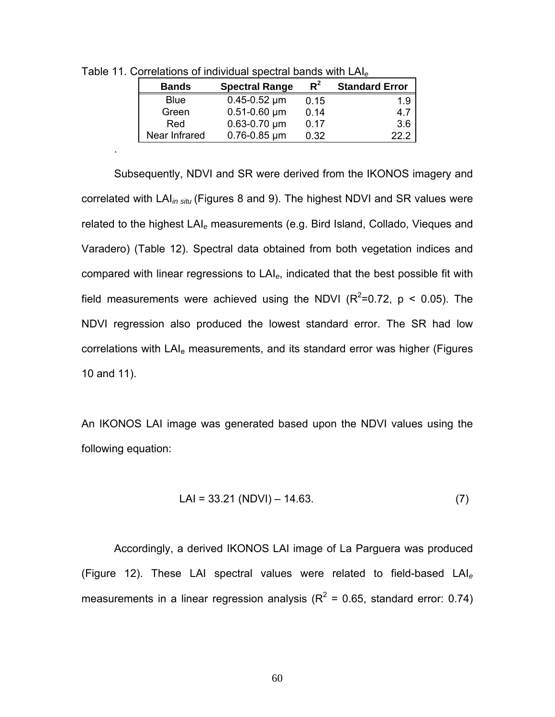| <b>Bands</b>  | <b>Spectral Range</b> | $R^2$ | <b>Standard Error</b> |
|---------------|-----------------------|-------|-----------------------|
| <b>Blue</b>   | $0.45 - 0.52 \mu m$   | 0.15  | 1.9                   |
| Green         | $0.51 - 0.60 \mu m$   | 0.14  | 4.7                   |
| Red           | $0.63 - 0.70 \mu m$   | 0.17  | 3.6                   |
| Near Infrared | $0.76 - 0.85 \mu m$   | 0.32  | 22 2                  |

Table 11. Correlations of individual spectral bands with LAI*<sup>e</sup>*

.

Subsequently, NDVI and SR were derived from the IKONOS imagery and correlated with LAI*in situ* (Figures 8 and 9). The highest NDVI and SR values were related to the highest LAI*e* measurements (e.g. Bird Island, Collado, Vieques and Varadero) (Table 12). Spectral data obtained from both vegetation indices and compared with linear regressions to LAI*e*, indicated that the best possible fit with field measurements were achieved using the NDVI ( $R^2$ =0.72,  $p < 0.05$ ). The NDVI regression also produced the lowest standard error. The SR had low correlations with LAI<sub>e</sub> measurements, and its standard error was higher (Figures 10 and 11).

An IKONOS LAI image was generated based upon the NDVI values using the following equation:

$$
LAI = 33.21 (NDVI) - 14.63.
$$
 (7)

Accordingly, a derived IKONOS LAI image of La Parguera was produced (Figure 12). These LAI spectral values were related to field-based LAI*<sup>e</sup>* measurements in a linear regression analysis ( $R^2$  = 0.65, standard error: 0.74)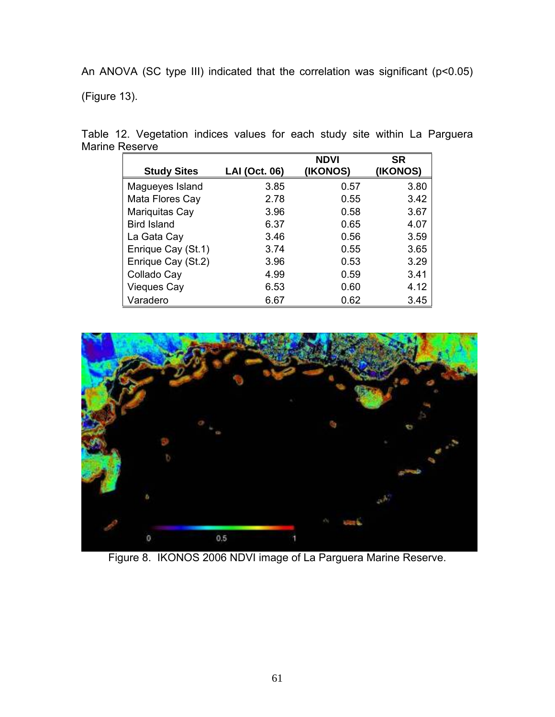An ANOVA (SC type III) indicated that the correlation was significant (p<0.05)

(Figure 13).

| <b>Study Sites</b> | LAI (Oct. 06) | <b>NDVI</b><br>(IKONOS) | <b>SR</b><br>(IKONOS) |
|--------------------|---------------|-------------------------|-----------------------|
| Magueyes Island    | 3.85          | 0.57                    | 3.80                  |
| Mata Flores Cay    | 2.78          | 0.55                    | 3.42                  |
| Mariquitas Cay     | 3.96          | 0.58                    | 3.67                  |
| <b>Bird Island</b> | 6.37          | 0.65                    | 4.07                  |
| La Gata Cay        | 3.46          | 0.56                    | 3.59                  |
| Enrique Cay (St.1) | 3.74          | 0.55                    | 3.65                  |
| Enrique Cay (St.2) | 3.96          | 0.53                    | 3.29                  |
| Collado Cay        | 4.99          | 0.59                    | 3.41                  |
| Vieques Cay        | 6.53          | 0.60                    | 4.12                  |
| Varadero           | 6.67          | 0.62                    | 3.45                  |

Table 12. Vegetation indices values for each study site within La Parguera Marine Reserve



Figure 8. IKONOS 2006 NDVI image of La Parguera Marine Reserve.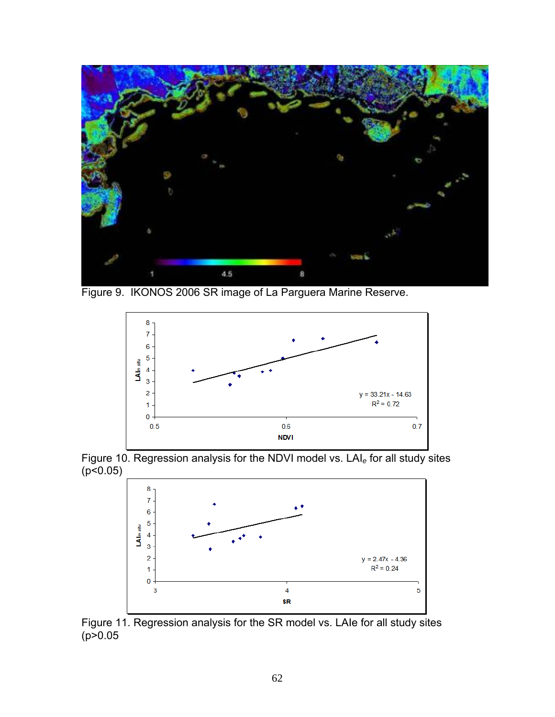

Figure 9. IKONOS 2006 SR image of La Parguera Marine Reserve.



Figure 10. Regression analysis for the NDVI model vs. LAI*e* for all study sites  $(p < 0.05)$ 



Figure 11. Regression analysis for the SR model vs. LAIe for all study sites  $(p > 0.05)$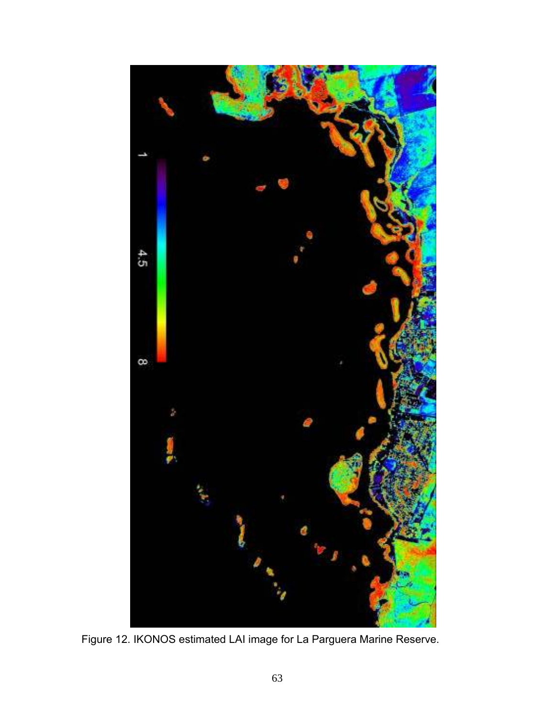

Figure 12. IKONOS estimated LAI image for La Parguera Marine Reserve.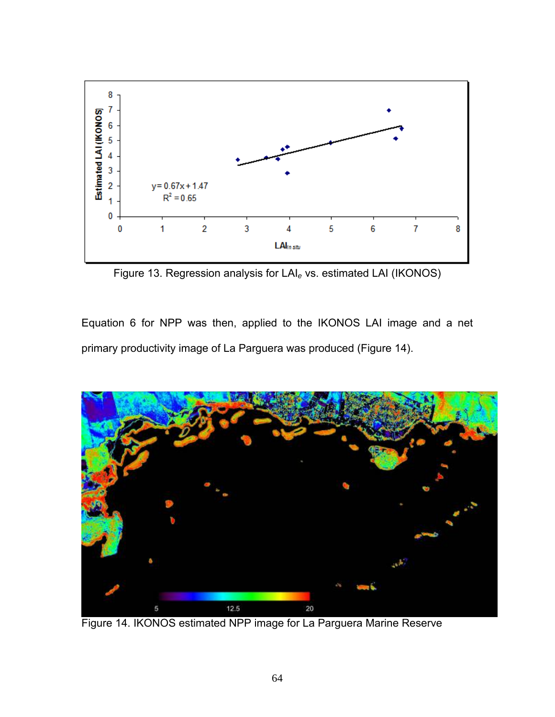

Figure 13. Regression analysis for LAI*e* vs. estimated LAI (IKONOS)

Equation 6 for NPP was then, applied to the IKONOS LAI image and a net primary productivity image of La Parguera was produced (Figure 14).



Figure 14. IKONOS estimated NPP image for La Parguera Marine Reserve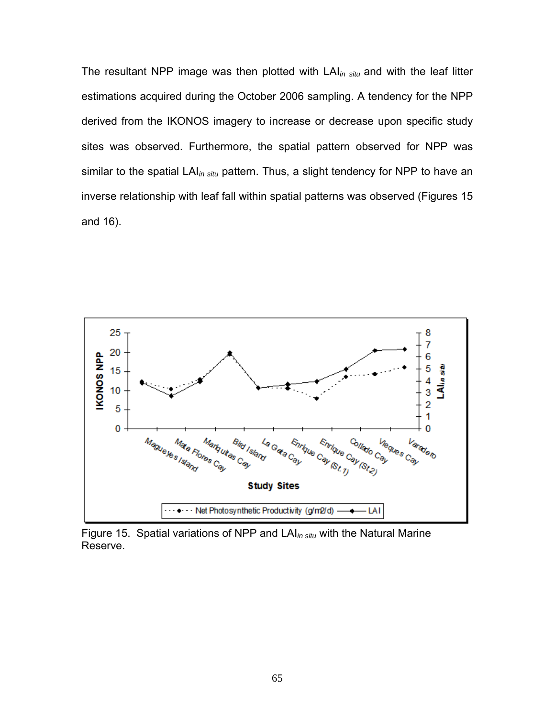The resultant NPP image was then plotted with LAI*in situ* and with the leaf litter estimations acquired during the October 2006 sampling. A tendency for the NPP derived from the IKONOS imagery to increase or decrease upon specific study sites was observed. Furthermore, the spatial pattern observed for NPP was similar to the spatial LAI*in situ* pattern. Thus, a slight tendency for NPP to have an inverse relationship with leaf fall within spatial patterns was observed (Figures 15 and 16).



Figure 15. Spatial variations of NPP and LAI*in situ* with the Natural Marine Reserve.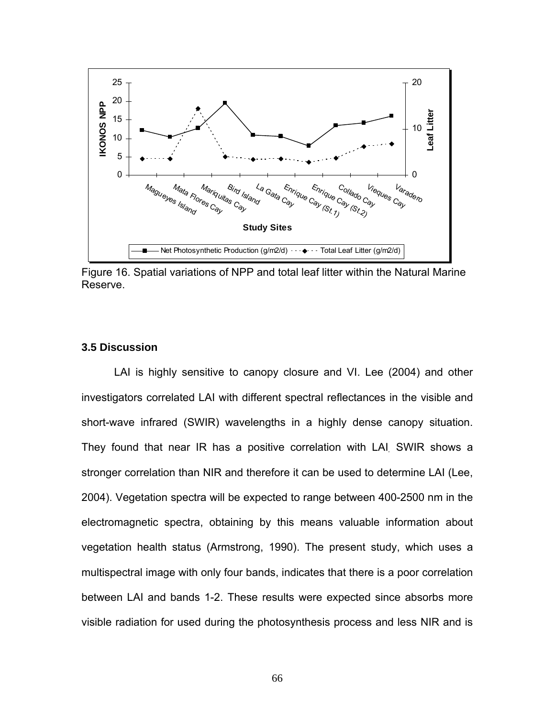

Figure 16. Spatial variations of NPP and total leaf litter within the Natural Marine Reserve.

### **3.5 Discussion**

LAI is highly sensitive to canopy closure and VI. Lee (2004) and other investigators correlated LAI with different spectral reflectances in the visible and short-wave infrared (SWIR) wavelengths in a highly dense canopy situation. They found that near IR has a positive correlation with LAI*.* SWIR shows a stronger correlation than NIR and therefore it can be used to determine LAI (Lee, 2004). Vegetation spectra will be expected to range between 400-2500 nm in the electromagnetic spectra, obtaining by this means valuable information about vegetation health status (Armstrong, 1990). The present study, which uses a multispectral image with only four bands, indicates that there is a poor correlation between LAI and bands 1-2. These results were expected since absorbs more visible radiation for used during the photosynthesis process and less NIR and is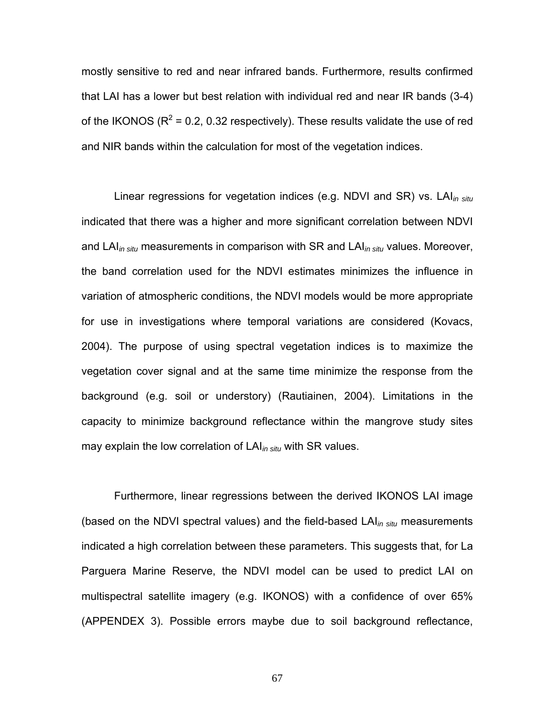mostly sensitive to red and near infrared bands. Furthermore, results confirmed that LAI has a lower but best relation with individual red and near IR bands (3-4) of the IKONOS ( $R^2$  = 0.2, 0.32 respectively). These results validate the use of red and NIR bands within the calculation for most of the vegetation indices.

Linear regressions for vegetation indices (e.g. NDVI and SR) vs. LAI*in situ* indicated that there was a higher and more significant correlation between NDVI and LAI*in situ* measurements in comparison with SR and LAI*in situ* values. Moreover, the band correlation used for the NDVI estimates minimizes the influence in variation of atmospheric conditions, the NDVI models would be more appropriate for use in investigations where temporal variations are considered (Kovacs, 2004). The purpose of using spectral vegetation indices is to maximize the vegetation cover signal and at the same time minimize the response from the background (e.g. soil or understory) (Rautiainen, 2004). Limitations in the capacity to minimize background reflectance within the mangrove study sites may explain the low correlation of LAI*in situ* with SR values.

Furthermore, linear regressions between the derived IKONOS LAI image (based on the NDVI spectral values) and the field-based LAI*in situ* measurements indicated a high correlation between these parameters. This suggests that, for La Parguera Marine Reserve, the NDVI model can be used to predict LAI on multispectral satellite imagery (e.g. IKONOS) with a confidence of over 65% (APPENDEX 3). Possible errors maybe due to soil background reflectance,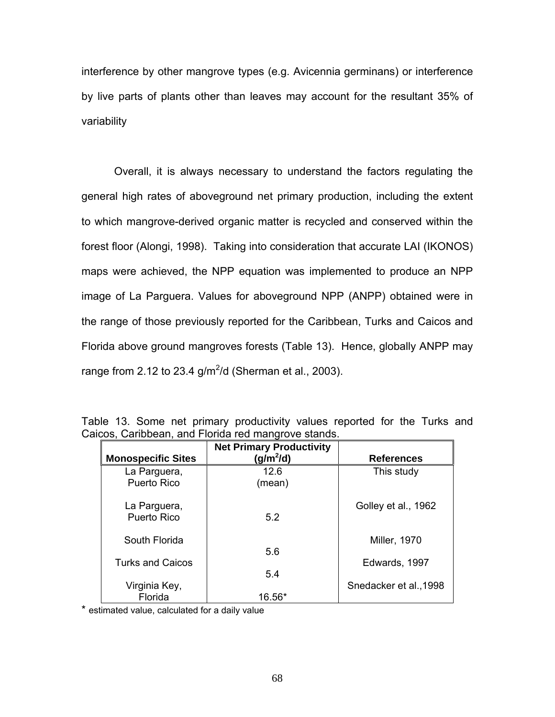interference by other mangrove types (e.g. Avicennia germinans) or interference by live parts of plants other than leaves may account for the resultant 35% of variability

Overall, it is always necessary to understand the factors regulating the general high rates of aboveground net primary production, including the extent to which mangrove-derived organic matter is recycled and conserved within the forest floor (Alongi, 1998). Taking into consideration that accurate LAI (IKONOS) maps were achieved, the NPP equation was implemented to produce an NPP image of La Parguera. Values for aboveground NPP (ANPP) obtained were in the range of those previously reported for the Caribbean, Turks and Caicos and Florida above ground mangroves forests (Table 13). Hence, globally ANPP may range from 2.12 to 23.4 g/m<sup>2</sup>/d (Sherman et al., 2003).

| <b>Monospecific Sites</b>   | <b>Net Primary Productivity</b><br>(g/m <sup>2</sup> /d) | <b>References</b>      |
|-----------------------------|----------------------------------------------------------|------------------------|
| La Parguera,<br>Puerto Rico | 12.6<br>(mean)                                           | This study             |
| La Parguera,<br>Puerto Rico | 5.2                                                      | Golley et al., 1962    |
| South Florida               |                                                          | <b>Miller, 1970</b>    |
| <b>Turks and Caicos</b>     | 5.6<br>5.4                                               | Edwards, 1997          |
| Virginia Key,<br>Florida    | 16.56*                                                   | Snedacker et al., 1998 |

|                                                     |  |  |  |  | Table 13. Some net primary productivity values reported for the Turks and |  |  |  |  |  |  |
|-----------------------------------------------------|--|--|--|--|---------------------------------------------------------------------------|--|--|--|--|--|--|
| Caicos, Caribbean, and Florida red mangrove stands. |  |  |  |  |                                                                           |  |  |  |  |  |  |

\* estimated value, calculated for a daily value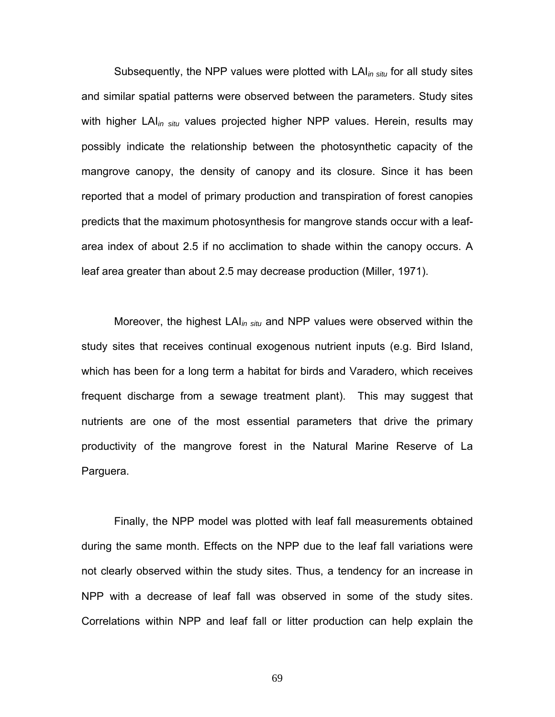Subsequently, the NPP values were plotted with LAI*in situ* for all study sites and similar spatial patterns were observed between the parameters. Study sites with higher LAI*in situ* values projected higher NPP values. Herein, results may possibly indicate the relationship between the photosynthetic capacity of the mangrove canopy, the density of canopy and its closure. Since it has been reported that a model of primary production and transpiration of forest canopies predicts that the maximum photosynthesis for mangrove stands occur with a leafarea index of about 2.5 if no acclimation to shade within the canopy occurs. A leaf area greater than about 2.5 may decrease production (Miller, 1971).

Moreover, the highest LAI*in situ* and NPP values were observed within the study sites that receives continual exogenous nutrient inputs (e.g. Bird Island, which has been for a long term a habitat for birds and Varadero, which receives frequent discharge from a sewage treatment plant). This may suggest that nutrients are one of the most essential parameters that drive the primary productivity of the mangrove forest in the Natural Marine Reserve of La Parguera.

Finally, the NPP model was plotted with leaf fall measurements obtained during the same month. Effects on the NPP due to the leaf fall variations were not clearly observed within the study sites. Thus, a tendency for an increase in NPP with a decrease of leaf fall was observed in some of the study sites. Correlations within NPP and leaf fall or litter production can help explain the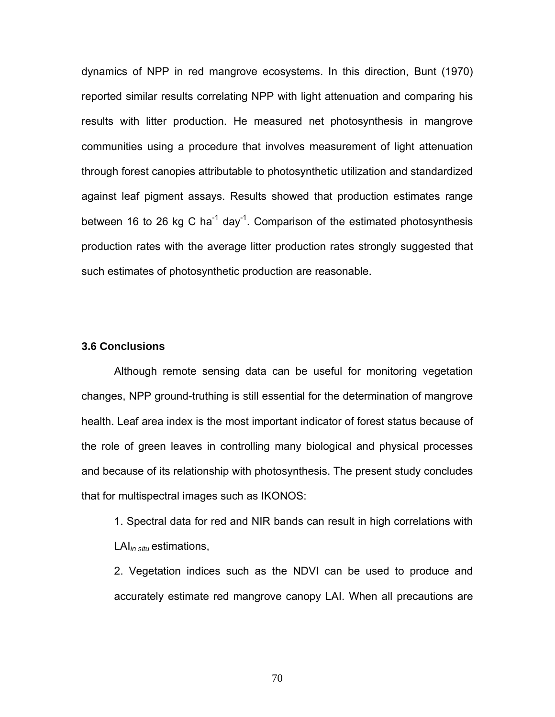dynamics of NPP in red mangrove ecosystems. In this direction, Bunt (1970) reported similar results correlating NPP with light attenuation and comparing his results with litter production. He measured net photosynthesis in mangrove communities using a procedure that involves measurement of light attenuation through forest canopies attributable to photosynthetic utilization and standardized against leaf pigment assays. Results showed that production estimates range between 16 to 26 kg C ha<sup>-1</sup> day<sup>-1</sup>. Comparison of the estimated photosynthesis production rates with the average litter production rates strongly suggested that such estimates of photosynthetic production are reasonable.

#### **3.6 Conclusions**

Although remote sensing data can be useful for monitoring vegetation changes, NPP ground-truthing is still essential for the determination of mangrove health. Leaf area index is the most important indicator of forest status because of the role of green leaves in controlling many biological and physical processes and because of its relationship with photosynthesis. The present study concludes that for multispectral images such as IKONOS:

1. Spectral data for red and NIR bands can result in high correlations with LAI*in situ* estimations,

2. Vegetation indices such as the NDVI can be used to produce and accurately estimate red mangrove canopy LAI. When all precautions are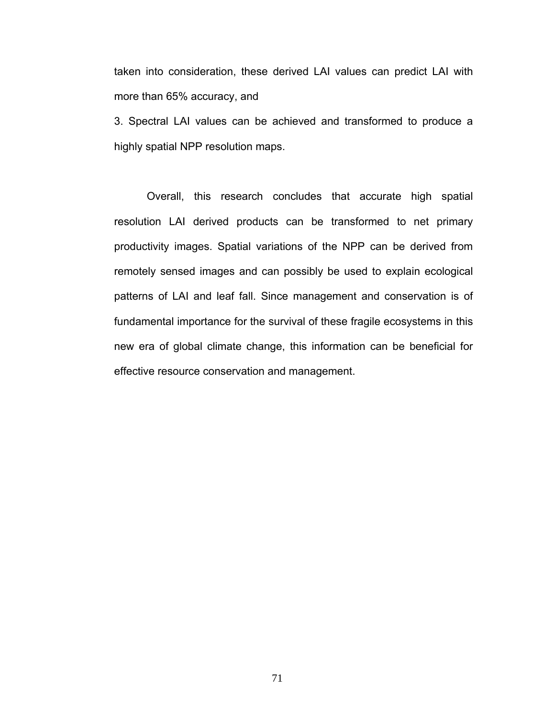taken into consideration, these derived LAI values can predict LAI with more than 65% accuracy, and

3. Spectral LAI values can be achieved and transformed to produce a highly spatial NPP resolution maps.

Overall, this research concludes that accurate high spatial resolution LAI derived products can be transformed to net primary productivity images. Spatial variations of the NPP can be derived from remotely sensed images and can possibly be used to explain ecological patterns of LAI and leaf fall. Since management and conservation is of fundamental importance for the survival of these fragile ecosystems in this new era of global climate change, this information can be beneficial for effective resource conservation and management.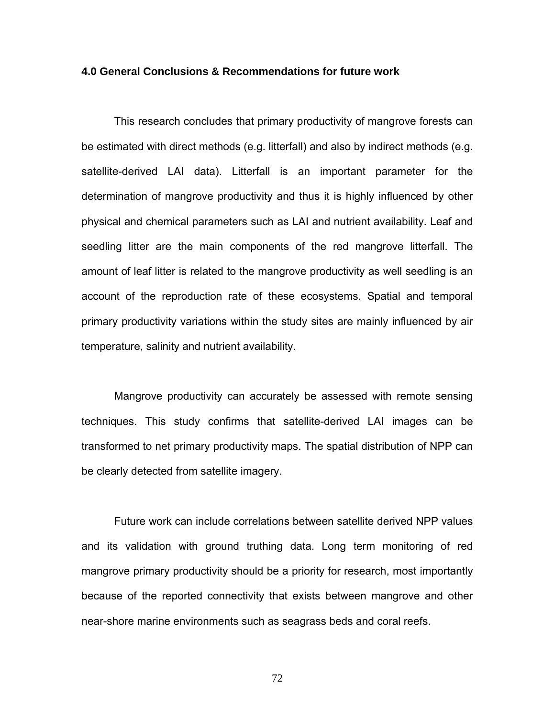#### **4.0 General Conclusions & Recommendations for future work**

This research concludes that primary productivity of mangrove forests can be estimated with direct methods (e.g. litterfall) and also by indirect methods (e.g. satellite-derived LAI data). Litterfall is an important parameter for the determination of mangrove productivity and thus it is highly influenced by other physical and chemical parameters such as LAI and nutrient availability. Leaf and seedling litter are the main components of the red mangrove litterfall. The amount of leaf litter is related to the mangrove productivity as well seedling is an account of the reproduction rate of these ecosystems. Spatial and temporal primary productivity variations within the study sites are mainly influenced by air temperature, salinity and nutrient availability.

Mangrove productivity can accurately be assessed with remote sensing techniques. This study confirms that satellite-derived LAI images can be transformed to net primary productivity maps. The spatial distribution of NPP can be clearly detected from satellite imagery.

Future work can include correlations between satellite derived NPP values and its validation with ground truthing data. Long term monitoring of red mangrove primary productivity should be a priority for research, most importantly because of the reported connectivity that exists between mangrove and other near-shore marine environments such as seagrass beds and coral reefs.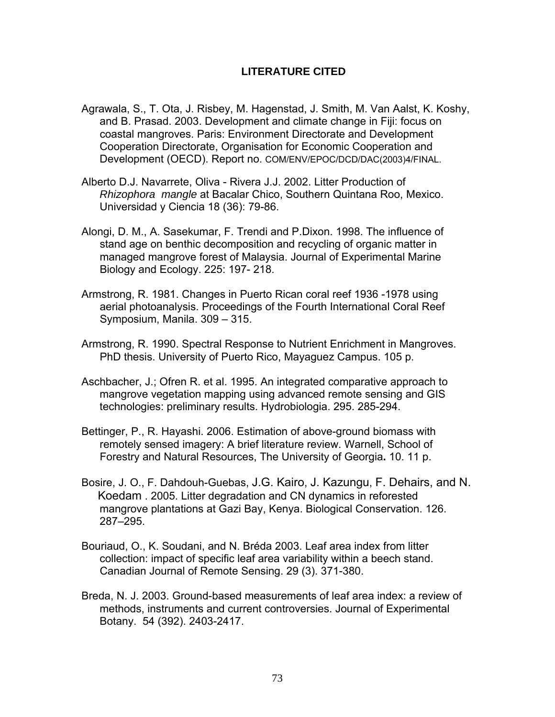# **LITERATURE CITED**

- Agrawala, S., T. Ota, J. Risbey, M. Hagenstad, J. Smith, M. Van Aalst, K. Koshy, and B. Prasad. 2003. Development and climate change in Fiji: focus on coastal mangroves. Paris: Environment Directorate and Development Cooperation Directorate, Organisation for Economic Cooperation and Development (OECD). Report no. COM/ENV/EPOC/DCD/DAC(2003)4/FINAL.
- Alberto D.J. Navarrete, Oliva Rivera J.J. 2002. Litter Production of *Rhizophora mangle* at Bacalar Chico, Southern Quintana Roo, Mexico. Universidad y Ciencia 18 (36): 79-86.
- Alongi, D. M., A. Sasekumar, F. Trendi and P.Dixon. 1998. The influence of stand age on benthic decomposition and recycling of organic matter in managed mangrove forest of Malaysia. Journal of Experimental Marine Biology and Ecology. 225: 197- 218.
- Armstrong, R. 1981. Changes in Puerto Rican coral reef 1936 -1978 using aerial photoanalysis. Proceedings of the Fourth International Coral Reef Symposium, Manila. 309 – 315.
- Armstrong, R. 1990. Spectral Response to Nutrient Enrichment in Mangroves. PhD thesis. University of Puerto Rico, Mayaguez Campus. 105 p.
- Aschbacher, J.; Ofren R. et al. 1995. An integrated comparative approach to mangrove vegetation mapping using advanced remote sensing and GIS technologies: preliminary results. Hydrobiologia. 295. 285-294.
- Bettinger, P., R. Hayashi. 2006. Estimation of above-ground biomass with remotely sensed imagery: A brief literature review. Warnell, School of Forestry and Natural Resources, The University of Georgia**.** 10. 11 p.
- Bosire, J. O., F. Dahdouh-Guebas, J.G. Kairo, J. Kazungu, F. Dehairs, and N. Koedam . 2005. Litter degradation and CN dynamics in reforested mangrove plantations at Gazi Bay, Kenya. Biological Conservation. 126. 287–295.
- Bouriaud, O., K. Soudani, and N. Bréda 2003. Leaf area index from litter collection: impact of specific leaf area variability within a beech stand. Canadian Journal of Remote Sensing. 29 (3). 371-380.
- Breda, N. J. 2003. Ground-based measurements of leaf area index: a review of methods, instruments and current controversies. Journal of Experimental Botany. 54 (392). 2403-2417.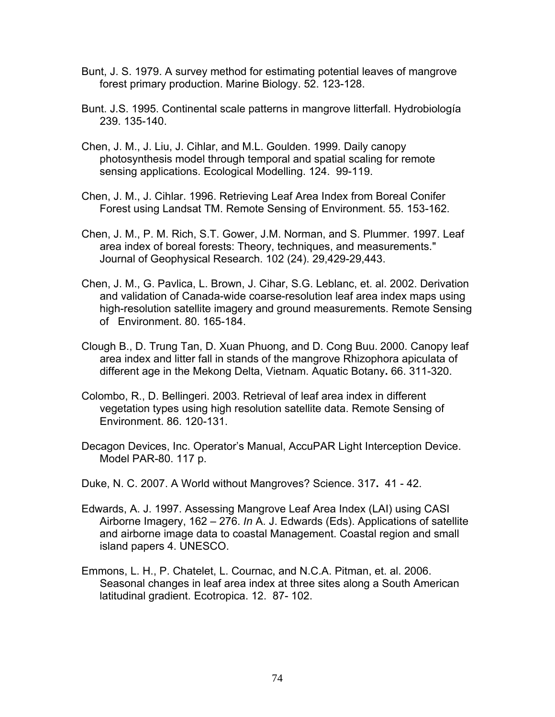- Bunt, J. S. 1979. A survey method for estimating potential leaves of mangrove forest primary production. Marine Biology. 52. 123-128.
- Bunt. J.S. 1995. Continental scale patterns in mangrove litterfall. Hydrobiología 239. 135-140.
- Chen, J. M., J. Liu, J. Cihlar, and M.L. Goulden. 1999. Daily canopy photosynthesis model through temporal and spatial scaling for remote sensing applications. Ecological Modelling. 124. 99-119.
- Chen, J. M., J. Cihlar. 1996. Retrieving Leaf Area Index from Boreal Conifer Forest using Landsat TM. Remote Sensing of Environment. 55. 153-162.
- Chen, J. M., P. M. Rich, S.T. Gower, J.M. Norman, and S. Plummer. 1997. Leaf area index of boreal forests: Theory, techniques, and measurements." Journal of Geophysical Research. 102 (24). 29,429-29,443.
- Chen, J. M., G. Pavlica, L. Brown, J. Cihar, S.G. Leblanc, et. al. 2002. Derivation and validation of Canada-wide coarse-resolution leaf area index maps using high-resolution satellite imagery and ground measurements. Remote Sensing of Environment. 80. 165-184.
- Clough B., D. Trung Tan, D. Xuan Phuong, and D. Cong Buu. 2000. Canopy leaf area index and litter fall in stands of the mangrove Rhizophora apiculata of different age in the Mekong Delta, Vietnam. Aquatic Botany**.** 66. 311-320.
- Colombo, R., D. Bellingeri. 2003. Retrieval of leaf area index in different vegetation types using high resolution satellite data. Remote Sensing of Environment. 86. 120-131.
- Decagon Devices, Inc. Operator's Manual, AccuPAR Light Interception Device. Model PAR-80. 117 p.
- Duke, N. C. 2007. A World without Mangroves? Science. 317**.** 41 42.
- Edwards, A. J. 1997. Assessing Mangrove Leaf Area Index (LAI) using CASI Airborne Imagery, 162 – 276. *In* A. J. Edwards (Eds). Applications of satellite and airborne image data to coastal Management. Coastal region and small island papers 4. UNESCO.
- Emmons, L. H., P. Chatelet, L. Cournac, and N.C.A. Pitman, et. al. 2006. Seasonal changes in leaf area index at three sites along a South American latitudinal gradient. Ecotropica. 12. 87- 102.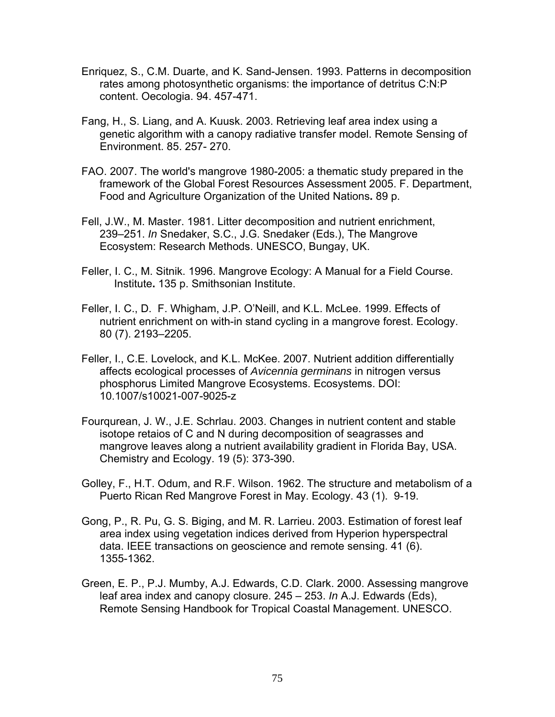- Enriquez, S., C.M. Duarte, and K. Sand-Jensen. 1993. Patterns in decomposition rates among photosynthetic organisms: the importance of detritus C:N:P content. Oecologia. 94. 457-471.
- Fang, H., S. Liang, and A. Kuusk. 2003. Retrieving leaf area index using a genetic algorithm with a canopy radiative transfer model. Remote Sensing of Environment. 85. 257- 270.
- FAO. 2007. The world's mangrove 1980-2005: a thematic study prepared in the framework of the Global Forest Resources Assessment 2005. F. Department, Food and Agriculture Organization of the United Nations**.** 89 p.
- Fell, J.W., M. Master. 1981. Litter decomposition and nutrient enrichment, 239–251. *In* Snedaker, S.C., J.G. Snedaker (Eds.), The Mangrove Ecosystem: Research Methods. UNESCO, Bungay, UK.
- Feller, I. C., M. Sitnik. 1996. Mangrove Ecology: A Manual for a Field Course. Institute**.** 135 p. Smithsonian Institute.
- Feller, I. C., D. F. Whigham, J.P. O'Neill, and K.L. McLee. 1999. Effects of nutrient enrichment on with-in stand cycling in a mangrove forest. Ecology. 80 (7). 2193–2205.
- Feller, I., C.E. Lovelock, and K.L. McKee. 2007. Nutrient addition differentially affects ecological processes of *Avicennia germinans* in nitrogen versus phosphorus Limited Mangrove Ecosystems. Ecosystems. DOI: 10.1007/s10021-007-9025-z
- Fourqurean, J. W., J.E. Schrlau. 2003. Changes in nutrient content and stable isotope retaios of C and N during decomposition of seagrasses and mangrove leaves along a nutrient availability gradient in Florida Bay, USA. Chemistry and Ecology. 19 (5): 373-390.
- Golley, F., H.T. Odum, and R.F. Wilson. 1962. The structure and metabolism of a Puerto Rican Red Mangrove Forest in May. Ecology. 43 (1). 9-19.
- Gong, P., R. Pu, G. S. Biging, and M. R. Larrieu. 2003. Estimation of forest leaf area index using vegetation indices derived from Hyperion hyperspectral data. IEEE transactions on geoscience and remote sensing. 41 (6). 1355-1362.
- Green, E. P., P.J. Mumby, A.J. Edwards, C.D. Clark. 2000. Assessing mangrove leaf area index and canopy closure. 245 – 253. *In* A.J. Edwards (Eds), Remote Sensing Handbook for Tropical Coastal Management. UNESCO.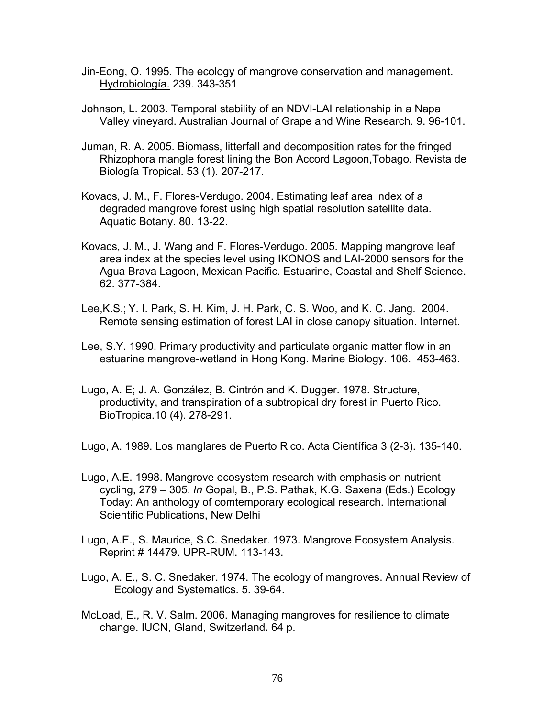- Jin-Eong, O. 1995. The ecology of mangrove conservation and management. Hydrobiología. 239. 343-351
- Johnson, L. 2003. Temporal stability of an NDVI-LAI relationship in a Napa Valley vineyard. Australian Journal of Grape and Wine Research. 9. 96-101.
- Juman, R. A. 2005. Biomass, litterfall and decomposition rates for the fringed Rhizophora mangle forest lining the Bon Accord Lagoon,Tobago. Revista de Biología Tropical. 53 (1). 207-217.
- Kovacs, J. M., F. Flores-Verdugo. 2004. Estimating leaf area index of a degraded mangrove forest using high spatial resolution satellite data. Aquatic Botany. 80. 13-22.
- Kovacs, J. M., J. Wang and F. Flores-Verdugo. 2005. Mapping mangrove leaf area index at the species level using IKONOS and LAI-2000 sensors for the Agua Brava Lagoon, Mexican Pacific. Estuarine, Coastal and Shelf Science. 62. 377-384.
- Lee,K.S.; Y. I. Park, S. H. Kim, J. H. Park, C. S. Woo, and K. C. Jang. 2004. Remote sensing estimation of forest LAI in close canopy situation. Internet.
- Lee, S.Y. 1990. Primary productivity and particulate organic matter flow in an estuarine mangrove-wetland in Hong Kong. Marine Biology. 106. 453-463.
- Lugo, A. E; J. A. González, B. Cintrón and K. Dugger. 1978. Structure, productivity, and transpiration of a subtropical dry forest in Puerto Rico. BioTropica.10 (4). 278-291.
- Lugo, A. 1989. Los manglares de Puerto Rico. Acta Científica 3 (2-3). 135-140.
- Lugo, A.E. 1998. Mangrove ecosystem research with emphasis on nutrient cycling, 279 – 305. *In* Gopal, B., P.S. Pathak, K.G. Saxena (Eds.) Ecology Today: An anthology of comtemporary ecological research. International Scientific Publications, New Delhi
- Lugo, A.E., S. Maurice, S.C. Snedaker. 1973. Mangrove Ecosystem Analysis. Reprint # 14479. UPR-RUM. 113-143.
- Lugo, A. E., S. C. Snedaker. 1974. The ecology of mangroves. Annual Review of Ecology and Systematics. 5. 39-64.
- McLoad, E., R. V. Salm. 2006. Managing mangroves for resilience to climate change. IUCN, Gland, Switzerland**.** 64 p.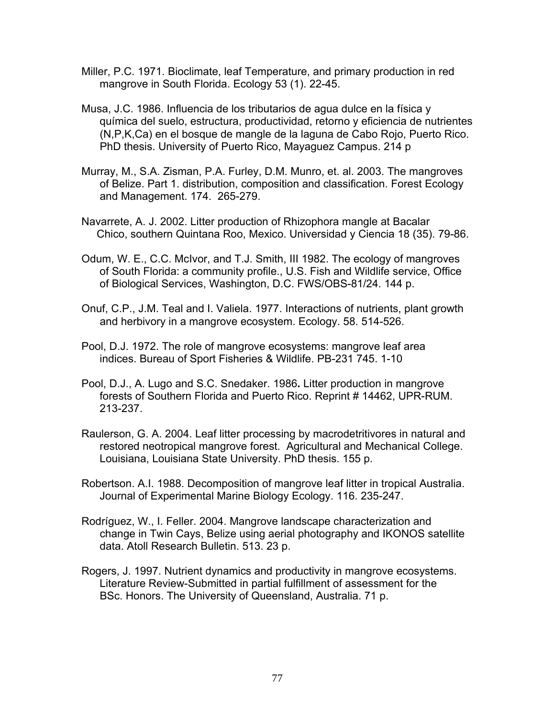- Miller, P.C. 1971. Bioclimate, leaf Temperature, and primary production in red mangrove in South Florida. Ecology 53 (1). 22-45.
- Musa, J.C. 1986. Influencia de los tributarios de agua dulce en la física y química del suelo, estructura, productividad, retorno y eficiencia de nutrientes (N,P,K,Ca) en el bosque de mangle de la laguna de Cabo Rojo, Puerto Rico. PhD thesis. University of Puerto Rico, Mayaguez Campus. 214 p
- Murray, M., S.A. Zisman, P.A. Furley, D.M. Munro, et. al. 2003. The mangroves of Belize. Part 1. distribution, composition and classification. Forest Ecology and Management. 174. 265-279.
- Navarrete, A. J. 2002. Litter production of Rhizophora mangle at Bacalar Chico, southern Quintana Roo, Mexico. Universidad y Ciencia 18 (35). 79-86.
- Odum, W. E., C.C. McIvor, and T.J. Smith, III 1982. The ecology of mangroves of South Florida: a community profile., U.S. Fish and Wildlife service, Office of Biological Services, Washington, D.C. FWS/OBS-81/24. 144 p.
- Onuf, C.P., J.M. Teal and I. Valiela. 1977. Interactions of nutrients, plant growth and herbivory in a mangrove ecosystem. Ecology. 58. 514-526.
- Pool, D.J. 1972. The role of mangrove ecosystems: mangrove leaf area indices. Bureau of Sport Fisheries & Wildlife. PB-231 745. 1-10
- Pool, D.J., A. Lugo and S.C. Snedaker. 1986**.** Litter production in mangrove forests of Southern Florida and Puerto Rico. Reprint # 14462, UPR-RUM. 213-237.
- Raulerson, G. A. 2004. Leaf litter processing by macrodetritivores in natural and restored neotropical mangrove forest. Agricultural and Mechanical College. Louisiana, Louisiana State University. PhD thesis. 155 p.
- Robertson. A.I. 1988. Decomposition of mangrove leaf litter in tropical Australia. Journal of Experimental Marine Biology Ecology. 116. 235-247.
- Rodríguez, W., I. Feller. 2004. Mangrove landscape characterization and change in Twin Cays, Belize using aerial photography and IKONOS satellite data. Atoll Research Bulletin. 513. 23 p.
- Rogers, J. 1997. Nutrient dynamics and productivity in mangrove ecosystems. Literature Review-Submitted in partial fulfillment of assessment for the BSc. Honors. The University of Queensland, Australia. 71 p.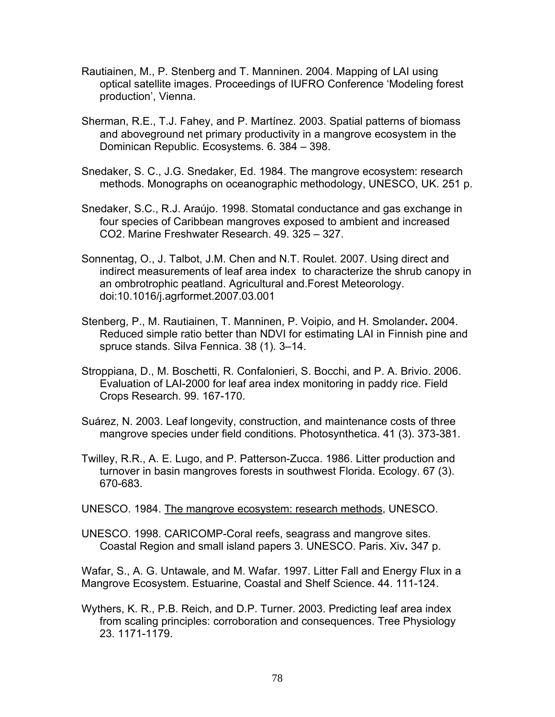- Rautiainen, M., P. Stenberg and T. Manninen. 2004. Mapping of LAI using optical satellite images. Proceedings of IUFRO Conference 'Modeling forest production', Vienna.
- Sherman, R.E., T.J. Fahey, and P. Martínez. 2003. Spatial patterns of biomass and aboveground net primary productivity in a mangrove ecosystem in the Dominican Republic. Ecosystems. 6. 384 – 398.
- Snedaker, S. C., J.G. Snedaker, Ed. 1984. The mangrove ecosystem: research methods. Monographs on oceanographic methodology, UNESCO, UK. 251 p.
- Snedaker, S.C., R.J. Araújo. 1998. Stomatal conductance and gas exchange in four species of Caribbean mangroves exposed to ambient and increased CO2. Marine Freshwater Research. 49. 325 – 327.
- Sonnentag, O., J. Talbot, J.M. Chen and N.T. Roulet. 2007. Using direct and indirect measurements of leaf area index to characterize the shrub canopy in an ombrotrophic peatland. Agricultural and.Forest Meteorology. doi:10.1016/j.agrformet.2007.03.001
- Stenberg, P., M. Rautiainen, T. Manninen, P. Voipio, and H. Smolander**.** 2004. Reduced simple ratio better than NDVI for estimating LAI in Finnish pine and spruce stands. Silva Fennica. 38 (1). 3–14.
- Stroppiana, D., M. Boschetti, R. Confalonieri, S. Bocchi, and P. A. Brivio. 2006. Evaluation of LAI-2000 for leaf area index monitoring in paddy rice. Field Crops Research. 99. 167-170.
- Suárez, N. 2003. Leaf longevity, construction, and maintenance costs of three mangrove species under field conditions. Photosynthetica. 41 (3). 373-381.
- Twilley, R.R., A. E. Lugo, and P. Patterson-Zucca. 1986. Litter production and turnover in basin mangroves forests in southwest Florida. Ecology. 67 (3). 670-683.

UNESCO. 1984. The mangrove ecosystem: research methods, UNESCO.

UNESCO. 1998. CARICOMP-Coral reefs, seagrass and mangrove sites. Coastal Region and small island papers 3. UNESCO. Paris. Xiv**.** 347 p.

Wafar, S., A. G. Untawale, and M. Wafar. 1997. Litter Fall and Energy Flux in a Mangrove Ecosystem. Estuarine, Coastal and Shelf Science. 44. 111-124.

Wythers, K. R., P.B. Reich, and D.P. Turner. 2003. Predicting leaf area index from scaling principles: corroboration and consequences. Tree Physiology 23. 1171-1179.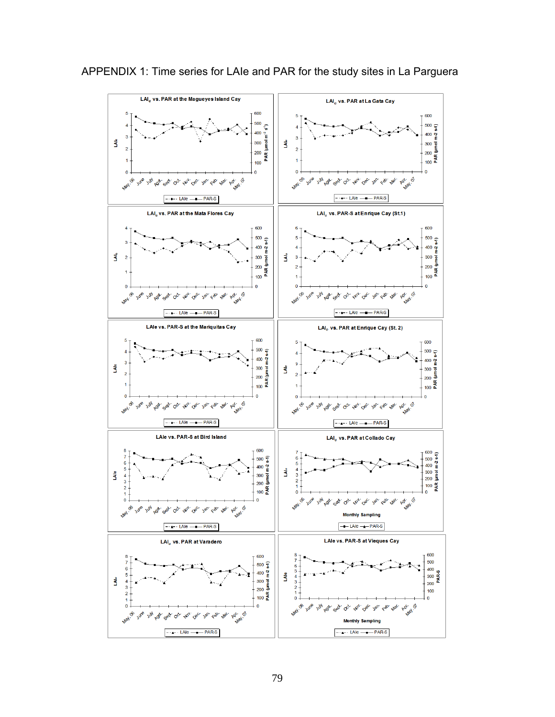

APPENDIX 1: Time series for LAIe and PAR for the study sites in La Parguera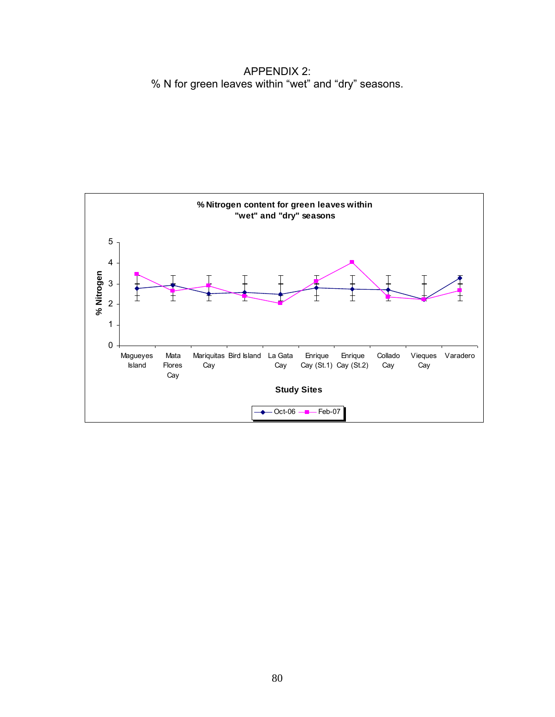APPENDIX 2: % N for green leaves within "wet" and "dry" seasons.